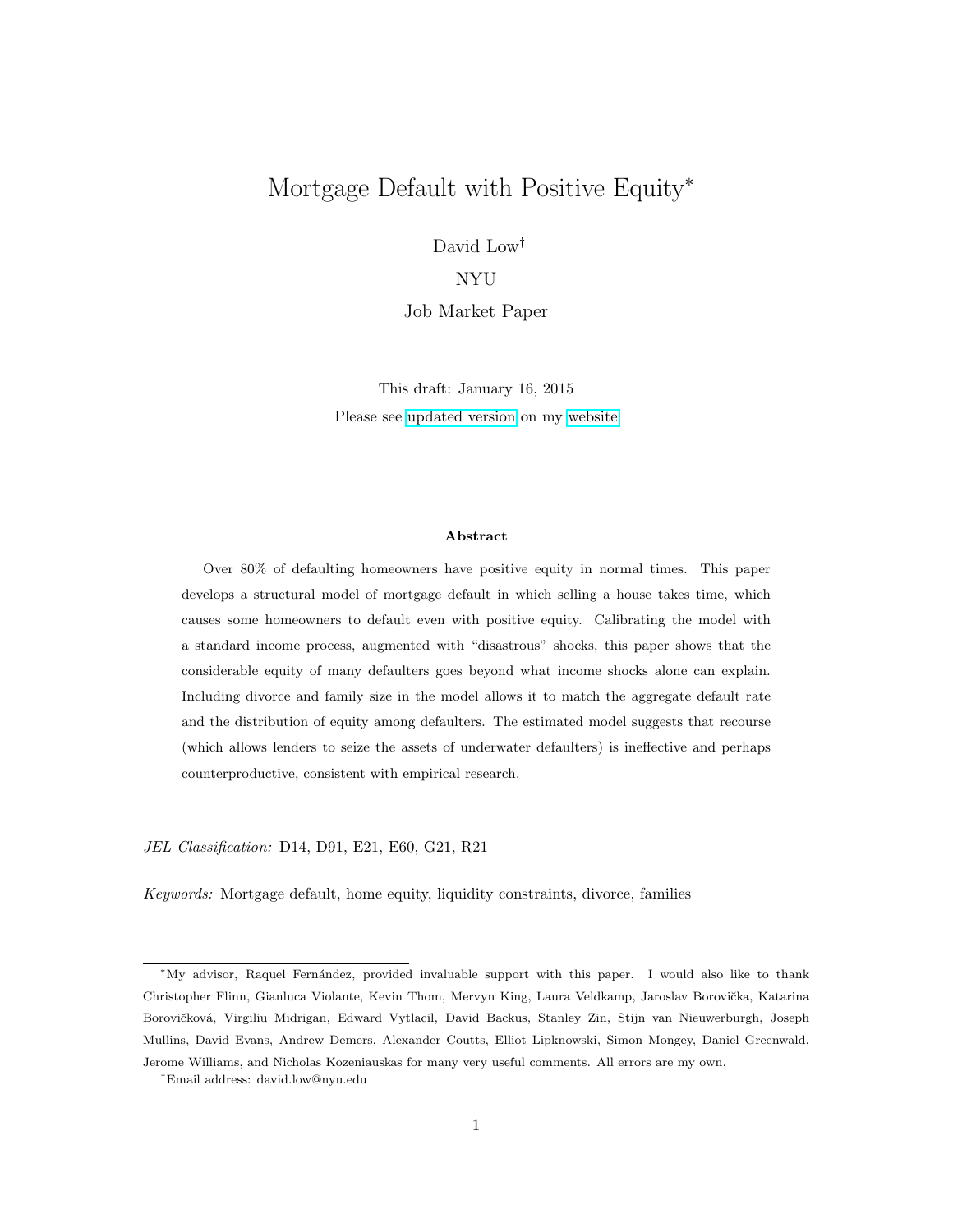# <span id="page-0-0"></span>Mortgage Default with Positive Equity<sup>∗</sup>

David Low†

## NYU

Job Market Paper

This draft: January 16, 2015 Please see [updated](https://files.nyu.edu/dcl286/public/DavidLow_JMP.pdf) version on my [website](https://files.nyu.edu/dcl286/public/index.html)

#### Abstract

Over 80% of defaulting homeowners have positive equity in normal times. This paper develops a structural model of mortgage default in which selling a house takes time, which causes some homeowners to default even with positive equity. Calibrating the model with a standard income process, augmented with "disastrous" shocks, this paper shows that the considerable equity of many defaulters goes beyond what income shocks alone can explain. Including divorce and family size in the model allows it to match the aggregate default rate and the distribution of equity among defaulters. The estimated model suggests that recourse (which allows lenders to seize the assets of underwater defaulters) is ineffective and perhaps counterproductive, consistent with empirical research.

JEL Classification: D14, D91, E21, E60, G21, R21

Keywords: Mortgage default, home equity, liquidity constraints, divorce, families

<sup>∗</sup>My advisor, Raquel Fern´andez, provided invaluable support with this paper. I would also like to thank Christopher Flinn, Gianluca Violante, Kevin Thom, Mervyn King, Laura Veldkamp, Jaroslav Borovička, Katarina Borovičková, Virgiliu Midrigan, Edward Vytlacil, David Backus, Stanley Zin, Stijn van Nieuwerburgh, Joseph Mullins, David Evans, Andrew Demers, Alexander Coutts, Elliot Lipknowski, Simon Mongey, Daniel Greenwald, Jerome Williams, and Nicholas Kozeniauskas for many very useful comments. All errors are my own.

<sup>†</sup>Email address: david.low@nyu.edu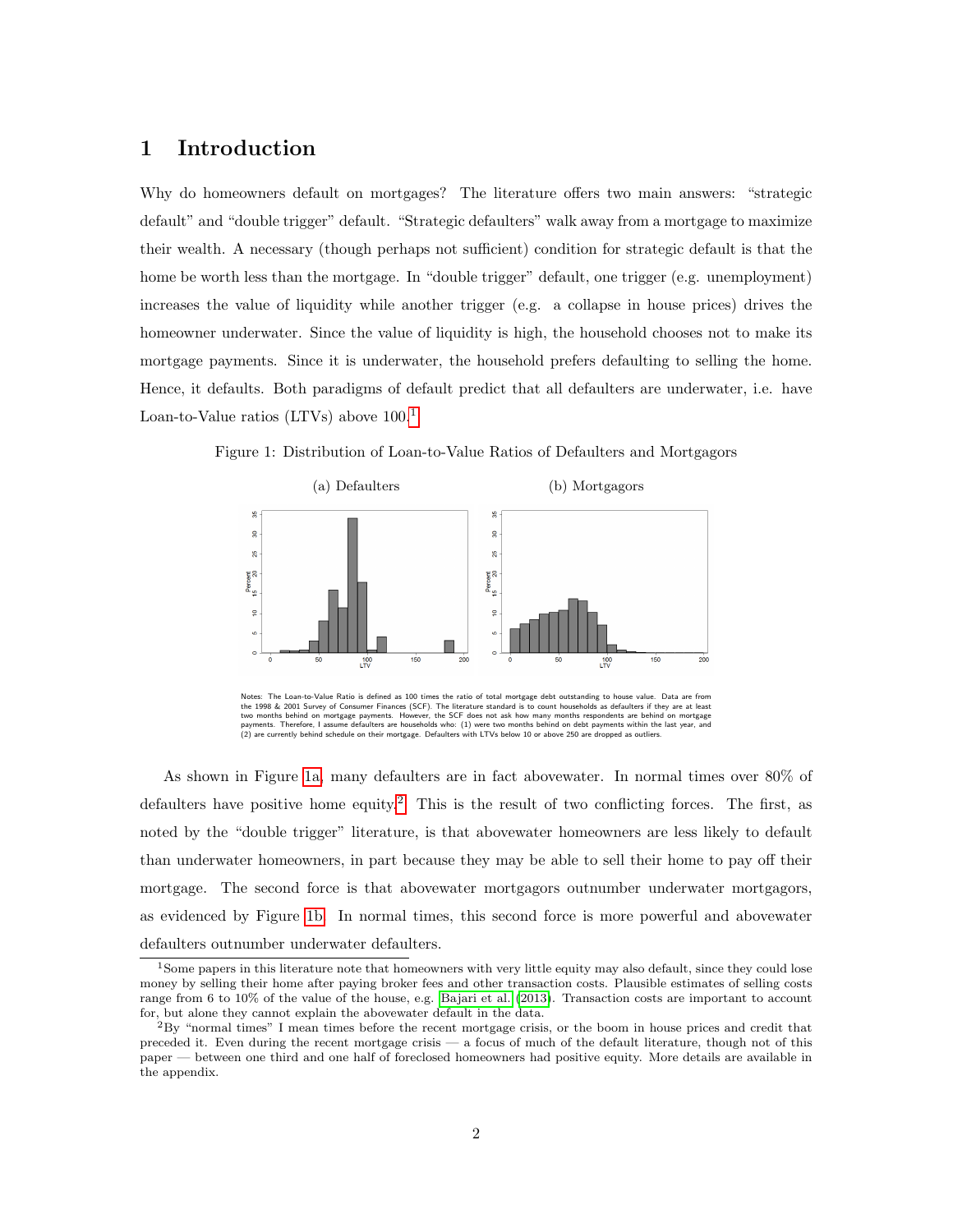## 1 Introduction

Why do homeowners default on mortgages? The literature offers two main answers: "strategic default" and "double trigger" default. "Strategic defaulters" walk away from a mortgage to maximize their wealth. A necessary (though perhaps not sufficient) condition for strategic default is that the home be worth less than the mortgage. In "double trigger" default, one trigger (e.g. unemployment) increases the value of liquidity while another trigger (e.g. a collapse in house prices) drives the homeowner underwater. Since the value of liquidity is high, the household chooses not to make its mortgage payments. Since it is underwater, the household prefers defaulting to selling the home. Hence, it defaults. Both paradigms of default predict that all defaulters are underwater, i.e. have Loan-to-Value ratios (LTVs) above 100.[1](#page-0-0)



<span id="page-1-0"></span>Figure 1: Distribution of Loan-to-Value Ratios of Defaulters and Mortgagors

As shown in Figure [1a,](#page-1-0) many defaulters are in fact abovewater. In normal times over 80% of defaulters have positive home equity.<sup>[2](#page-0-0)</sup> This is the result of two conflicting forces. The first, as noted by the "double trigger" literature, is that abovewater homeowners are less likely to default than underwater homeowners, in part because they may be able to sell their home to pay off their mortgage. The second force is that abovewater mortgagors outnumber underwater mortgagors, as evidenced by Figure [1b.](#page-1-0) In normal times, this second force is more powerful and abovewater defaulters outnumber underwater defaulters.

Notes: The Loan-to-Value Ratio is defined as 100 times the ratio of total mortgage debt outstanding to house value. Data are from<br>the 1998 & 2001 Survey of Consumer Finances (SCF). The literature standard is to count house

<sup>&</sup>lt;sup>1</sup>Some papers in this literature note that homeowners with very little equity may also default, since they could lose money by selling their home after paying broker fees and other transaction costs. Plausible estimates of selling costs range from 6 to 10% of the value of the house, e.g. [Bajari](#page-32-0) et al. [\(2013\)](#page-32-0). Transaction costs are important to account for, but alone they cannot explain the abovewater default in the data.

<sup>2</sup>By "normal times" I mean times before the recent mortgage crisis, or the boom in house prices and credit that preceded it. Even during the recent mortgage crisis — a focus of much of the default literature, though not of this paper — between one third and one half of foreclosed homeowners had positive equity. More details are available in the appendix.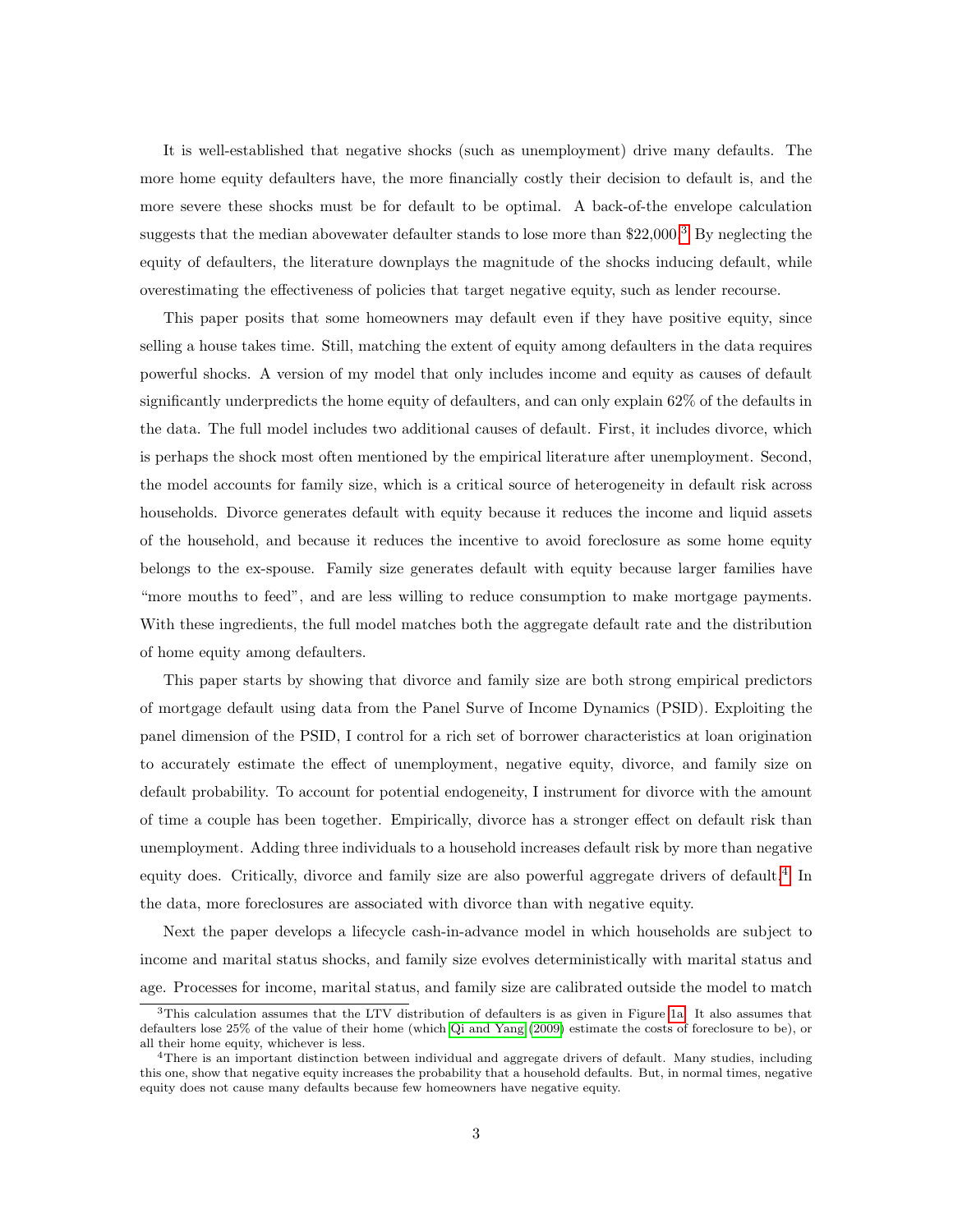It is well-established that negative shocks (such as unemployment) drive many defaults. The more home equity defaulters have, the more financially costly their decision to default is, and the more severe these shocks must be for default to be optimal. A back-of-the envelope calculation suggests that the median abovewater defaulter stands to lose more than  $22,000$ .<sup>[3](#page-0-0)</sup> By neglecting the equity of defaulters, the literature downplays the magnitude of the shocks inducing default, while overestimating the effectiveness of policies that target negative equity, such as lender recourse.

This paper posits that some homeowners may default even if they have positive equity, since selling a house takes time. Still, matching the extent of equity among defaulters in the data requires powerful shocks. A version of my model that only includes income and equity as causes of default significantly underpredicts the home equity of defaulters, and can only explain 62% of the defaults in the data. The full model includes two additional causes of default. First, it includes divorce, which is perhaps the shock most often mentioned by the empirical literature after unemployment. Second, the model accounts for family size, which is a critical source of heterogeneity in default risk across households. Divorce generates default with equity because it reduces the income and liquid assets of the household, and because it reduces the incentive to avoid foreclosure as some home equity belongs to the ex-spouse. Family size generates default with equity because larger families have "more mouths to feed", and are less willing to reduce consumption to make mortgage payments. With these ingredients, the full model matches both the aggregate default rate and the distribution of home equity among defaulters.

This paper starts by showing that divorce and family size are both strong empirical predictors of mortgage default using data from the Panel Surve of Income Dynamics (PSID). Exploiting the panel dimension of the PSID, I control for a rich set of borrower characteristics at loan origination to accurately estimate the effect of unemployment, negative equity, divorce, and family size on default probability. To account for potential endogeneity, I instrument for divorce with the amount of time a couple has been together. Empirically, divorce has a stronger effect on default risk than unemployment. Adding three individuals to a household increases default risk by more than negative equity does. Critically, divorce and family size are also powerful aggregate drivers of default.<sup>[4](#page-0-0)</sup> In the data, more foreclosures are associated with divorce than with negative equity.

Next the paper develops a lifecycle cash-in-advance model in which households are subject to income and marital status shocks, and family size evolves deterministically with marital status and age. Processes for income, marital status, and family size are calibrated outside the model to match

 $3$ This calculation assumes that the LTV distribution of defaulters is as given in Figure [1a.](#page-1-0) It also assumes that defaulters lose 25% of the value of their home (which Qi and [Yang](#page-36-0) [\(2009\)](#page-36-0) estimate the costs of foreclosure to be), or all their home equity, whichever is less.

<sup>&</sup>lt;sup>4</sup>There is an important distinction between individual and aggregate drivers of default. Many studies, including this one, show that negative equity increases the probability that a household defaults. But, in normal times, negative equity does not cause many defaults because few homeowners have negative equity.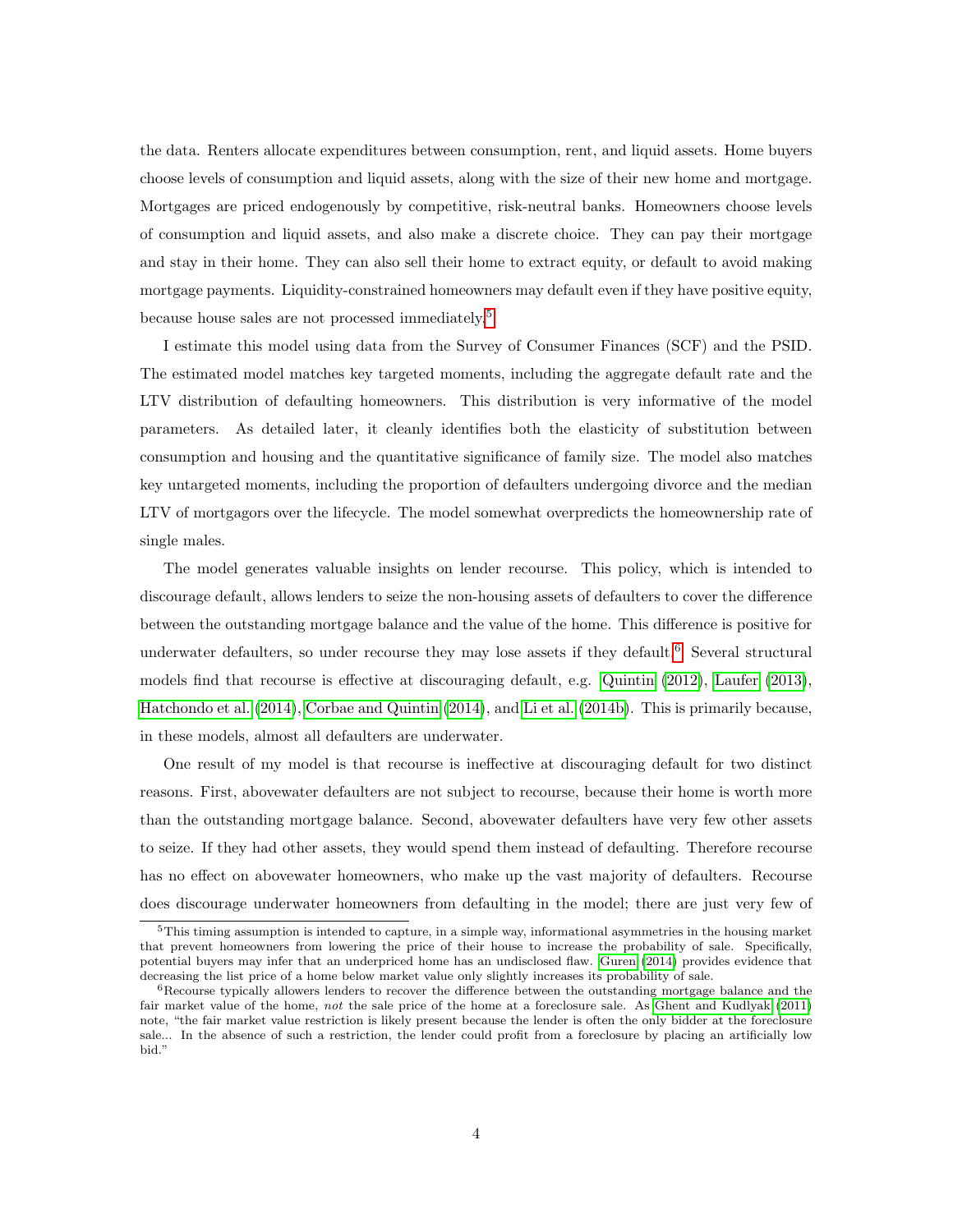the data. Renters allocate expenditures between consumption, rent, and liquid assets. Home buyers choose levels of consumption and liquid assets, along with the size of their new home and mortgage. Mortgages are priced endogenously by competitive, risk-neutral banks. Homeowners choose levels of consumption and liquid assets, and also make a discrete choice. They can pay their mortgage and stay in their home. They can also sell their home to extract equity, or default to avoid making mortgage payments. Liquidity-constrained homeowners may default even if they have positive equity, because house sales are not processed immediately.[5](#page-0-0)

I estimate this model using data from the Survey of Consumer Finances (SCF) and the PSID. The estimated model matches key targeted moments, including the aggregate default rate and the LTV distribution of defaulting homeowners. This distribution is very informative of the model parameters. As detailed later, it cleanly identifies both the elasticity of substitution between consumption and housing and the quantitative significance of family size. The model also matches key untargeted moments, including the proportion of defaulters undergoing divorce and the median LTV of mortgagors over the lifecycle. The model somewhat overpredicts the homeownership rate of single males.

The model generates valuable insights on lender recourse. This policy, which is intended to discourage default, allows lenders to seize the non-housing assets of defaulters to cover the difference between the outstanding mortgage balance and the value of the home. This difference is positive for underwater defaulters, so under recourse they may lose assets if they default.<sup>[6](#page-0-0)</sup> Several structural models find that recourse is effective at discouraging default, e.g. [Quintin](#page-36-1) [\(2012\)](#page-36-1), [Laufer](#page-35-0) [\(2013\)](#page-35-0), [Hatchondo](#page-34-0) et al. [\(2014\)](#page-34-0), Corbae and [Quintin](#page-32-1) [\(2014\)](#page-32-1), and Li et [al.](#page-35-1) [\(2014b\)](#page-35-1). This is primarily because, in these models, almost all defaulters are underwater.

One result of my model is that recourse is ineffective at discouraging default for two distinct reasons. First, abovewater defaulters are not subject to recourse, because their home is worth more than the outstanding mortgage balance. Second, abovewater defaulters have very few other assets to seize. If they had other assets, they would spend them instead of defaulting. Therefore recourse has no effect on abovewater homeowners, who make up the vast majority of defaulters. Recourse does discourage underwater homeowners from defaulting in the model; there are just very few of

 $5$ This timing assumption is intended to capture, in a simple way, informational asymmetries in the housing market that prevent homeowners from lowering the price of their house to increase the probability of sale. Specifically, potential buyers may infer that an underpriced home has an undisclosed flaw. [Guren](#page-34-1) [\(2014\)](#page-34-1) provides evidence that decreasing the list price of a home below market value only slightly increases its probability of sale.

 $6$ Recourse typically allowers lenders to recover the difference between the outstanding mortgage balance and the fair market value of the home, not the sale price of the home at a foreclosure sale. As Ghent and [Kudlyak](#page-34-2) [\(2011\)](#page-34-2) note, "the fair market value restriction is likely present because the lender is often the only bidder at the foreclosure sale... In the absence of such a restriction, the lender could profit from a foreclosure by placing an artificially low bid."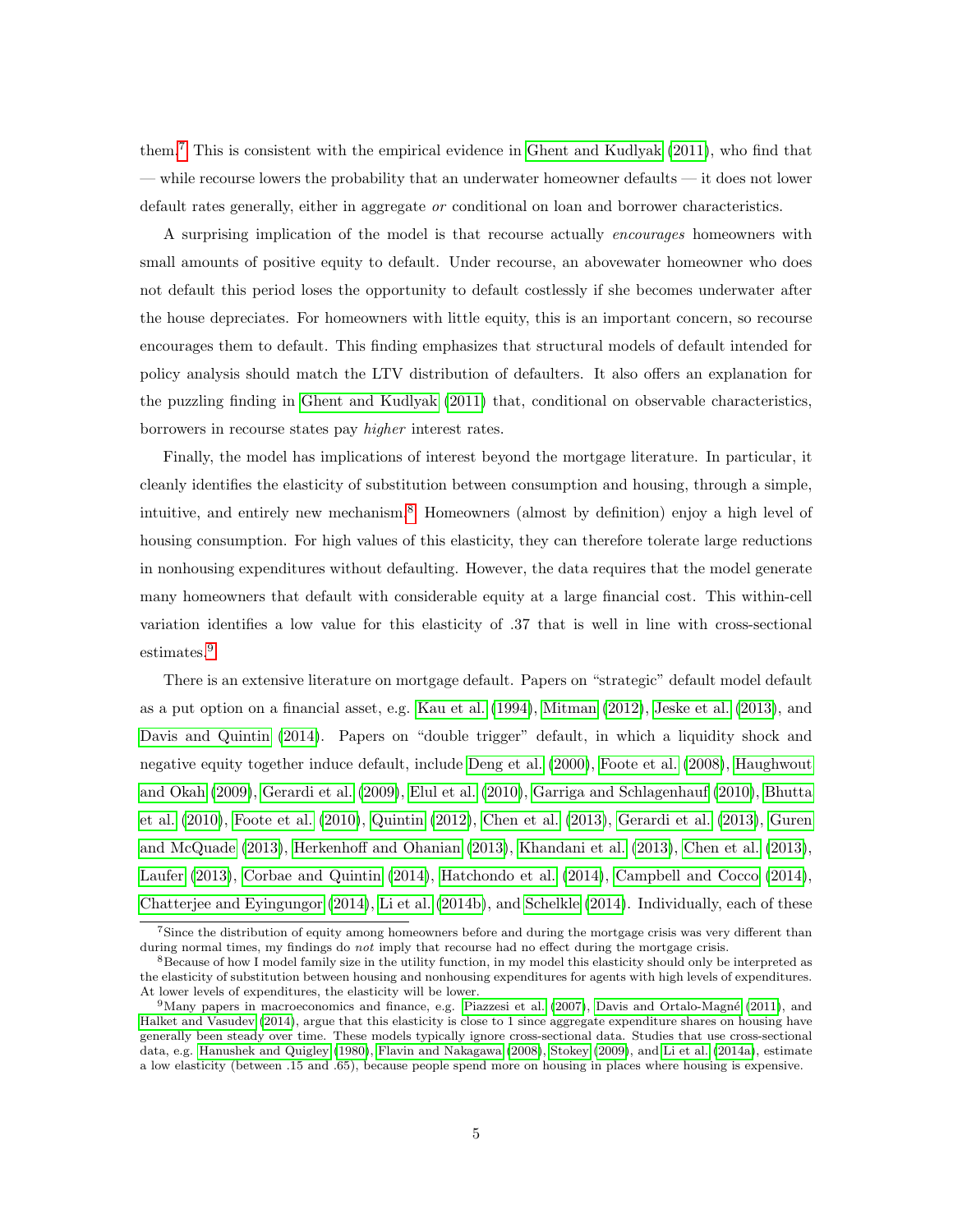them.[7](#page-0-0) This is consistent with the empirical evidence in Ghent and [Kudlyak](#page-34-2) [\(2011\)](#page-34-2), who find that — while recourse lowers the probability that an underwater homeowner defaults — it does not lower default rates generally, either in aggregate or conditional on loan and borrower characteristics.

A surprising implication of the model is that recourse actually encourages homeowners with small amounts of positive equity to default. Under recourse, an abovewater homeowner who does not default this period loses the opportunity to default costlessly if she becomes underwater after the house depreciates. For homeowners with little equity, this is an important concern, so recourse encourages them to default. This finding emphasizes that structural models of default intended for policy analysis should match the LTV distribution of defaulters. It also offers an explanation for the puzzling finding in Ghent and [Kudlyak](#page-34-2) [\(2011\)](#page-34-2) that, conditional on observable characteristics, borrowers in recourse states pay higher interest rates.

Finally, the model has implications of interest beyond the mortgage literature. In particular, it cleanly identifies the elasticity of substitution between consumption and housing, through a simple, intuitive, and entirely new mechanism.[8](#page-0-0) Homeowners (almost by definition) enjoy a high level of housing consumption. For high values of this elasticity, they can therefore tolerate large reductions in nonhousing expenditures without defaulting. However, the data requires that the model generate many homeowners that default with considerable equity at a large financial cost. This within-cell variation identifies a low value for this elasticity of .37 that is well in line with cross-sectional estimates.[9](#page-0-0)

There is an extensive literature on mortgage default. Papers on "strategic" default model default as a put option on a financial asset, e.g. [Kau](#page-35-2) et al. [\(1994\)](#page-35-2), [Mitman](#page-35-3) [\(2012\)](#page-35-3), [Jeske](#page-35-4) et al. [\(2013\)](#page-35-4), and Davis and [Quintin](#page-33-0) [\(2014\)](#page-33-0). Papers on "double trigger" default, in which a liquidity shock and negative equity together induce default, include [Deng](#page-33-1) et al. [\(2000\)](#page-33-1), [Foote](#page-33-2) et al. [\(2008\)](#page-33-2), [Haughwout](#page-34-3) and [Okah](#page-34-3) [\(2009\)](#page-34-3), [Gerardi](#page-34-4) et al. [\(2009\)](#page-34-4), [Elul](#page-33-3) et al. [\(2010\)](#page-33-3), Garriga and [Schlagenhauf](#page-33-4) [\(2010\)](#page-33-4), [Bhutta](#page-32-2) et [al.](#page-32-2) [\(2010\)](#page-32-2), [Foote](#page-33-5) et al. [\(2010\)](#page-33-5), [Quintin](#page-36-1) [\(2012\)](#page-36-1), [Chen](#page-32-3) et al. [\(2013\)](#page-32-3), [Gerardi](#page-33-6) et al. [\(2013\)](#page-33-6), [Guren](#page-34-5) and [McQuade](#page-34-5) [\(2013\)](#page-34-5), [Herkenhoff](#page-35-5) and Ohanian [\(2013\)](#page-35-5), [Khandani](#page-35-6) et al. [\(2013\)](#page-35-6), [Chen](#page-32-3) et al. [\(2013\)](#page-32-3), [Laufer](#page-35-0) [\(2013\)](#page-35-0), Corbae and [Quintin](#page-32-1) [\(2014\)](#page-32-1), [Hatchondo](#page-34-0) et al. [\(2014\)](#page-34-0), [Campbell](#page-32-4) and Cocco [\(2014\)](#page-32-4), Chatterjee and [Eyingungor](#page-32-5) [\(2014\)](#page-32-5), Li et [al.](#page-35-1) [\(2014b\)](#page-35-1), and [Schelkle](#page-36-2) [\(2014\)](#page-36-2). Individually, each of these

<sup>7</sup>Since the distribution of equity among homeowners before and during the mortgage crisis was very different than during normal times, my findings do not imply that recourse had no effect during the mortgage crisis.

<sup>&</sup>lt;sup>8</sup>Because of how I model family size in the utility function, in my model this elasticity should only be interpreted as the elasticity of substitution between housing and nonhousing expenditures for agents with high levels of expenditures. At lower levels of expenditures, the elasticity will be lower.

<sup>&</sup>lt;sup>9</sup>Many papers in macroeconomics and finance, e.g. [Piazzesi](#page-36-3) et al. [\(2007\)](#page-36-3), Davis and Ortalo-Magné [\(2011\)](#page-33-7), and Halket and [Vasudev](#page-34-6) [\(2014\)](#page-34-6), argue that this elasticity is close to 1 since aggregate expenditure shares on housing have generally been steady over time. These models typically ignore cross-sectional data. Studies that use cross-sectional data, e.g. [Hanushek](#page-34-7) and Quigley [\(1980\)](#page-34-7), Flavin and [Nakagawa](#page-33-8) [\(2008\)](#page-33-8), [Stokey](#page-36-4) [\(2009\)](#page-36-4), and Li et [al.](#page-35-7) [\(2014a\)](#page-35-7), estimate a low elasticity (between .15 and .65), because people spend more on housing in places where housing is expensive.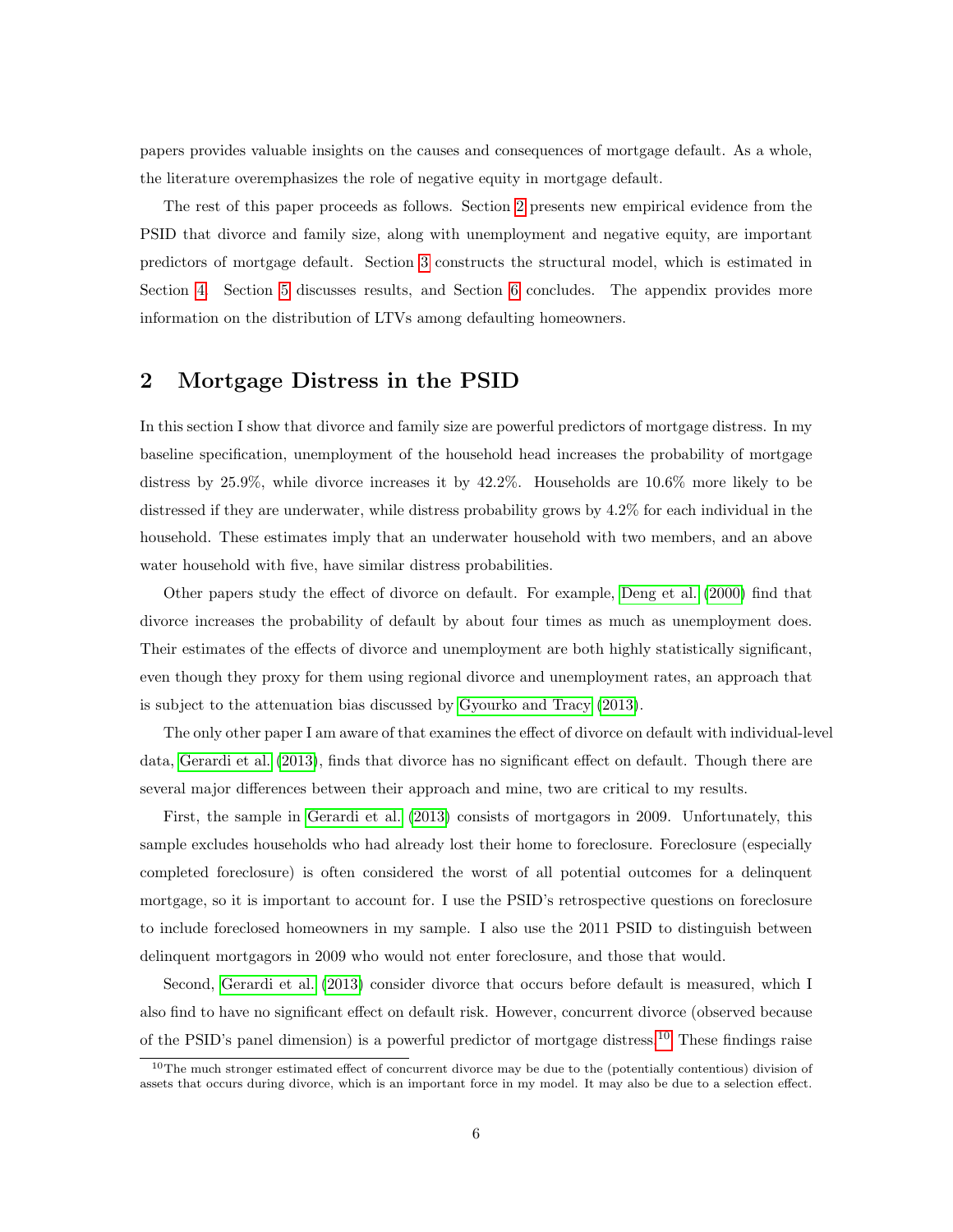papers provides valuable insights on the causes and consequences of mortgage default. As a whole, the literature overemphasizes the role of negative equity in mortgage default.

The rest of this paper proceeds as follows. Section [2](#page-5-0) presents new empirical evidence from the PSID that divorce and family size, along with unemployment and negative equity, are important predictors of mortgage default. Section [3](#page-10-0) constructs the structural model, which is estimated in Section [4.](#page-18-0) Section [5](#page-23-0) discusses results, and Section [6](#page-31-0) concludes. The appendix provides more information on the distribution of LTVs among defaulting homeowners.

#### <span id="page-5-0"></span>2 Mortgage Distress in the PSID

In this section I show that divorce and family size are powerful predictors of mortgage distress. In my baseline specification, unemployment of the household head increases the probability of mortgage distress by 25.9%, while divorce increases it by 42.2%. Households are 10.6% more likely to be distressed if they are underwater, while distress probability grows by 4.2% for each individual in the household. These estimates imply that an underwater household with two members, and an above water household with five, have similar distress probabilities.

Other papers study the effect of divorce on default. For example, [Deng](#page-33-1) et al. [\(2000\)](#page-33-1) find that divorce increases the probability of default by about four times as much as unemployment does. Their estimates of the effects of divorce and unemployment are both highly statistically significant, even though they proxy for them using regional divorce and unemployment rates, an approach that is subject to the attenuation bias discussed by [Gyourko](#page-34-8) and Tracy [\(2013\)](#page-34-8).

The only other paper I am aware of that examines the effect of divorce on default with individual-level data, [Gerardi](#page-33-6) et al. [\(2013\)](#page-33-6), finds that divorce has no significant effect on default. Though there are several major differences between their approach and mine, two are critical to my results.

First, the sample in [Gerardi](#page-33-6) et al. [\(2013\)](#page-33-6) consists of mortgagors in 2009. Unfortunately, this sample excludes households who had already lost their home to foreclosure. Foreclosure (especially completed foreclosure) is often considered the worst of all potential outcomes for a delinquent mortgage, so it is important to account for. I use the PSID's retrospective questions on foreclosure to include foreclosed homeowners in my sample. I also use the 2011 PSID to distinguish between delinquent mortgagors in 2009 who would not enter foreclosure, and those that would.

Second, [Gerardi](#page-33-6) et al. [\(2013\)](#page-33-6) consider divorce that occurs before default is measured, which I also find to have no significant effect on default risk. However, concurrent divorce (observed because of the PSID's panel dimension) is a powerful predictor of mortgage distress.[10](#page-0-0) These findings raise

 $10$ The much stronger estimated effect of concurrent divorce may be due to the (potentially contentious) division of assets that occurs during divorce, which is an important force in my model. It may also be due to a selection effect.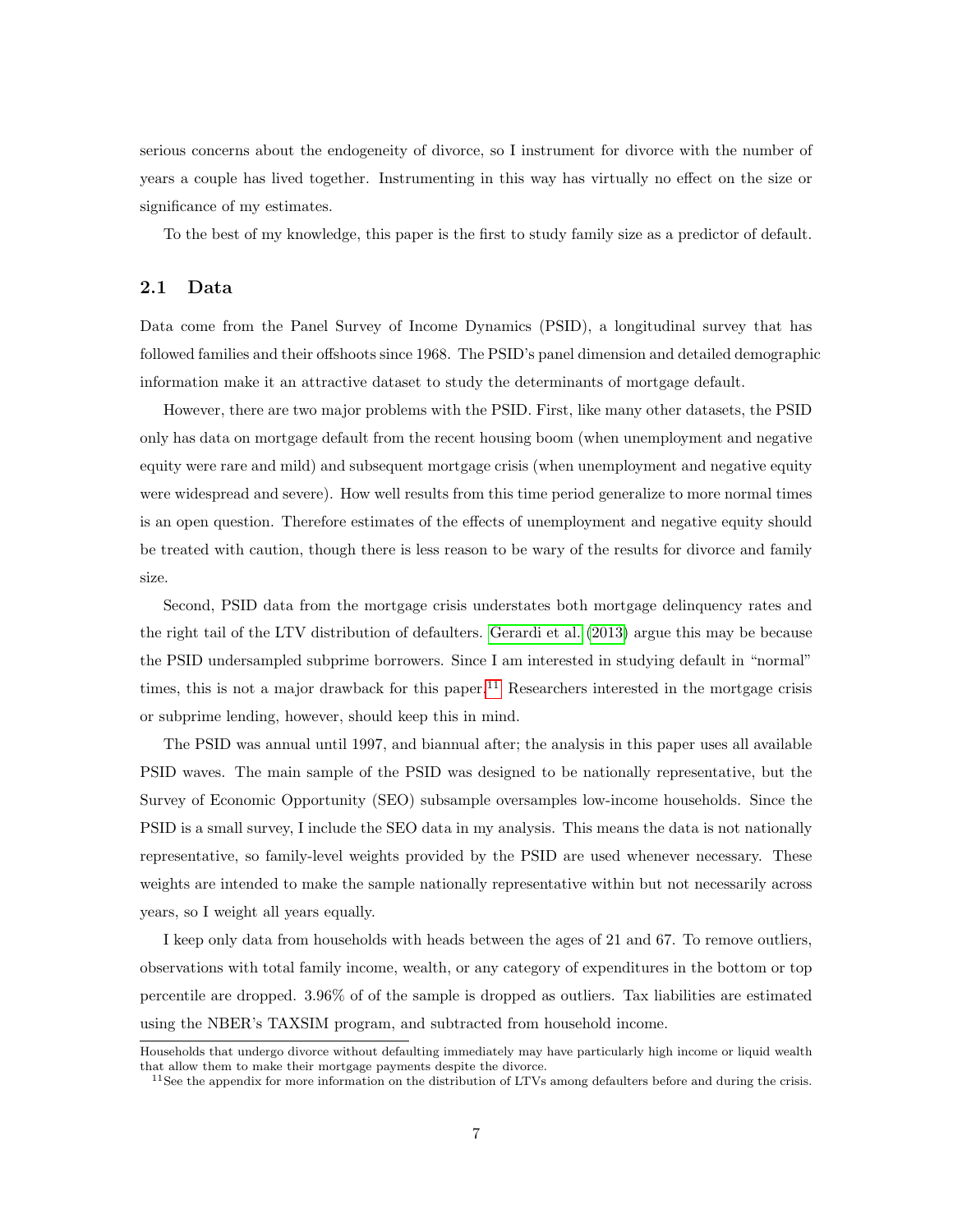serious concerns about the endogeneity of divorce, so I instrument for divorce with the number of years a couple has lived together. Instrumenting in this way has virtually no effect on the size or significance of my estimates.

To the best of my knowledge, this paper is the first to study family size as a predictor of default.

### 2.1 Data

Data come from the Panel Survey of Income Dynamics (PSID), a longitudinal survey that has followed families and their offshoots since 1968. The PSID's panel dimension and detailed demographic information make it an attractive dataset to study the determinants of mortgage default.

However, there are two major problems with the PSID. First, like many other datasets, the PSID only has data on mortgage default from the recent housing boom (when unemployment and negative equity were rare and mild) and subsequent mortgage crisis (when unemployment and negative equity were widespread and severe). How well results from this time period generalize to more normal times is an open question. Therefore estimates of the effects of unemployment and negative equity should be treated with caution, though there is less reason to be wary of the results for divorce and family size.

Second, PSID data from the mortgage crisis understates both mortgage delinquency rates and the right tail of the LTV distribution of defaulters. [Gerardi](#page-33-6) et al. [\(2013\)](#page-33-6) argue this may be because the PSID undersampled subprime borrowers. Since I am interested in studying default in "normal" times, this is not a major drawback for this paper.<sup>[11](#page-0-0)</sup> Researchers interested in the mortgage crisis or subprime lending, however, should keep this in mind.

The PSID was annual until 1997, and biannual after; the analysis in this paper uses all available PSID waves. The main sample of the PSID was designed to be nationally representative, but the Survey of Economic Opportunity (SEO) subsample oversamples low-income households. Since the PSID is a small survey, I include the SEO data in my analysis. This means the data is not nationally representative, so family-level weights provided by the PSID are used whenever necessary. These weights are intended to make the sample nationally representative within but not necessarily across years, so I weight all years equally.

I keep only data from households with heads between the ages of 21 and 67. To remove outliers, observations with total family income, wealth, or any category of expenditures in the bottom or top percentile are dropped. 3.96% of of the sample is dropped as outliers. Tax liabilities are estimated using the NBER's TAXSIM program, and subtracted from household income.

Households that undergo divorce without defaulting immediately may have particularly high income or liquid wealth that allow them to make their mortgage payments despite the divorce.

 $11$ See the appendix for more information on the distribution of LTVs among defaulters before and during the crisis.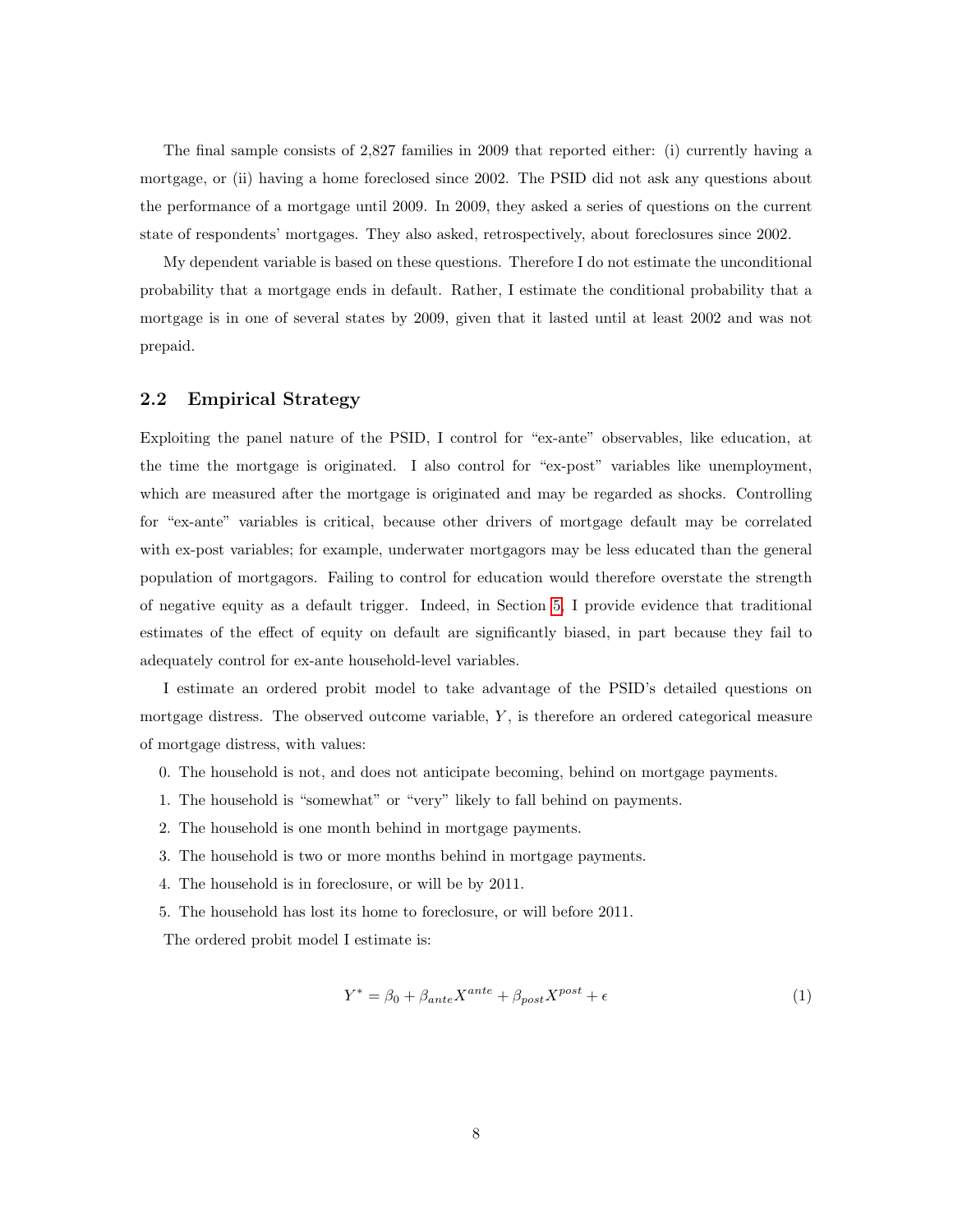The final sample consists of 2,827 families in 2009 that reported either: (i) currently having a mortgage, or (ii) having a home foreclosed since 2002. The PSID did not ask any questions about the performance of a mortgage until 2009. In 2009, they asked a series of questions on the current state of respondents' mortgages. They also asked, retrospectively, about foreclosures since 2002.

My dependent variable is based on these questions. Therefore I do not estimate the unconditional probability that a mortgage ends in default. Rather, I estimate the conditional probability that a mortgage is in one of several states by 2009, given that it lasted until at least 2002 and was not prepaid.

#### 2.2 Empirical Strategy

Exploiting the panel nature of the PSID, I control for "ex-ante" observables, like education, at the time the mortgage is originated. I also control for "ex-post" variables like unemployment, which are measured after the mortgage is originated and may be regarded as shocks. Controlling for "ex-ante" variables is critical, because other drivers of mortgage default may be correlated with ex-post variables; for example, underwater mortgagors may be less educated than the general population of mortgagors. Failing to control for education would therefore overstate the strength of negative equity as a default trigger. Indeed, in Section [5,](#page-23-0) I provide evidence that traditional estimates of the effect of equity on default are significantly biased, in part because they fail to adequately control for ex-ante household-level variables.

I estimate an ordered probit model to take advantage of the PSID's detailed questions on mortgage distress. The observed outcome variable,  $Y$ , is therefore an ordered categorical measure of mortgage distress, with values:

- 0. The household is not, and does not anticipate becoming, behind on mortgage payments.
- 1. The household is "somewhat" or "very" likely to fall behind on payments.
- 2. The household is one month behind in mortgage payments.
- 3. The household is two or more months behind in mortgage payments.
- 4. The household is in foreclosure, or will be by 2011.
- 5. The household has lost its home to foreclosure, or will before 2011.

<span id="page-7-0"></span>The ordered probit model I estimate is:

$$
Y^* = \beta_0 + \beta_{ante} X^{ante} + \beta_{post} X^{post} + \epsilon
$$
\n<sup>(1)</sup>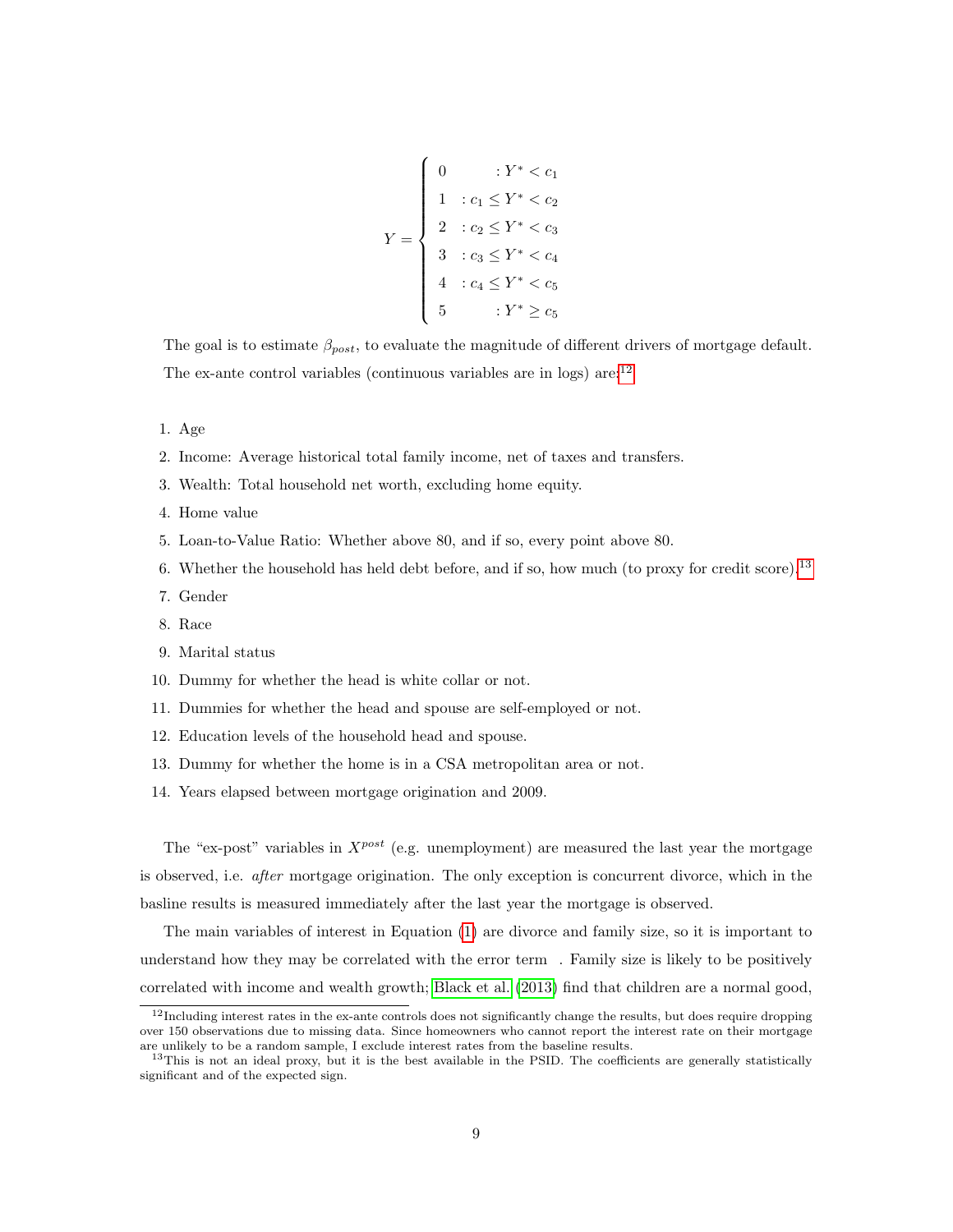$$
Y = \begin{cases} 0 & \text{if } Y^* < c_1 \\ 1 & \text{if } c_1 \le Y^* < c_2 \\ 2 & \text{if } c_2 \le Y^* < c_3 \\ 3 & \text{if } c_3 \le Y^* < c_4 \\ 4 & \text{if } c_4 \le Y^* < c_5 \\ 5 & \text{if } Y^* \ge c_5 \end{cases}
$$

The goal is to estimate  $\beta_{post}$ , to evaluate the magnitude of different drivers of mortgage default. The ex-ante control variables (continuous variables are in logs) are:[12](#page-0-0)

- 1. Age
- 2. Income: Average historical total family income, net of taxes and transfers.
- 3. Wealth: Total household net worth, excluding home equity.
- 4. Home value
- 5. Loan-to-Value Ratio: Whether above 80, and if so, every point above 80.
- 6. Whether the household has held debt before, and if so, how much (to proxy for credit score).[13](#page-0-0)
- 7. Gender
- 8. Race
- 9. Marital status
- 10. Dummy for whether the head is white collar or not.
- 11. Dummies for whether the head and spouse are self-employed or not.
- 12. Education levels of the household head and spouse.
- 13. Dummy for whether the home is in a CSA metropolitan area or not.
- 14. Years elapsed between mortgage origination and 2009.

The "ex-post" variables in  $X^{post}$  (e.g. unemployment) are measured the last year the mortgage is observed, i.e. after mortgage origination. The only exception is concurrent divorce, which in the basline results is measured immediately after the last year the mortgage is observed.

 understand how they may be correlated with the error term . Family size is likely to be positively The main variables of interest in Equation [\(1\)](#page-7-0) are divorce and family size, so it is important to correlated with income and wealth growth; [Black](#page-32-6) et al. [\(2013\)](#page-32-6) find that children are a normal good,

 $12$ Including interest rates in the ex-ante controls does not significantly change the results, but does require dropping over 150 observations due to missing data. Since homeowners who cannot report the interest rate on their mortgage are unlikely to be a random sample, I exclude interest rates from the baseline results.

<sup>&</sup>lt;sup>13</sup>This is not an ideal proxy, but it is the best available in the PSID. The coefficients are generally statistically significant and of the expected sign.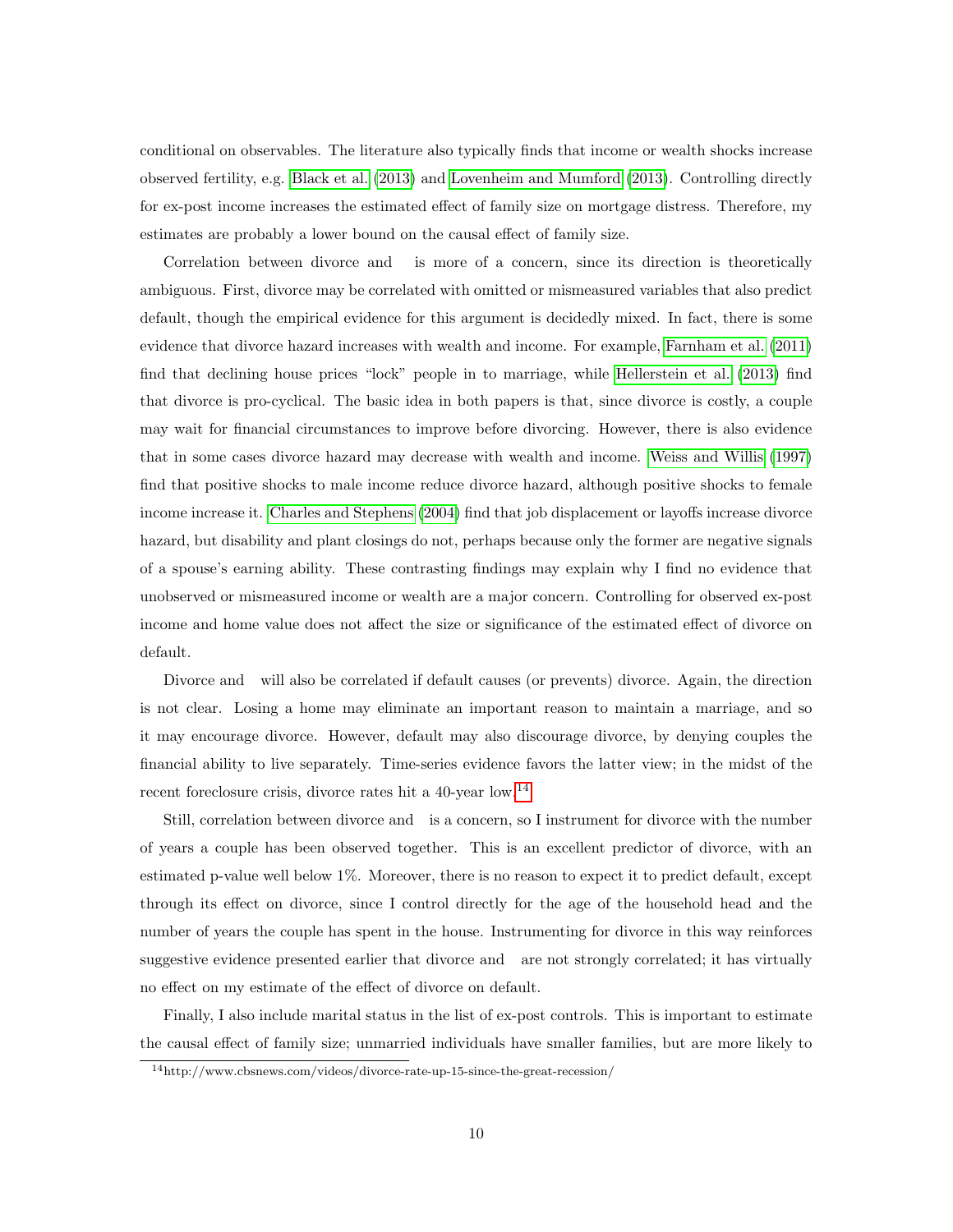conditional on observables. The literature also typically finds that income or wealth shocks increase observed fertility, e.g. [Black](#page-32-6) et al. [\(2013\)](#page-32-6) and [Lovenheim](#page-35-8) and Mumford [\(2013\)](#page-35-8). Controlling directly for ex-post income increases the estimated effect of family size on mortgage distress. Therefore, my estimates are probably a lower bound on the causal effect of family size.

Correlation between divorce and is more of a concern, since its direction is theoretically ambiguous. First, divorce may be correlated with omitted or mismeasured variables that also predict default, though the empirical evidence for this argument is decidedly mixed. In fact, there is some evidence that divorce hazard increases with wealth and income. For example, [Farnham](#page-33-9) et al. [\(2011\)](#page-33-9) find that declining house prices "lock" people in to marriage, while [Hellerstein](#page-35-9) et al. [\(2013\)](#page-35-9) find that divorce is pro-cyclical. The basic idea in both papers is that, since divorce is costly, a couple may wait for financial circumstances to improve before divorcing. However, there is also evidence that in some cases divorce hazard may decrease with wealth and income. Weiss and [Willis](#page-36-5) [\(1997\)](#page-36-5) find that positive shocks to male income reduce divorce hazard, although positive shocks to female income increase it. Charles and [Stephens](#page-32-7) [\(2004\)](#page-32-7) find that job displacement or layoffs increase divorce hazard, but disability and plant closings do not, perhaps because only the former are negative signals of a spouse's earning ability. These contrasting findings may explain why I find no evidence that unobserved or mismeasured income or wealth are a major concern. Controlling for observed ex-post income and home value does not affect the size or significance of the estimated effect of divorce on default.

 Divorce and will also be correlated if default causes (or prevents) divorce. Again, the direction is not clear. Losing a home may eliminate an important reason to maintain a marriage, and so it may encourage divorce. However, default may also discourage divorce, by denying couples the financial ability to live separately. Time-series evidence favors the latter view; in the midst of the recent foreclosure crisis, divorce rates hit a 40-year low.<sup>[14](#page-0-0)</sup>

 Still, correlation between divorce and is a concern, so I instrument for divorce with the number suggestive evidence presented earlier that divorce and are not strongly correlated; it has virtually of years a couple has been observed together. This is an excellent predictor of divorce, with an estimated p-value well below 1%. Moreover, there is no reason to expect it to predict default, except through its effect on divorce, since I control directly for the age of the household head and the number of years the couple has spent in the house. Instrumenting for divorce in this way reinforces no effect on my estimate of the effect of divorce on default.

Finally, I also include marital status in the list of ex-post controls. This is important to estimate the causal effect of family size; unmarried individuals have smaller families, but are more likely to

 $\rm ^{14}$  http://www.cbsnews.com/videos/divorce-rate-up-15-since-the-great-recession/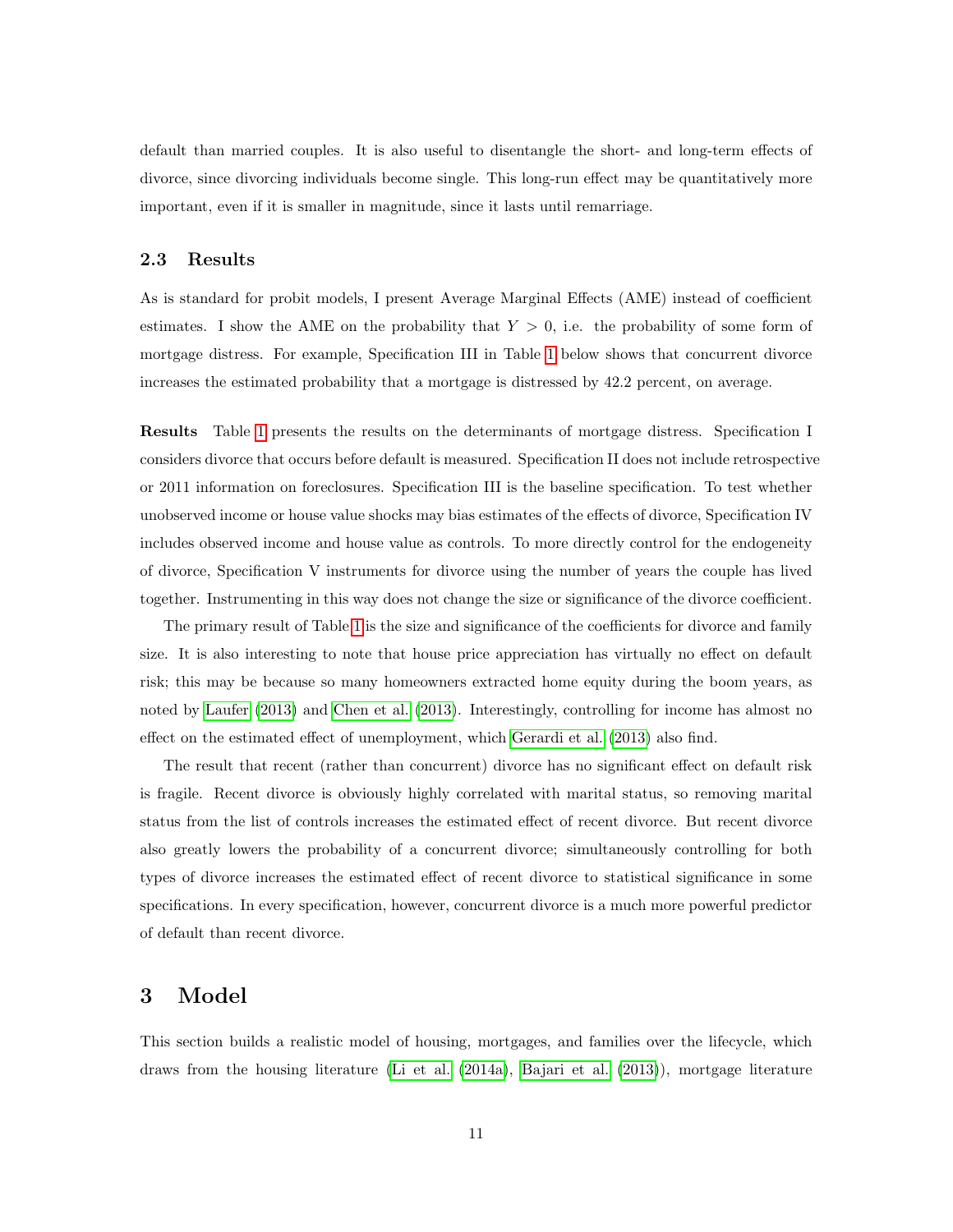default than married couples. It is also useful to disentangle the short- and long-term effects of divorce, since divorcing individuals become single. This long-run effect may be quantitatively more important, even if it is smaller in magnitude, since it lasts until remarriage.

### 2.3 Results

As is standard for probit models, I present Average Marginal Effects (AME) instead of coefficient estimates. I show the AME on the probability that  $Y > 0$ , i.e. the probability of some form of mortgage distress. For example, Specification III in Table [1](#page-11-0) below shows that concurrent divorce increases the estimated probability that a mortgage is distressed by 42.2 percent, on average.

Results Table [1](#page-11-0) presents the results on the determinants of mortgage distress. Specification I considers divorce that occurs before default is measured. Specification II does not include retrospective or 2011 information on foreclosures. Specification III is the baseline specification. To test whether unobserved income or house value shocks may bias estimates of the effects of divorce, Specification IV includes observed income and house value as controls. To more directly control for the endogeneity of divorce, Specification V instruments for divorce using the number of years the couple has lived together. Instrumenting in this way does not change the size or significance of the divorce coefficient.

The primary result of Table [1](#page-11-0) is the size and significance of the coefficients for divorce and family size. It is also interesting to note that house price appreciation has virtually no effect on default risk; this may be because so many homeowners extracted home equity during the boom years, as noted by [Laufer](#page-35-0) [\(2013\)](#page-35-0) and [Chen](#page-32-3) et al. [\(2013\)](#page-32-3). Interestingly, controlling for income has almost no effect on the estimated effect of unemployment, which [Gerardi](#page-33-6) et al. [\(2013\)](#page-33-6) also find.

The result that recent (rather than concurrent) divorce has no significant effect on default risk is fragile. Recent divorce is obviously highly correlated with marital status, so removing marital status from the list of controls increases the estimated effect of recent divorce. But recent divorce also greatly lowers the probability of a concurrent divorce; simultaneously controlling for both types of divorce increases the estimated effect of recent divorce to statistical significance in some specifications. In every specification, however, concurrent divorce is a much more powerful predictor of default than recent divorce.

## <span id="page-10-0"></span>3 Model

This section builds a realistic model of housing, mortgages, and families over the lifecycle, which draws from the housing literature (Li et [al.](#page-35-7) [\(2014a\)](#page-35-7), [Bajari](#page-32-0) et al. [\(2013\)](#page-32-0)), mortgage literature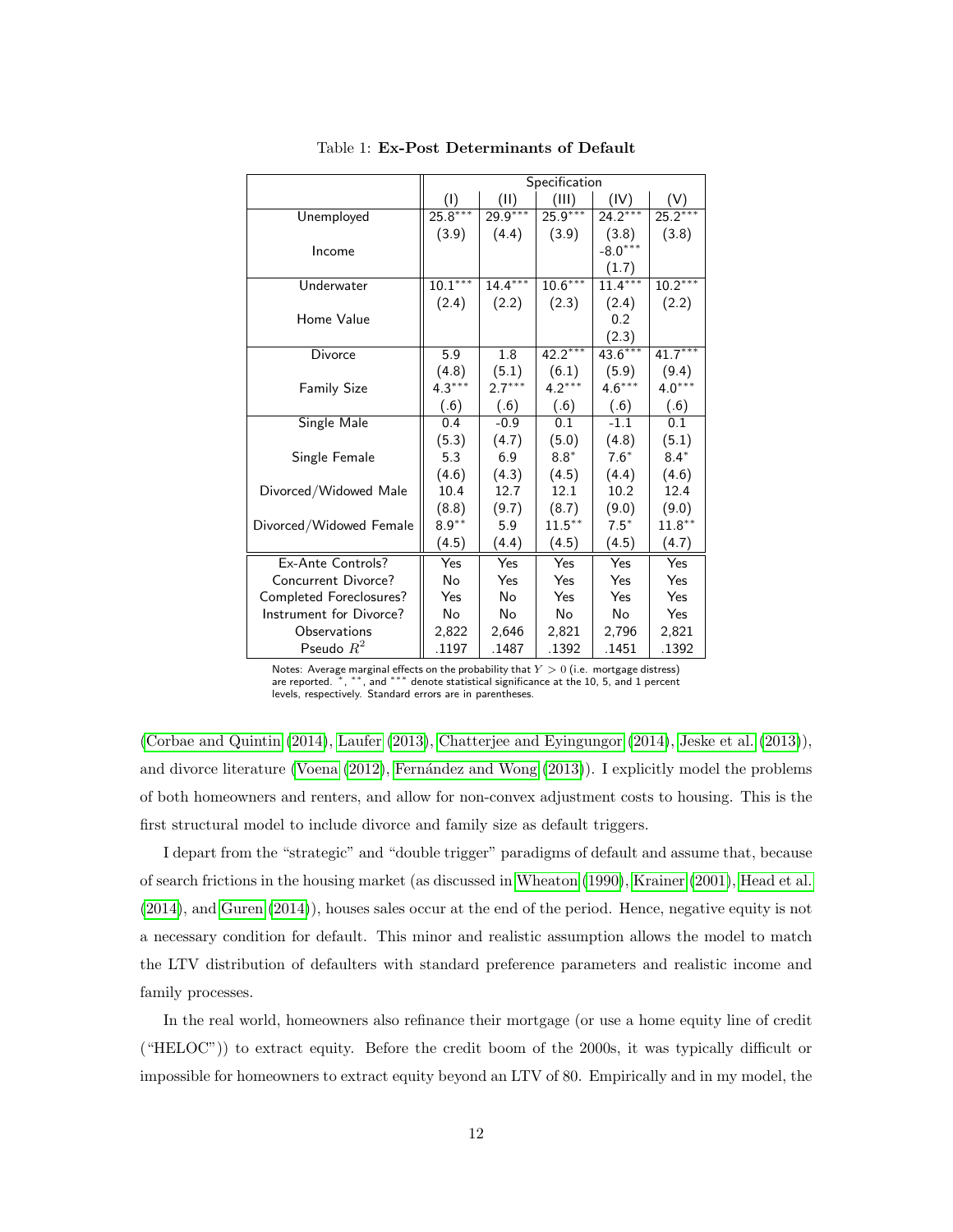<span id="page-11-0"></span>

|                         | Specification        |           |           |           |           |
|-------------------------|----------------------|-----------|-----------|-----------|-----------|
|                         | (1)                  | (11)      | (III)     | (IV)      |           |
| Unemployed              | $25.8***$            | 29.9***   | $25.9***$ | $24.2***$ | $25.2***$ |
|                         | (3.9)                | (4.4)     | (3.9)     | (3.8)     | (3.8)     |
| Income                  |                      |           |           | $-8.0***$ |           |
|                         |                      |           |           | (1.7)     |           |
| Underwater              | $10.\overline{1***}$ | $14.4***$ | $10.6***$ | $11.4***$ | $10.2***$ |
|                         | (2.4)                | (2.2)     | (2.3)     | (2.4)     | (2.2)     |
| Home Value              |                      |           |           | 0.2       |           |
|                         |                      |           |           | (2.3)     |           |
| Divorce                 | 5.9                  | 1.8       | $42.2***$ | $43.6***$ | $41.7***$ |
|                         | (4.8)                | (5.1)     | (6.1)     | (5.9)     | (9.4)     |
| <b>Family Size</b>      | $4.3***$             | $2.7***$  | $4.2***$  | $4.6***$  | $4.0***$  |
|                         | (.6)                 | (.6)      | (.6)      | (.6)      | (.6)      |
| Single Male             | 0.4                  | $-0.9$    | 0.1       | $-1.1$    | 0.1       |
|                         | (5.3)                | (4.7)     | (5.0)     | (4.8)     | (5.1)     |
| Single Female           | 5.3                  | 6.9       | $8.8*$    | $7.6*$    | $8.4*$    |
|                         | (4.6)                | (4.3)     | (4.5)     | (4.4)     | (4.6)     |
| Divorced/Widowed Male   | 10.4                 | 12.7      | 12.1      | 10.2      | 12.4      |
|                         | (8.8)                | (9.7)     | (8.7)     | (9.0)     | (9.0)     |
| Divorced/Widowed Female | $8.9***$             | 5.9       | $11.5***$ | $7.5*$    | $11.8***$ |
|                         | (4.5)                | (4.4)     | (4.5)     | (4.5)     | (4.7)     |
| Ex-Ante Controls?       | Yes                  | Yes       | Yes       | Yes       | Yes       |
| Concurrent Divorce?     | No                   | Yes       | Yes       | Yes       | Yes       |
| Completed Foreclosures? | Yes                  | No        | Yes       | Yes       | Yes       |
| Instrument for Divorce? | No                   | No        | No        | No        | Yes       |
| Observations            | 2,822                | 2,646     | 2,821     | 2,796     | 2,821     |
| Pseudo $R^2$            | .1197                | .1487     | .1392     | .1451     | .1392     |

Table 1: Ex-Post Determinants of Default

Notes: Average marginal effects on the probability that  $Y > 0$  (i.e. mortgage distress) are reported. \*, \*\*, and \*\*\* denote statistical significance at the 10, 5, and 1 percent levels, respectively. Standard errors are in parentheses.

(Corbae and [Quintin](#page-32-1) [\(2014\)](#page-32-1), [Laufer](#page-35-0) [\(2013\)](#page-35-0), Chatterjee and [Eyingungor](#page-32-5) [\(2014\)](#page-32-5), [Jeske](#page-35-4) et al. [\(2013\)](#page-35-4)), and divorce literature [\(Voena](#page-36-6) [\(2012\)](#page-36-6), Fernández and Wong [\(2013\)](#page-33-10)). I explicitly model the problems of both homeowners and renters, and allow for non-convex adjustment costs to housing. This is the first structural model to include divorce and family size as default triggers.

I depart from the "strategic" and "double trigger" paradigms of default and assume that, because of search frictions in the housing market (as discussed in [Wheaton](#page-36-7) [\(1990\)](#page-36-7), [Krainer](#page-35-10) [\(2001\)](#page-35-10), [Head](#page-34-9) et al. [\(2014\)](#page-34-9), and [Guren](#page-34-1) [\(2014\)](#page-34-1)), houses sales occur at the end of the period. Hence, negative equity is not a necessary condition for default. This minor and realistic assumption allows the model to match the LTV distribution of defaulters with standard preference parameters and realistic income and family processes.

In the real world, homeowners also refinance their mortgage (or use a home equity line of credit ("HELOC")) to extract equity. Before the credit boom of the 2000s, it was typically difficult or impossible for homeowners to extract equity beyond an LTV of 80. Empirically and in my model, the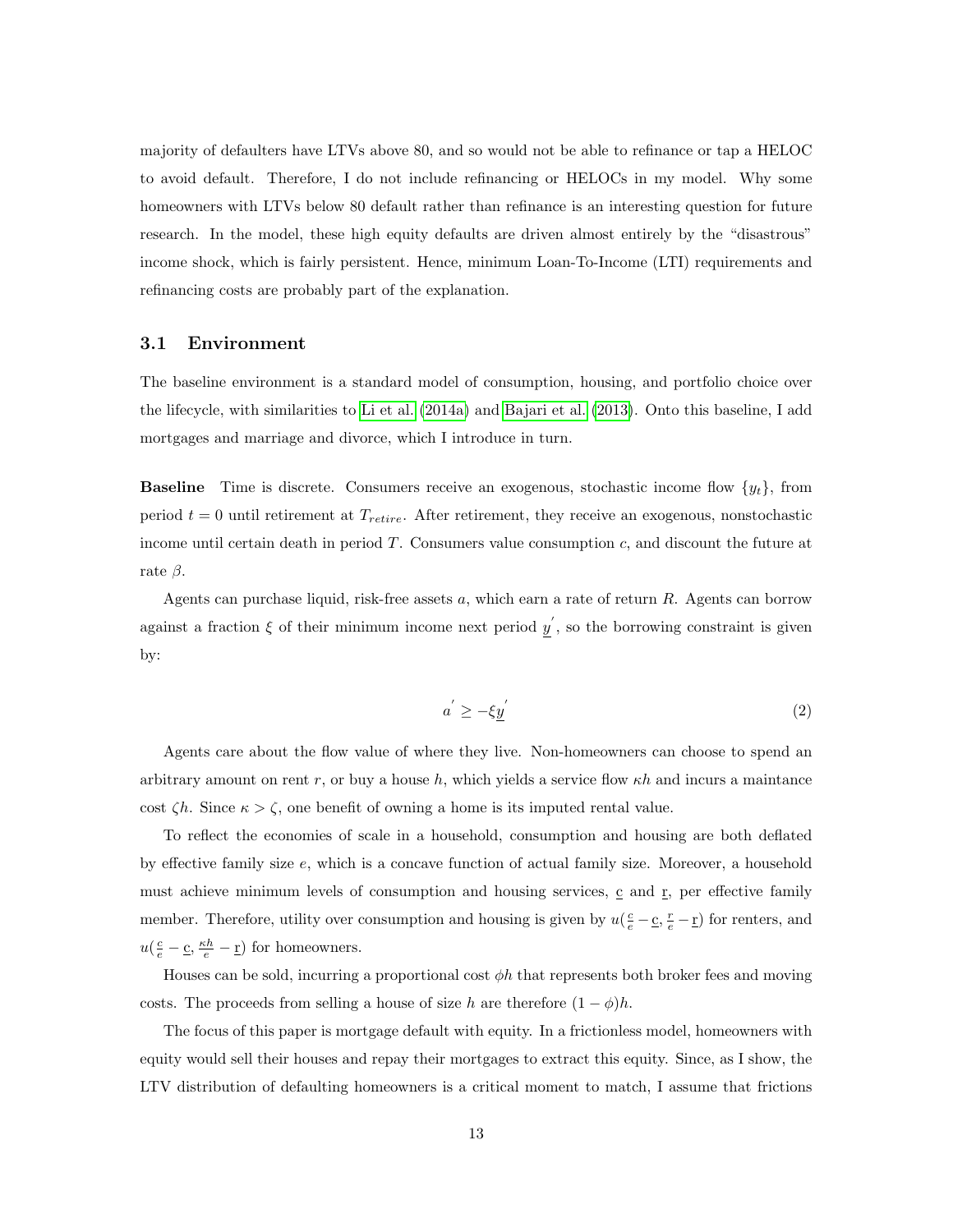majority of defaulters have LTVs above 80, and so would not be able to refinance or tap a HELOC to avoid default. Therefore, I do not include refinancing or HELOCs in my model. Why some homeowners with LTVs below 80 default rather than refinance is an interesting question for future research. In the model, these high equity defaults are driven almost entirely by the "disastrous" income shock, which is fairly persistent. Hence, minimum Loan-To-Income (LTI) requirements and refinancing costs are probably part of the explanation.

#### 3.1 Environment

The baseline environment is a standard model of consumption, housing, and portfolio choice over the lifecycle, with similarities to Li et [al.](#page-35-7) [\(2014a\)](#page-35-7) and [Bajari](#page-32-0) et al. [\(2013\)](#page-32-0). Onto this baseline, I add mortgages and marriage and divorce, which I introduce in turn.

**Baseline** Time is discrete. Consumers receive an exogenous, stochastic income flow  $\{y_t\}$ , from period  $t = 0$  until retirement at  $T_{retrie}$ . After retirement, they receive an exogenous, nonstochastic income until certain death in period  $T$ . Consumers value consumption  $c$ , and discount the future at rate  $\beta$ .

<span id="page-12-0"></span>Agents can purchase liquid, risk-free assets a, which earn a rate of return R. Agents can borrow against a fraction  $\xi$  of their minimum income next period  $y'$ , so the borrowing constraint is given by:

$$
a^{'} \ge -\xi \underline{y}^{'} \tag{2}
$$

Agents care about the flow value of where they live. Non-homeowners can choose to spend an arbitrary amount on rent r, or buy a house h, which yields a service flow  $\kappa h$  and incurs a maintance cost  $\zeta h$ . Since  $\kappa > \zeta$ , one benefit of owning a home is its imputed rental value.

To reflect the economies of scale in a household, consumption and housing are both deflated by effective family size  $e$ , which is a concave function of actual family size. Moreover, a household must achieve minimum levels of consumption and housing services,  $\mathbf{c}$  and  $\mathbf{r}$ , per effective family member. Therefore, utility over consumption and housing is given by  $u(\frac{c}{e} - \underline{c}, \frac{r}{e} - \underline{r})$  for renters, and  $u(\frac{c}{e} - \underline{c}, \frac{\kappa h}{e} - \underline{r})$  for homeowners.

Houses can be sold, incurring a proportional cost  $\phi h$  that represents both broker fees and moving costs. The proceeds from selling a house of size h are therefore  $(1 - \phi)h$ .

The focus of this paper is mortgage default with equity. In a frictionless model, homeowners with equity would sell their houses and repay their mortgages to extract this equity. Since, as I show, the LTV distribution of defaulting homeowners is a critical moment to match, I assume that frictions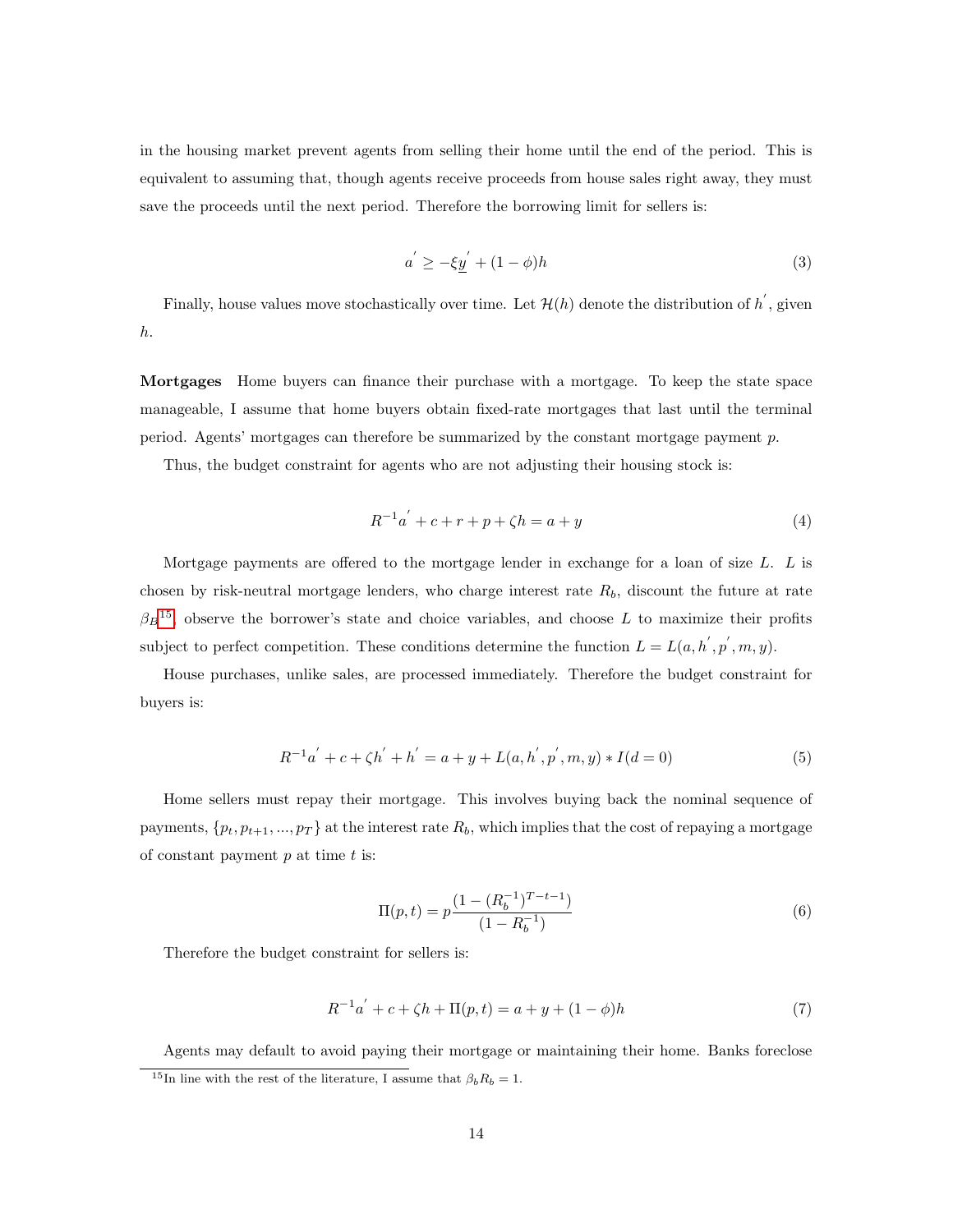<span id="page-13-1"></span>in the housing market prevent agents from selling their home until the end of the period. This is equivalent to assuming that, though agents receive proceeds from house sales right away, they must save the proceeds until the next period. Therefore the borrowing limit for sellers is:

$$
a' \ge -\xi \underline{y}' + (1 - \phi)h \tag{3}
$$

Finally, house values move stochastically over time. Let  $\mathcal{H}(h)$  denote the distribution of  $h^{'}$ , given h.

Mortgages Home buyers can finance their purchase with a mortgage. To keep the state space manageable, I assume that home buyers obtain fixed-rate mortgages that last until the terminal period. Agents' mortgages can therefore be summarized by the constant mortgage payment p.

<span id="page-13-0"></span>Thus, the budget constraint for agents who are not adjusting their housing stock is:

$$
R^{-1}a^{'} + c + r + p + \zeta h = a + y \tag{4}
$$

Mortgage payments are offered to the mortgage lender in exchange for a loan of size L. L is chosen by risk-neutral mortgage lenders, who charge interest rate  $R_b$ , discount the future at rate  $\beta_B$ <sup>[15](#page-0-0)</sup>, observe the borrower's state and choice variables, and choose L to maximize their profits subject to perfect competition. These conditions determine the function  $L = L(a, h', p', m, y)$ .

House purchases, unlike sales, are processed immediately. Therefore the budget constraint for buyers is:

$$
R^{-1}a^{'} + c + \zeta h^{'} + h^{'} = a + y + L(a, h^{'}, p^{'}, m, y) * I(d = 0)
$$
\n(5)

Home sellers must repay their mortgage. This involves buying back the nominal sequence of payments,  $\{p_t, p_{t+1}, ..., p_T\}$  at the interest rate  $R_b$ , which implies that the cost of repaying a mortgage of constant payment  $p$  at time  $t$  is:

$$
\Pi(p,t) = p \frac{(1 - (R_b^{-1})^{T-t-1})}{(1 - R_b^{-1})}
$$
\n(6)

<span id="page-13-2"></span>Therefore the budget constraint for sellers is:

$$
R^{-1}a^{'} + c + \zeta h + \Pi(p, t) = a + y + (1 - \phi)h
$$
\n(7)

Agents may default to avoid paying their mortgage or maintaining their home. Banks foreclose <sup>15</sup>In line with the rest of the literature, I assume that  $\beta_b R_b = 1$ .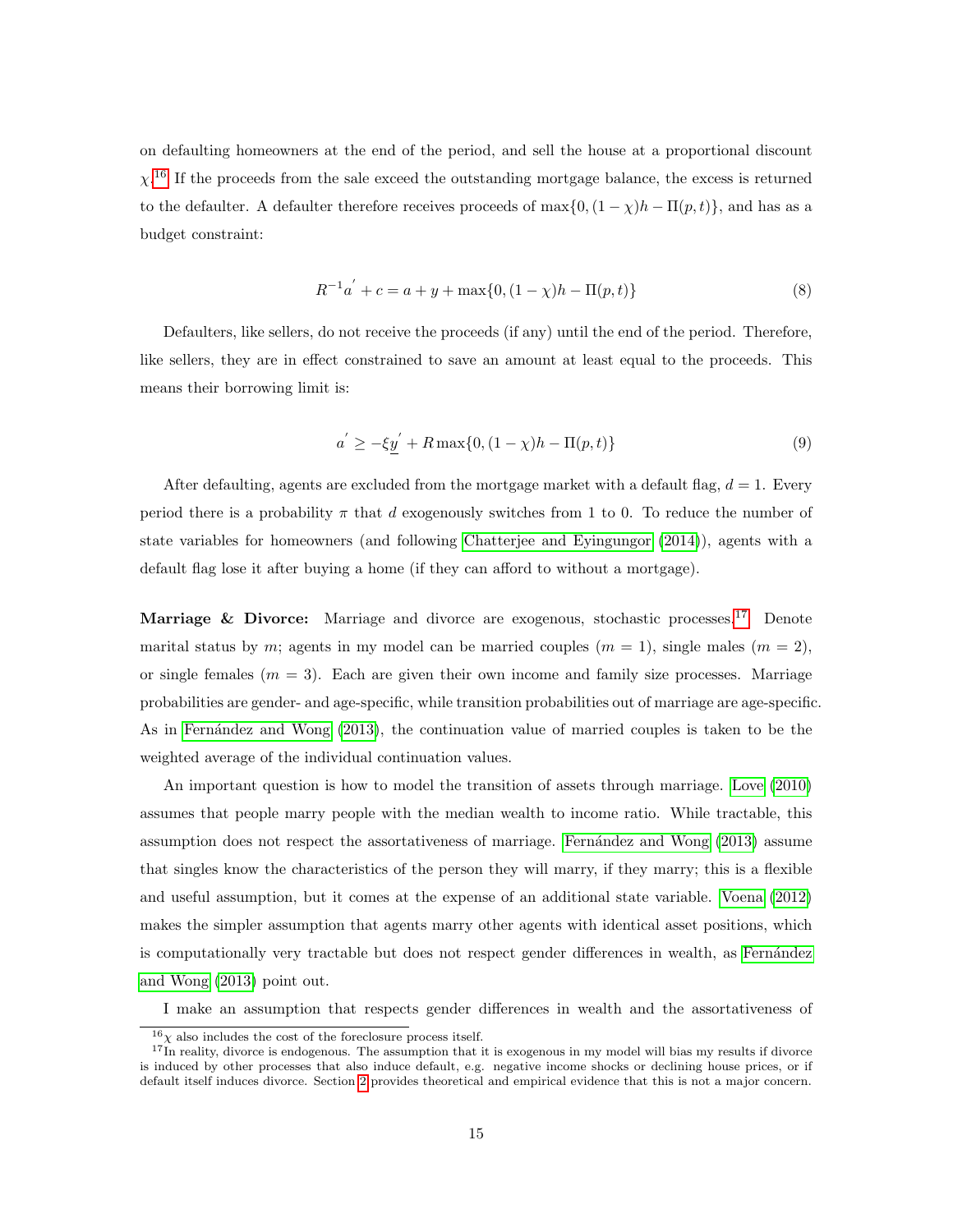$\chi$ <sup>[16](#page-0-0)</sup> If the proceeds from the sale exceed the outstanding mortgage balance, the excess is returned on defaulting homeowners at the end of the period, and sell the house at a proportional discount to the defaulter. A defaulter therefore receives proceeds of  $\max\{0, (1 - \chi)h - \Pi(p, t)\}\)$ , and has as a budget constraint:

$$
R^{-1}a^{'} + c = a + y + \max\{0, (1 - \chi)h - \Pi(p, t)\}\tag{8}
$$

<span id="page-14-1"></span><span id="page-14-0"></span>Defaulters, like sellers, do not receive the proceeds (if any) until the end of the period. Therefore, like sellers, they are in effect constrained to save an amount at least equal to the proceeds. This means their borrowing limit is:

$$
a' \ge -\xi \underline{y}' + R \max\{0, (1 - \chi)h - \Pi(p, t)\}\tag{9}
$$

After defaulting, agents are excluded from the mortgage market with a default flag,  $d = 1$ . Every period there is a probability  $\pi$  that d exogenously switches from 1 to 0. To reduce the number of state variables for homeowners (and following Chatterjee and [Eyingungor](#page-32-5) [\(2014\)](#page-32-5)), agents with a default flag lose it after buying a home (if they can afford to without a mortgage).

Marriage & Divorce: Marriage and divorce are exogenous, stochastic processes.<sup>[17](#page-0-0)</sup> Denote marital status by m; agents in my model can be married couples  $(m = 1)$ , single males  $(m = 2)$ , or single females  $(m = 3)$ . Each are given their own income and family size processes. Marriage probabilities are gender- and age-specific, while transition probabilities out of marriage are age-specific. As in Fernández and Wong [\(2013\)](#page-33-10), the continuation value of married couples is taken to be the weighted average of the individual continuation values.

An important question is how to model the transition of assets through marriage. [Love](#page-35-11) [\(2010\)](#page-35-11) assumes that people marry people with the median wealth to income ratio. While tractable, this assumption does not respect the assortativeness of marriage. Fernandez and Wong [\(2013\)](#page-33-10) assume that singles know the characteristics of the person they will marry, if they marry; this is a flexible and useful assumption, but it comes at the expense of an additional state variable. [Voena](#page-36-6) [\(2012\)](#page-36-6) makes the simpler assumption that agents marry other agents with identical asset positions, which is computationally very tractable but does not respect gender differences in wealth, as Fernández and [Wong](#page-33-10) [\(2013\)](#page-33-10) point out.

I make an assumption that respects gender differences in wealth and the assortativeness of

 $^{16}\chi$  also includes the cost of the foreclosure process itself.

 $17$ In reality, divorce is endogenous. The assumption that it is exogenous in my model will bias my results if divorce is induced by other processes that also induce default, e.g. negative income shocks or declining house prices, or if default itself induces divorce. Section [2](#page-5-0) provides theoretical and empirical evidence that this is not a major concern.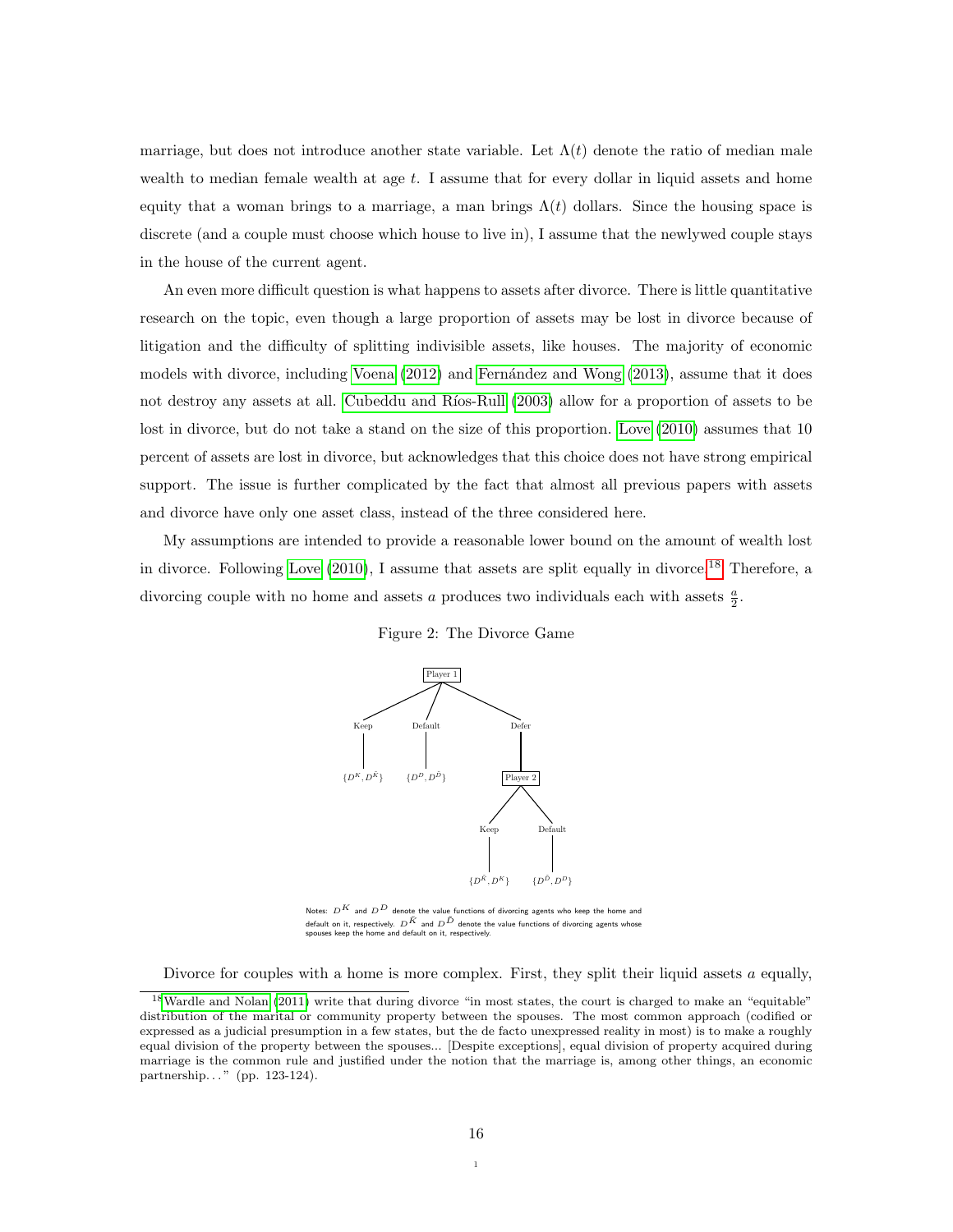marriage, but does not introduce another state variable. Let  $\Lambda(t)$  denote the ratio of median male wealth to median female wealth at age  $t$ . I assume that for every dollar in liquid assets and home equity that a woman brings to a marriage, a man brings  $\Lambda(t)$  dollars. Since the housing space is discrete (and a couple must choose which house to live in), I assume that the newlywed couple stays in the house of the current agent.

An even more difficult question is what happens to assets after divorce. There is little quantitative research on the topic, even though a large proportion of assets may be lost in divorce because of litigation and the difficulty of splitting indivisible assets, like houses. The majority of economic models with divorce, including [Voena](#page-36-6) [\(2012\)](#page-36-6) and Fernández and Wong [\(2013\)](#page-33-10), assume that it does not destroy any assets at all. Cubeddu and Ríos-Rull [\(2003\)](#page-32-8) allow for a proportion of assets to be lost in divorce, but do not take a stand on the size of this proportion. [Love](#page-35-11) [\(2010\)](#page-35-11) assumes that 10 percent of assets are lost in divorce, but acknowledges that this choice does not have strong empirical support. The issue is further complicated by the fact that almost all previous papers with assets and divorce have only one asset class, instead of the three considered here.

<span id="page-15-0"></span>in divorce. Following [Love](#page-35-11) [\(2010\)](#page-35-11), I assume that assets are split equally in divorce.<sup>[18](#page-0-0)</sup> Therefore, a divorcing couple with no home and assets  $a$  produces two individuals each with assets  $\frac{a}{2}$ . My assumptions are intended to provide a reasonable lower bound on the amount of wealth lost





Notes:  $D^{K}$  and  $D^{D}$  denote the value functions of divorcing agents who keep default on it, respectively.  $D^{\tilde{K}}$  and  $D^{\tilde{D}}$  denote the value functions of divorcing agents whose<br>spouses keep the home and default on it, respectively.

Divorce for couples with a home is more complex. First, they split their liquid assets  $a$  equally,

<sup>&</sup>lt;sup>18</sup>[Wardle](#page-36-8) and Nolan [\(2011\)](#page-36-8) write that during divorce "in most states, the court is charged to make an "equitable" distribution of the marital or community property between the spouses. The most common approach (codified or expressed as a judicial presumption in a few states, but the de facto unexpressed reality in most) is to make a roughly equal division of the property between the spouses... [Despite exceptions], equal division of property acquired during marriage is the common rule and justified under the notion that the marriage is, among other things, an economic partnership..." (pp. 123-124).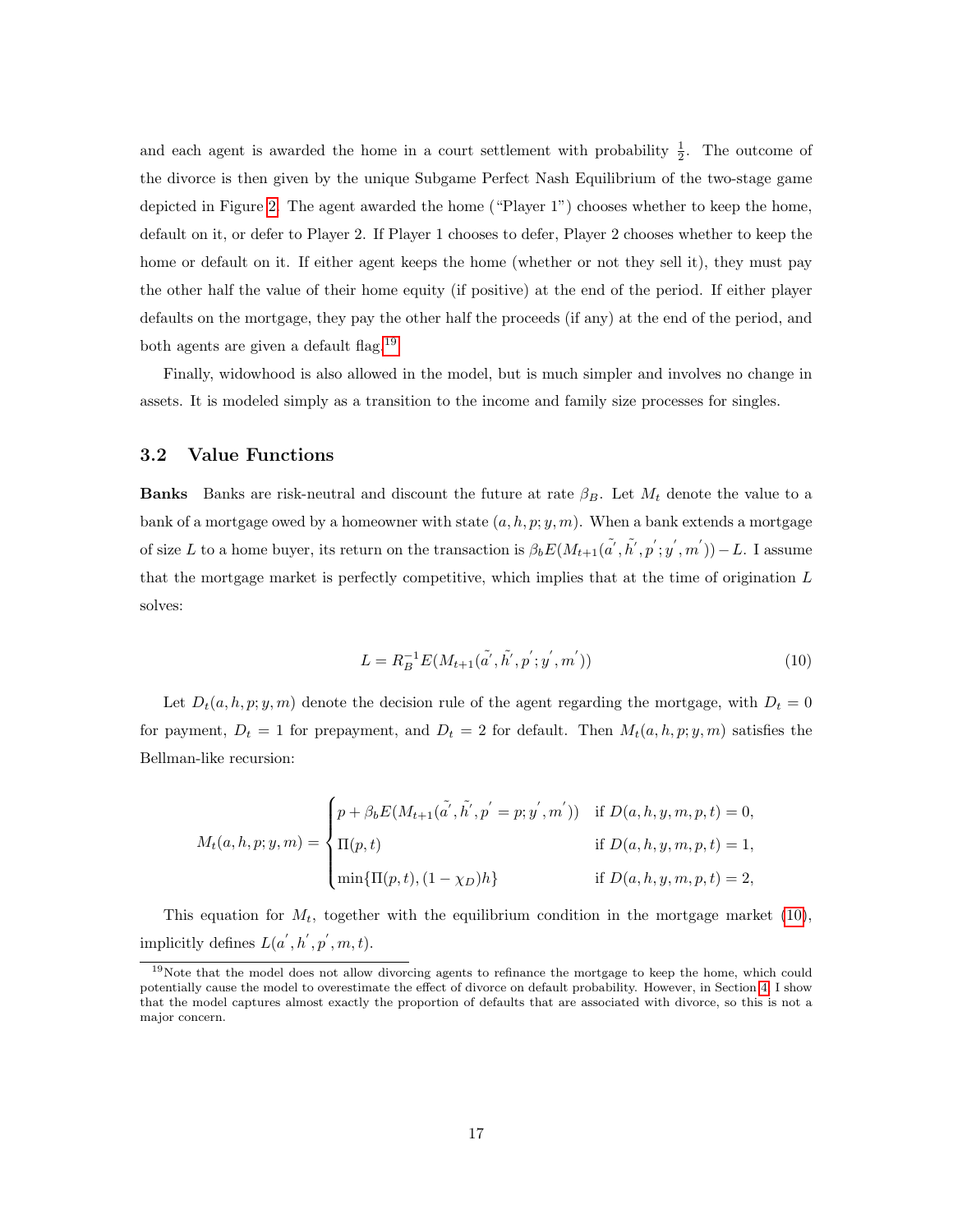and each agent is awarded the home in a court settlement with probability  $\frac{1}{2}$ . The outcome of the divorce is then given by the unique Subgame Perfect Nash Equilibrium of the two-stage game depicted in Figure [2.](#page-15-0) The agent awarded the home ("Player 1") chooses whether to keep the home, default on it, or defer to Player 2. If Player 1 chooses to defer, Player 2 chooses whether to keep the home or default on it. If either agent keeps the home (whether or not they sell it), they must pay the other half the value of their home equity (if positive) at the end of the period. If either player defaults on the mortgage, they pay the other half the proceeds (if any) at the end of the period, and both agents are given a default flag.[19](#page-0-0)

Finally, widowhood is also allowed in the model, but is much simpler and involves no change in assets. It is modeled simply as a transition to the income and family size processes for singles.

### 3.2 Value Functions

**Banks** Banks are risk-neutral and discount the future at rate  $\beta_B$ . Let  $M_t$  denote the value to a bank of a mortgage owed by a homeowner with state  $(a, h, p; y, m)$ . When a bank extends a mortgage of size L to a home buyer, its return on the transaction is  $\beta_b E(M_{t+1}(\tilde{a}', \tilde{h}', p'; y', m')) - L$ . I assume that the mortgage market is perfectly competitive, which implies that at the time of origination  $L$ solves:

$$
L = R_B^{-1} E(M_{t+1}(\tilde{a}', \tilde{h}', p'; y', m'))
$$
\n(10)

<span id="page-16-0"></span>Let  $D_t(a, h, p; y, m)$  denote the decision rule of the agent regarding the mortgage, with  $D_t = 0$ for payment,  $D_t = 1$  for prepayment, and  $D_t = 2$  for default. Then  $M_t(a, h, p; y, m)$  satisfies the Bellman-like recursion:

$$
M_t(a, h, p; y, m) = \begin{cases} p + \beta_b E(M_{t+1}(\tilde{a}', \tilde{h}', p' = p; y', m')) & \text{if } D(a, h, y, m, p, t) = 0, \\ \Pi(p, t) & \text{if } D(a, h, y, m, p, t) = 1, \\ \min\{\Pi(p, t), (1 - \chi_D)h\} & \text{if } D(a, h, y, m, p, t) = 2, \end{cases}
$$

This equation for  $M_t$ , together with the equilibrium condition in the mortgage market [\(10\)](#page-16-0), implicitly defines  $L(a', h', p', m, t)$ .

<sup>19</sup>Note that the model does not allow divorcing agents to refinance the mortgage to keep the home, which could potentially cause the model to overestimate the effect of divorce on default probability. However, in Section [4,](#page-18-0) I show that the model captures almost exactly the proportion of defaults that are associated with divorce, so this is not a major concern.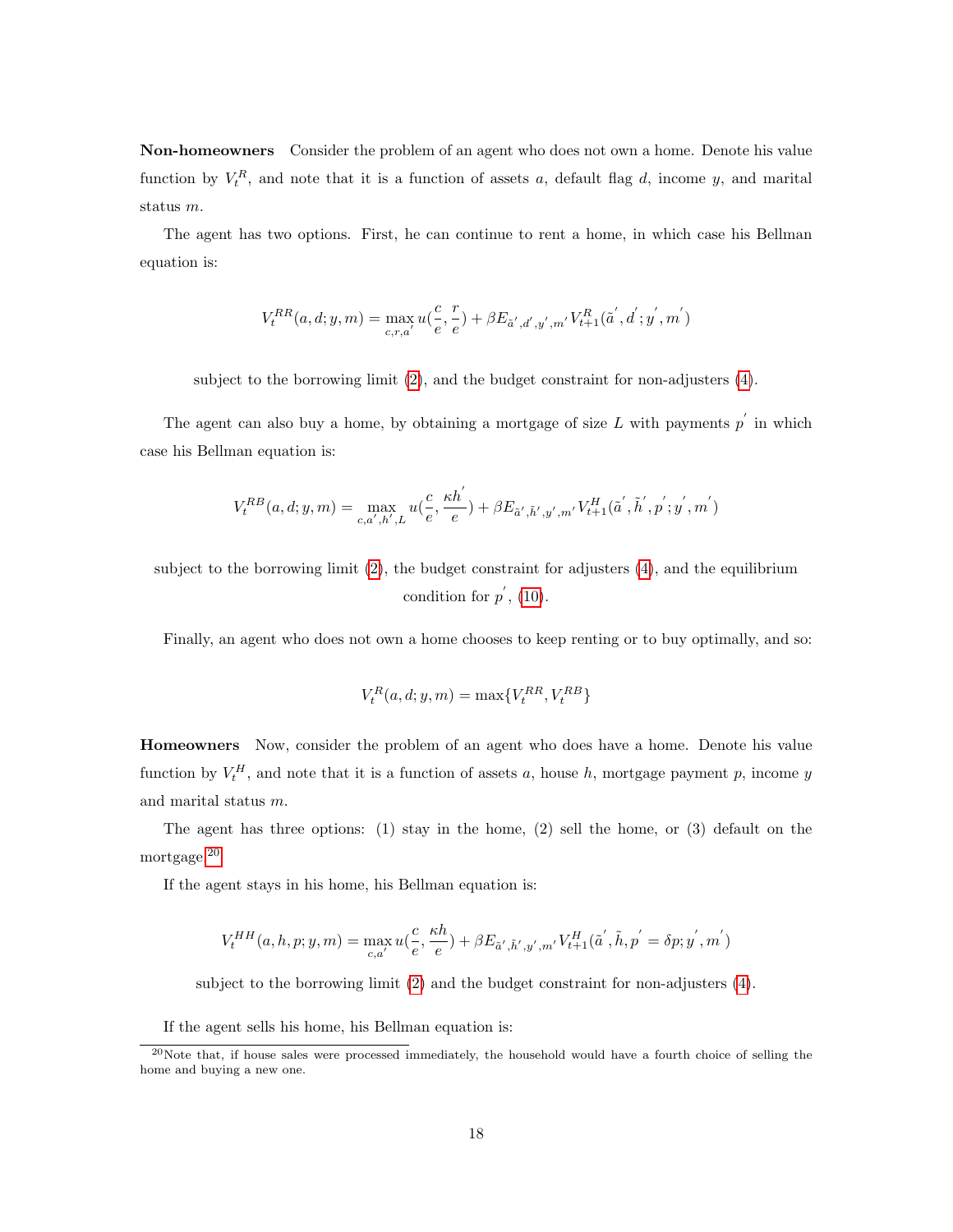Non-homeowners Consider the problem of an agent who does not own a home. Denote his value function by  $V_t^R$ , and note that it is a function of assets a, default flag d, income y, and marital status m.

The agent has two options. First, he can continue to rent a home, in which case his Bellman equation is:

$$
V^{RR}_t(a,d;y,m) = \max_{c,r,a'} u(\frac{c}{e}, \frac{r}{e}) + \beta E_{\tilde{a}',d',y',m'} V^R_{t+1}(\tilde{a}',d';y',m')
$$

subject to the borrowing limit [\(2\)](#page-12-0), and the budget constraint for non-adjusters [\(4\)](#page-13-0).

The agent can also buy a home, by obtaining a mortgage of size L with payments  $p'$  in which case his Bellman equation is:

$$
V_t^{RB}(a, d; y, m) = \max_{c, a', h', L} u(\frac{c}{e}, \frac{\kappa h'}{e}) + \beta E_{\tilde{a}', \tilde{h}', y', m'} V_{t+1}^H(\tilde{a}', \tilde{h}', p'; y', m')
$$

subject to the borrowing limit  $(2)$ , the budget constraint for adjusters  $(4)$ , and the equilibrium condition for  $p'$ , [\(10\)](#page-16-0).

Finally, an agent who does not own a home chooses to keep renting or to buy optimally, and so:

$$
V_t^R(a,d;y,m)=\max\{V_t^{RR},V_t^{RB}\}
$$

Homeowners Now, consider the problem of an agent who does have a home. Denote his value function by  $V_t^H$ , and note that it is a function of assets a, house h, mortgage payment p, income y and marital status m.

The agent has three options: (1) stay in the home, (2) sell the home, or (3) default on the mortgage.[20](#page-0-0)

If the agent stays in his home, his Bellman equation is:

$$
V^{HH}_t(a,h,p;y,m)=\max_{c,a'} u(\frac{c}{e},\frac{\kappa h}{e})+\beta E_{\tilde{a}',\tilde{h}',y',m'}V^H_{t+1}(\tilde{a}',\tilde{h},p'=\delta p;y',m')
$$

subject to the borrowing limit [\(2\)](#page-12-0) and the budget constraint for non-adjusters [\(4\)](#page-13-0).

If the agent sells his home, his Bellman equation is:

<sup>&</sup>lt;sup>20</sup>Note that, if house sales were processed immediately, the household would have a fourth choice of selling the home and buying a new one.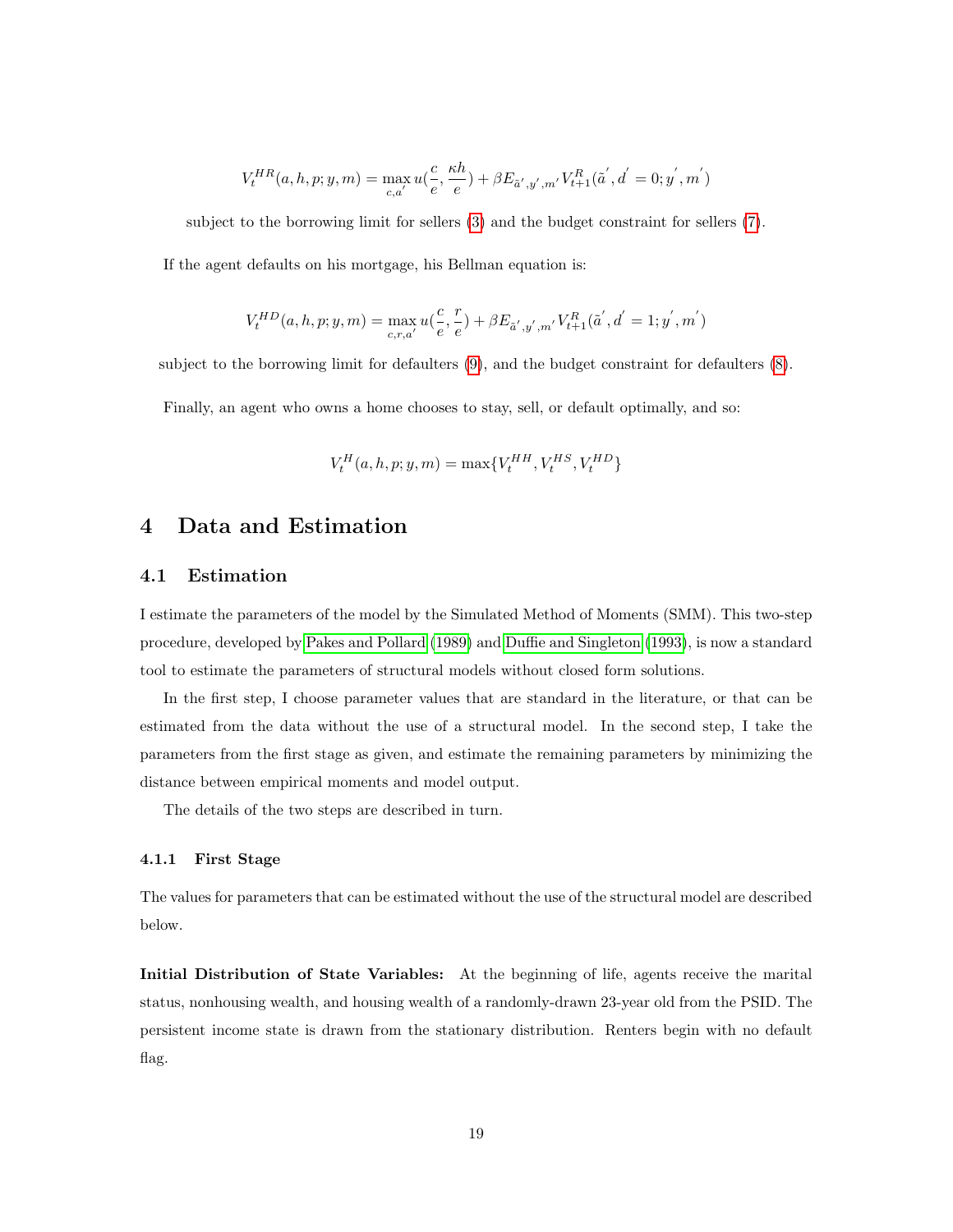$$
V_t^{HR}(a, h, p; y, m) = \max_{c, a'} u(\frac{c}{e}, \frac{\kappa h}{e}) + \beta E_{\tilde{a}', y', m'} V_{t+1}^R(\tilde{a}', d' = 0; y', m')
$$

subject to the borrowing limit for sellers [\(3\)](#page-13-1) and the budget constraint for sellers [\(7\)](#page-13-2).

If the agent defaults on his mortgage, his Bellman equation is:

$$
V_t^{HD}(a, h, p; y, m) = \max_{c, r, a'} u(\frac{c}{e}, \frac{r}{e}) + \beta E_{\tilde{a}', y', m'} V_{t+1}^R(\tilde{a}', d' = 1; y', m')
$$

subject to the borrowing limit for defaulters [\(9\)](#page-14-0), and the budget constraint for defaulters [\(8\)](#page-14-1).

Finally, an agent who owns a home chooses to stay, sell, or default optimally, and so:

$$
V_t^H(a, h, p; y, m) = \max\{V_t^{HH}, V_t^{HS}, V_t^{HD}\}\
$$

## <span id="page-18-0"></span>4 Data and Estimation

### 4.1 Estimation

I estimate the parameters of the model by the Simulated Method of Moments (SMM). This two-step procedure, developed by Pakes and [Pollard](#page-36-9) [\(1989\)](#page-36-9) and Duffie and [Singleton](#page-33-11) [\(1993\)](#page-33-11), is now a standard tool to estimate the parameters of structural models without closed form solutions.

In the first step, I choose parameter values that are standard in the literature, or that can be estimated from the data without the use of a structural model. In the second step, I take the parameters from the first stage as given, and estimate the remaining parameters by minimizing the distance between empirical moments and model output.

The details of the two steps are described in turn.

#### 4.1.1 First Stage

The values for parameters that can be estimated without the use of the structural model are described below.

Initial Distribution of State Variables: At the beginning of life, agents receive the marital status, nonhousing wealth, and housing wealth of a randomly-drawn 23-year old from the PSID. The persistent income state is drawn from the stationary distribution. Renters begin with no default flag.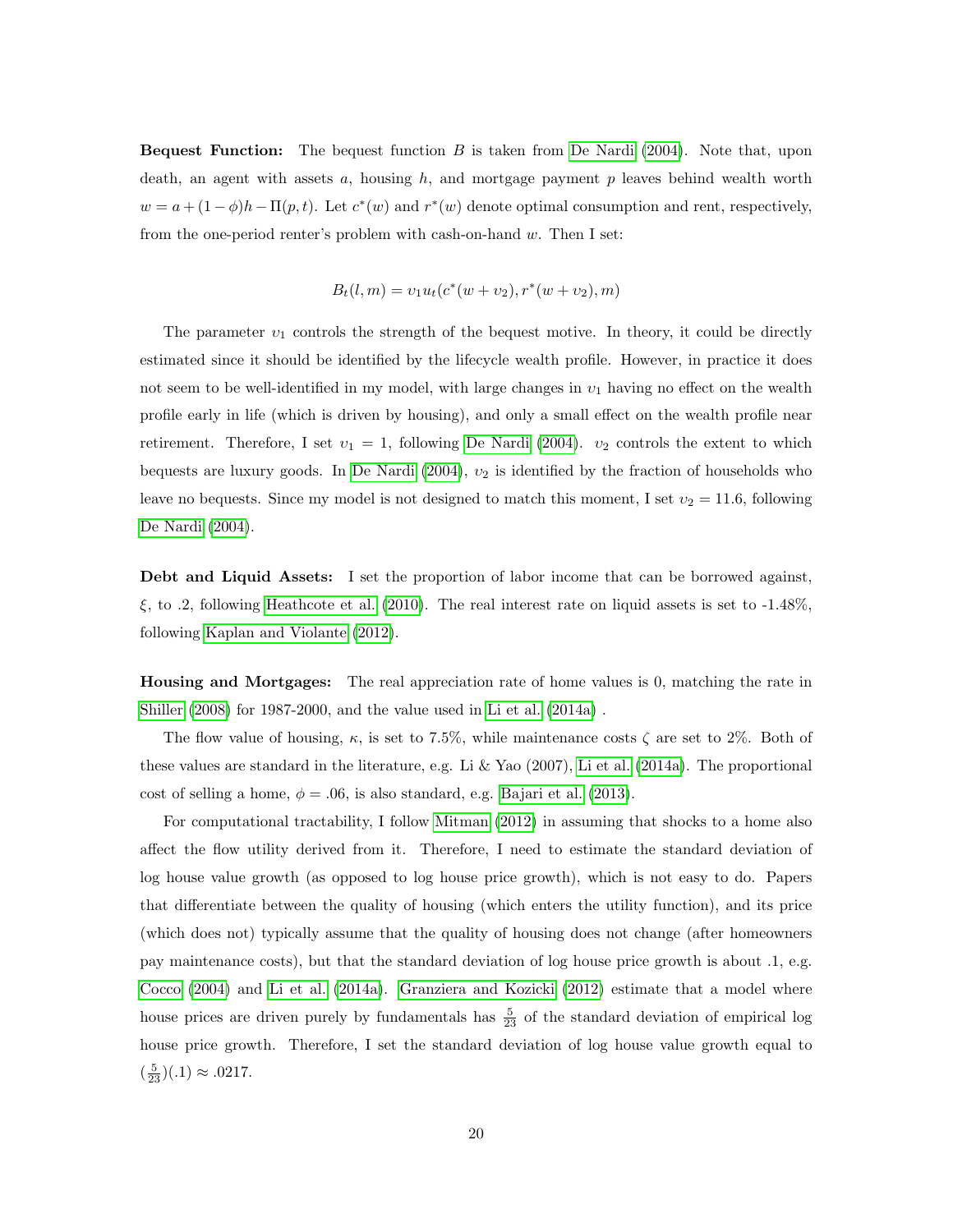**Bequest Function:** The bequest function  $B$  is taken from De [Nardi](#page-33-12) [\(2004\)](#page-33-12). Note that, upon death, an agent with assets  $a$ , housing  $h$ , and mortgage payment  $p$  leaves behind wealth worth  $w = a + (1 - \phi)h - \Pi(p, t)$ . Let  $c^*(w)$  and  $r^*(w)$  denote optimal consumption and rent, respectively, from the one-period renter's problem with cash-on-hand w. Then I set:

$$
B_t(l,m) = v_1 u_t(c^*(w + v_2), r^*(w + v_2), m)
$$

The parameter  $v_1$  controls the strength of the bequest motive. In theory, it could be directly estimated since it should be identified by the lifecycle wealth profile. However, in practice it does not seem to be well-identified in my model, with large changes in  $v_1$  having no effect on the wealth profile early in life (which is driven by housing), and only a small effect on the wealth profile near retirement. Therefore, I set  $v_1 = 1$ , following De [Nardi](#page-33-12) [\(2004\)](#page-33-12).  $v_2$  controls the extent to which bequests are luxury goods. In De [Nardi](#page-33-12) [\(2004\)](#page-33-12),  $v_2$  is identified by the fraction of households who leave no bequests. Since my model is not designed to match this moment, I set  $v_2 = 11.6$ , following De [Nardi](#page-33-12) [\(2004\)](#page-33-12).

Debt and Liquid Assets: I set the proportion of labor income that can be borrowed against,  $\xi$ , to .2, following [Heathcote](#page-34-10) et al. [\(2010\)](#page-34-10). The real interest rate on liquid assets is set to -1.48%, following Kaplan and [Violante](#page-35-12) [\(2012\)](#page-35-12).

Housing and Mortgages: The real appreciation rate of home values is 0, matching the rate in [Shiller](#page-36-10) [\(2008\)](#page-36-10) for 1987-2000, and the value used in Li et [al.](#page-35-7) [\(2014a\)](#page-35-7) .

The flow value of housing,  $\kappa$ , is set to 7.5%, while maintenance costs  $\zeta$  are set to 2%. Both of these values are standard in the literature, e.g. Li & Yao (2007), Li et [al.](#page-35-7) [\(2014a\)](#page-35-7). The proportional cost of selling a home,  $\phi = .06$ , is also standard, e.g. [Bajari](#page-32-0) et al. [\(2013\)](#page-32-0).

For computational tractability, I follow [Mitman](#page-35-3) [\(2012\)](#page-35-3) in assuming that shocks to a home also affect the flow utility derived from it. Therefore, I need to estimate the standard deviation of log house value growth (as opposed to log house price growth), which is not easy to do. Papers that differentiate between the quality of housing (which enters the utility function), and its price (which does not) typically assume that the quality of housing does not change (after homeowners pay maintenance costs), but that the standard deviation of log house price growth is about .1, e.g. [Cocco](#page-32-9) [\(2004\)](#page-32-9) and Li et [al.](#page-35-7) [\(2014a\)](#page-35-7). [Granziera](#page-34-11) and Kozicki [\(2012\)](#page-34-11) estimate that a model where house prices are driven purely by fundamentals has  $\frac{5}{23}$  of the standard deviation of empirical log house price growth. Therefore, I set the standard deviation of log house value growth equal to  $(\frac{5}{23})(.1) \approx .0217.$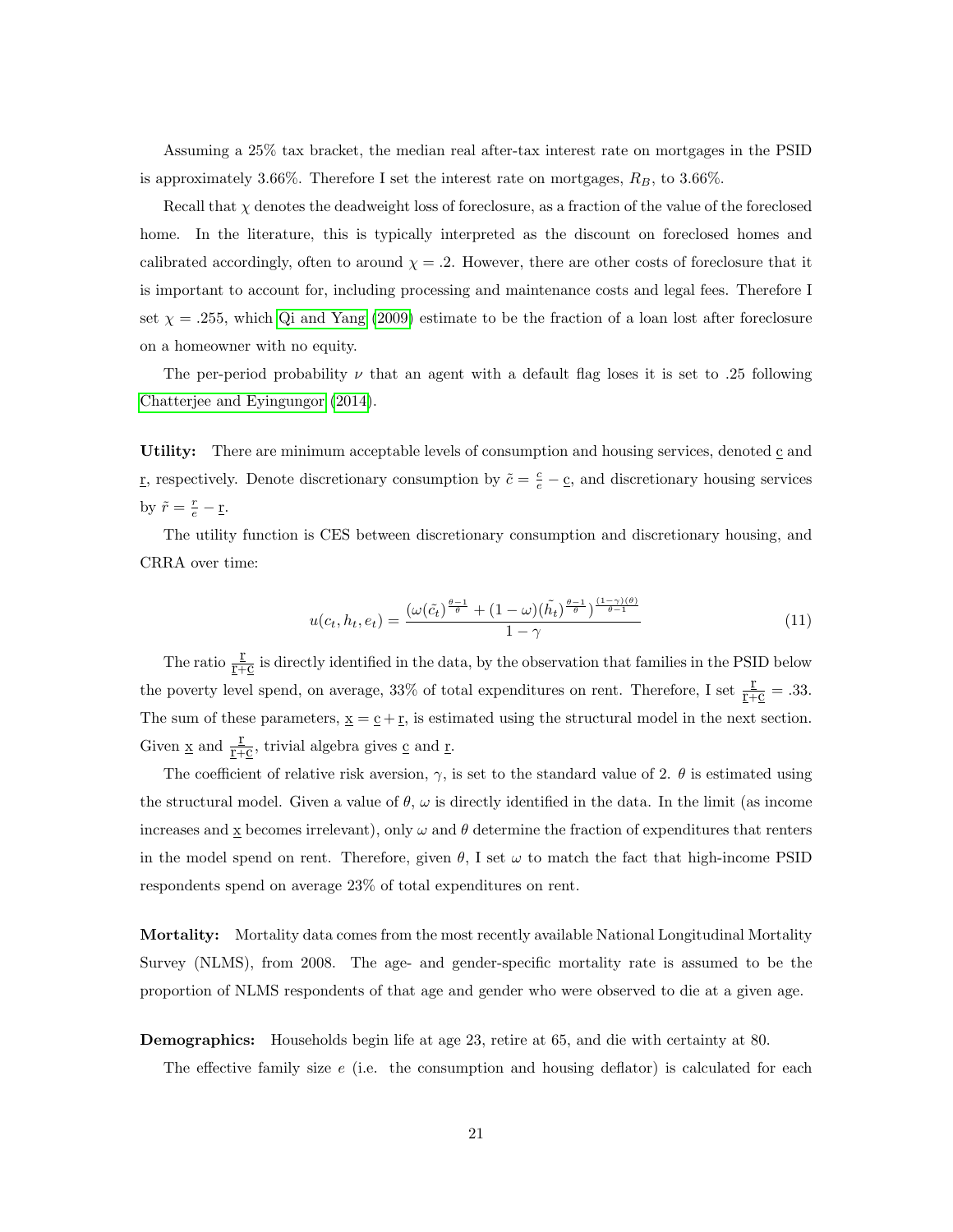Assuming a 25% tax bracket, the median real after-tax interest rate on mortgages in the PSID is approximately 3.66%. Therefore I set the interest rate on mortgages,  $R_B$ , to 3.66%.

Recall that  $\chi$  denotes the deadweight loss of foreclosure, as a fraction of the value of the foreclosed home. In the literature, this is typically interpreted as the discount on foreclosed homes and calibrated accordingly, often to around  $\chi = .2$ . However, there are other costs of foreclosure that it is important to account for, including processing and maintenance costs and legal fees. Therefore I set  $\chi = .255$ , which Qi and [Yang](#page-36-0) [\(2009\)](#page-36-0) estimate to be the fraction of a loan lost after foreclosure on a homeowner with no equity.

The per-period probability  $\nu$  that an agent with a default flag loses it is set to .25 following Chatterjee and [Eyingungor](#page-32-5) [\(2014\)](#page-32-5).

Utility: There are minimum acceptable levels of consumption and housing services, denoted  $\mathfrak c$  and <u>r</u>, respectively. Denote discretionary consumption by  $\tilde{c} = \frac{c}{e} - \underline{c}$ , and discretionary housing services by  $\tilde{r} = \frac{r}{e} - \underline{r}$ .

The utility function is CES between discretionary consumption and discretionary housing, and CRRA over time:

$$
u(c_t, h_t, e_t) = \frac{\left(\omega(\tilde{c}_t)^{\frac{\theta-1}{\theta}} + (1-\omega)(\tilde{h}_t)^{\frac{\theta-1}{\theta}}\right)^{\frac{(1-\gamma)(\theta)}{\theta-1}}}{1-\gamma}
$$
(11)

The ratio  $\frac{\Sigma}{T+C}$  is directly identified in the data, by the observation that families in the PSID below the poverty level spend, on average, 33% of total expenditures on rent. Therefore, I set  $\frac{r}{r+c} = .33$ . The sum of these parameters,  $\underline{x} = \underline{c} + \underline{r}$ , is estimated using the structural model in the next section. Given  $\underline{x}$  and  $\underline{\underline{r}}\overline{+\underline{c}}$  , trivial algebra gives<br>  $\underline{c}$  and  $\underline{r}.$ 

The coefficient of relative risk aversion,  $\gamma$ , is set to the standard value of 2.  $\theta$  is estimated using the structural model. Given a value of  $\theta$ ,  $\omega$  is directly identified in the data. In the limit (as income increases and  $\underline{x}$  becomes irrelevant), only  $\omega$  and  $\theta$  determine the fraction of expenditures that renters in the model spend on rent. Therefore, given  $\theta$ , I set  $\omega$  to match the fact that high-income PSID respondents spend on average 23% of total expenditures on rent.

**Mortality:** Mortality data comes from the most recently available National Longitudinal Mortality Survey (NLMS), from 2008. The age- and gender-specific mortality rate is assumed to be the proportion of NLMS respondents of that age and gender who were observed to die at a given age.

#### **Demographics:** Households begin life at age 23, retire at 65, and die with certainty at 80.

The effective family size e (i.e. the consumption and housing deflator) is calculated for each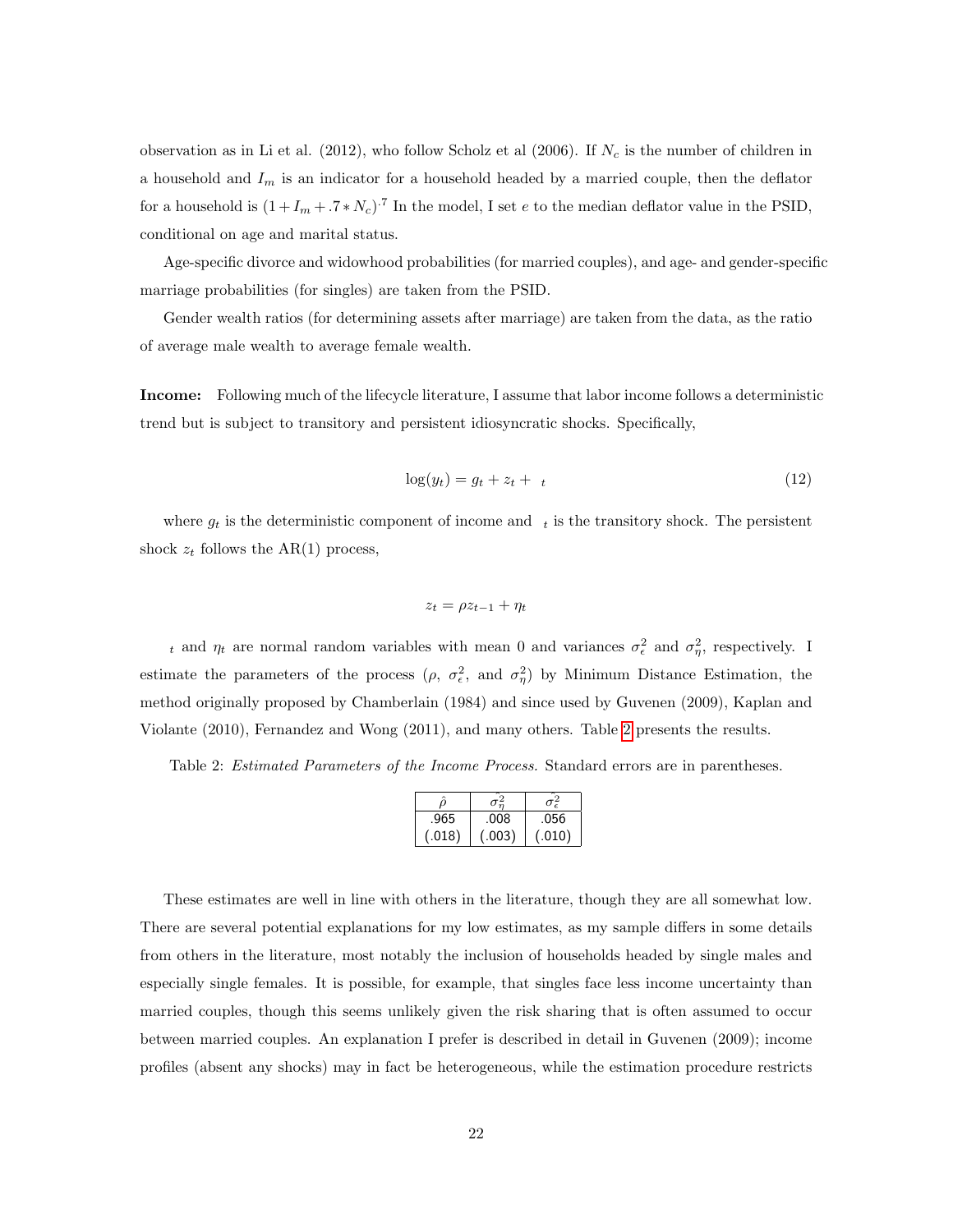observation as in Li et al. (2012), who follow Scholz et al (2006). If  $N_c$  is the number of children in a household and  $I_m$  is an indicator for a household headed by a married couple, then the deflator for a household is  $(1+I_m + .7*N_c)^{.7}$  In the model, I set e to the median deflator value in the PSID, conditional on age and marital status.

Age-specific divorce and widowhood probabilities (for married couples), and age- and gender-specific marriage probabilities (for singles) are taken from the PSID.

Gender wealth ratios (for determining assets after marriage) are taken from the data, as the ratio of average male wealth to average female wealth.

Income: Following much of the lifecycle literature, I assume that labor income follows a deterministic trend but is subject to transitory and persistent idiosyncratic shocks. Specifically,

$$
\log(y_t) = g_t + z_t + t \tag{12}
$$

where  $g_t$  is the deterministic component of income and  $\tau$  is the transitory shock. The persistent shock  $z_t$  follows the AR(1) process,

$$
z_t = \rho z_{t-1} + \eta_t
$$

t and  $\eta_t$  are normal random variables with mean 0 and variances  $\sigma_{\epsilon}^2$  and  $\sigma_{\eta}^2$ , respectively. I estimate the parameters of the process  $(\rho, \sigma_{\epsilon}^2, \text{ and } \sigma_{\eta}^2)$  by Minimum Distance Estimation, the method originally proposed by Chamberlain (1984) and since used by Guvenen (2009), Kaplan and Violante (2010), Fernandez and Wong (2011), and many others. Table [2](#page-21-0) presents the results.

<span id="page-21-0"></span>Table 2: Estimated Parameters of the Income Process. Standard errors are in parentheses.

| .965   | .008   | .056   |
|--------|--------|--------|
| (.018) | (.003) | (.010) |

These estimates are well in line with others in the literature, though they are all somewhat low. There are several potential explanations for my low estimates, as my sample differs in some details from others in the literature, most notably the inclusion of households headed by single males and especially single females. It is possible, for example, that singles face less income uncertainty than married couples, though this seems unlikely given the risk sharing that is often assumed to occur between married couples. An explanation I prefer is described in detail in Guvenen (2009); income profiles (absent any shocks) may in fact be heterogeneous, while the estimation procedure restricts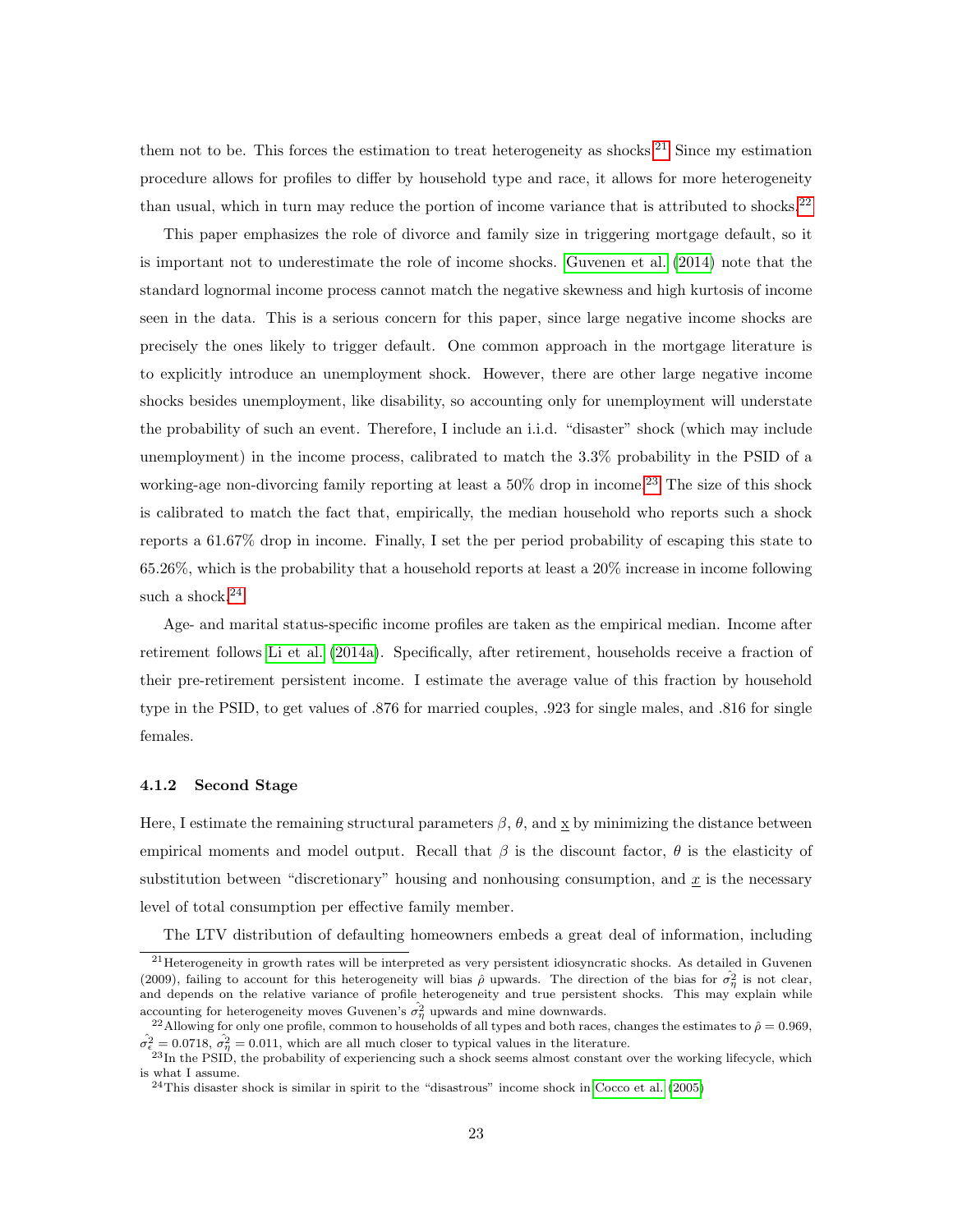them not to be. This forces the estimation to treat heterogeneity as shocks.<sup>[21](#page-0-0)</sup> Since my estimation procedure allows for profiles to differ by household type and race, it allows for more heterogeneity than usual, which in turn may reduce the portion of income variance that is attributed to shocks.<sup>[22](#page-0-0)</sup>

This paper emphasizes the role of divorce and family size in triggering mortgage default, so it is important not to underestimate the role of income shocks. [Guvenen](#page-34-12) et al. [\(2014\)](#page-34-12) note that the standard lognormal income process cannot match the negative skewness and high kurtosis of income seen in the data. This is a serious concern for this paper, since large negative income shocks are precisely the ones likely to trigger default. One common approach in the mortgage literature is to explicitly introduce an unemployment shock. However, there are other large negative income shocks besides unemployment, like disability, so accounting only for unemployment will understate the probability of such an event. Therefore, I include an i.i.d. "disaster" shock (which may include unemployment) in the income process, calibrated to match the 3.3% probability in the PSID of a working-age non-divorcing family reporting at least a  $50\%$  drop in income.<sup>[23](#page-0-0)</sup> The size of this shock is calibrated to match the fact that, empirically, the median household who reports such a shock reports a 61.67% drop in income. Finally, I set the per period probability of escaping this state to 65.26%, which is the probability that a household reports at least a 20% increase in income following such a shock. $24$ .

Age- and marital status-specific income profiles are taken as the empirical median. Income after retirement follows Li et [al.](#page-35-7) [\(2014a\)](#page-35-7). Specifically, after retirement, households receive a fraction of their pre-retirement persistent income. I estimate the average value of this fraction by household type in the PSID, to get values of .876 for married couples, .923 for single males, and .816 for single females.

#### 4.1.2 Second Stage

Here, I estimate the remaining structural parameters  $\beta$ ,  $\theta$ , and x by minimizing the distance between empirical moments and model output. Recall that  $\beta$  is the discount factor,  $\theta$  is the elasticity of substitution between "discretionary" housing and nonhousing consumption, and  $x$  is the necessary level of total consumption per effective family member.

The LTV distribution of defaulting homeowners embeds a great deal of information, including

<sup>(2009),</sup> failing to account for this heterogeneity will bias  $\hat{\rho}$  upwards. The direction of the bias for  $\sigma_{\eta}^2$  is not clear,  $21$ Heterogeneity in growth rates will be interpreted as very persistent idiosyncratic shocks. As detailed in Guvenen and depends on the relative variance of profile heterogeneity and true persistent shocks. This may explain while accounting for heterogeneity moves Guvenen's  $\hat{\sigma}_{\eta}^2$  upwards and mine downwards.

 $\hat{\sigma}_{\epsilon}^2 = 0.0718, \ \hat{\sigma}_{\eta}^2 = 0.011$ , which are all much closer to typical values in the literature. <sup>22</sup>Allowing for only one profile, common to households of all types and both races, changes the estimates to  $\hat{\rho} = 0.969$ ,

 $^{23}$ In the PSID, the probability of experiencing such a shock seems almost constant over the working lifecycle, which is what I assume.

 $^{24}$ This disaster shock is similar in spirit to the "disastrous" income shock in [Cocco](#page-32-10) et al. [\(2005\)](#page-32-10)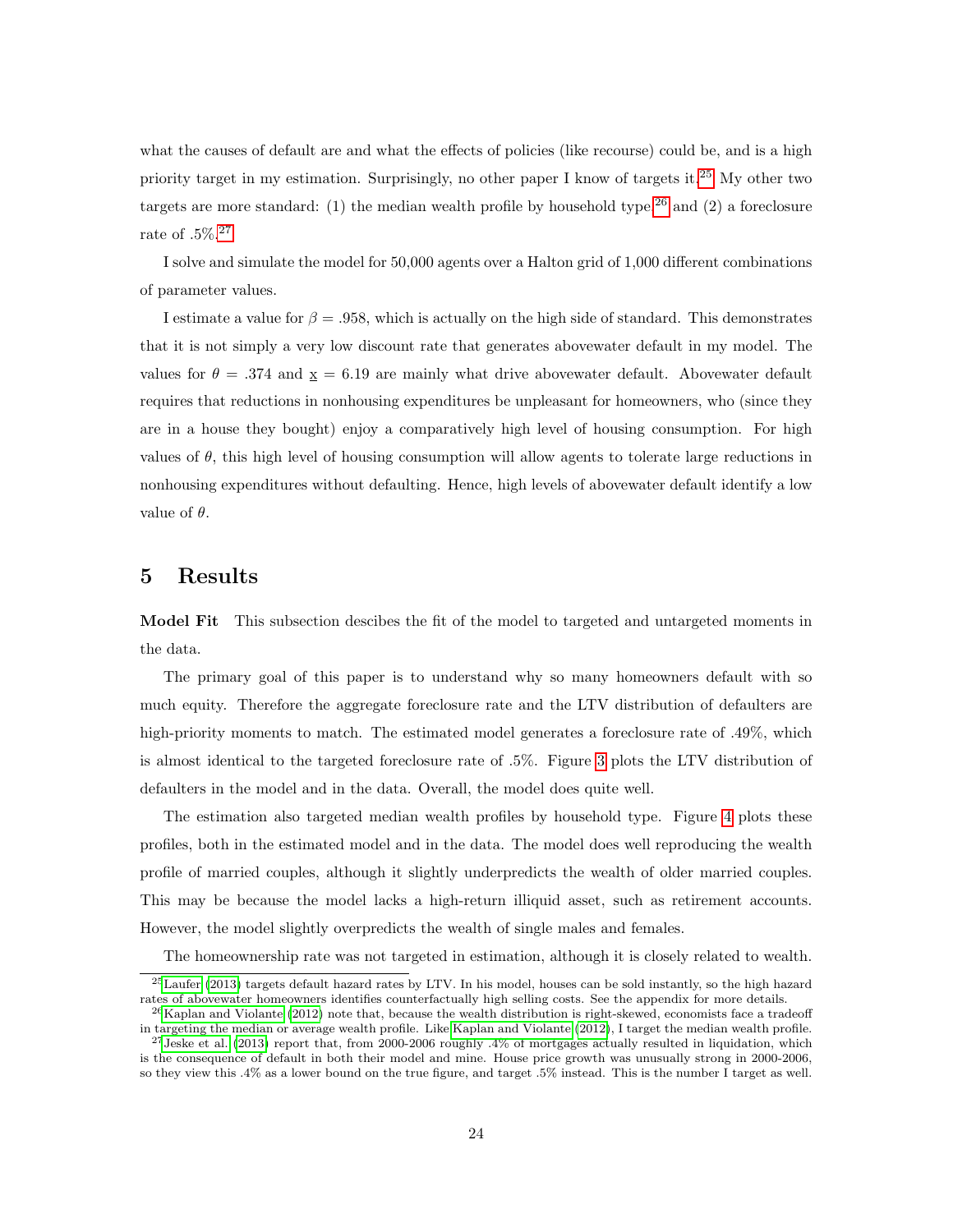what the causes of default are and what the effects of policies (like recourse) could be, and is a high priority target in my estimation. Surprisingly, no other paper I know of targets it.[25](#page-0-0) My other two targets are more standard: (1) the median wealth profile by household type,<sup>[26](#page-0-0)</sup> and (2) a foreclosure rate of .5%.[27](#page-0-0)

I solve and simulate the model for 50,000 agents over a Halton grid of 1,000 different combinations of parameter values.

I estimate a value for  $\beta = .958$ , which is actually on the high side of standard. This demonstrates that it is not simply a very low discount rate that generates abovewater default in my model. The values for  $\theta = .374$  and  $x = 6.19$  are mainly what drive abovewater default. Abovewater default requires that reductions in nonhousing expenditures be unpleasant for homeowners, who (since they are in a house they bought) enjoy a comparatively high level of housing consumption. For high values of  $\theta$ , this high level of housing consumption will allow agents to tolerate large reductions in nonhousing expenditures without defaulting. Hence, high levels of abovewater default identify a low value of  $\theta$ .

#### <span id="page-23-0"></span>5 Results

Model Fit This subsection descibes the fit of the model to targeted and untargeted moments in the data.

The primary goal of this paper is to understand why so many homeowners default with so much equity. Therefore the aggregate foreclosure rate and the LTV distribution of defaulters are high-priority moments to match. The estimated model generates a foreclosure rate of .49%, which is almost identical to the targeted foreclosure rate of .5%. Figure [3](#page-24-0) plots the LTV distribution of defaulters in the model and in the data. Overall, the model does quite well.

The estimation also targeted median wealth profiles by household type. Figure [4](#page-24-1) plots these profiles, both in the estimated model and in the data. The model does well reproducing the wealth profile of married couples, although it slightly underpredicts the wealth of older married couples. This may be because the model lacks a high-return illiquid asset, such as retirement accounts. However, the model slightly overpredicts the wealth of single males and females.

The homeownership rate was not targeted in estimation, although it is closely related to wealth.

<sup>25</sup>[Laufer](#page-35-0) [\(2013\)](#page-35-0) targets default hazard rates by LTV. In his model, houses can be sold instantly, so the high hazard rates of abovewater homeowners identifies counterfactually high selling costs. See the appendix for more details.

 $^{26}$ Kaplan and [Violante](#page-35-12) [\(2012\)](#page-35-12) note that, because the wealth distribution is right-skewed, economists face a tradeoff in targeting the median or average wealth profile. Like Kaplan and [Violante](#page-35-12) [\(2012\)](#page-35-12), I target the median wealth profile.  $^{27}$  [Jeske](#page-35-4) et al. [\(2013\)](#page-35-4) report that, from 2000-2006 roughly .4% of mortgages actually resulted in liquidation, which

is the consequence of default in both their model and mine. House price growth was unusually strong in 2000-2006, so they view this .4% as a lower bound on the true figure, and target .5% instead. This is the number I target as well.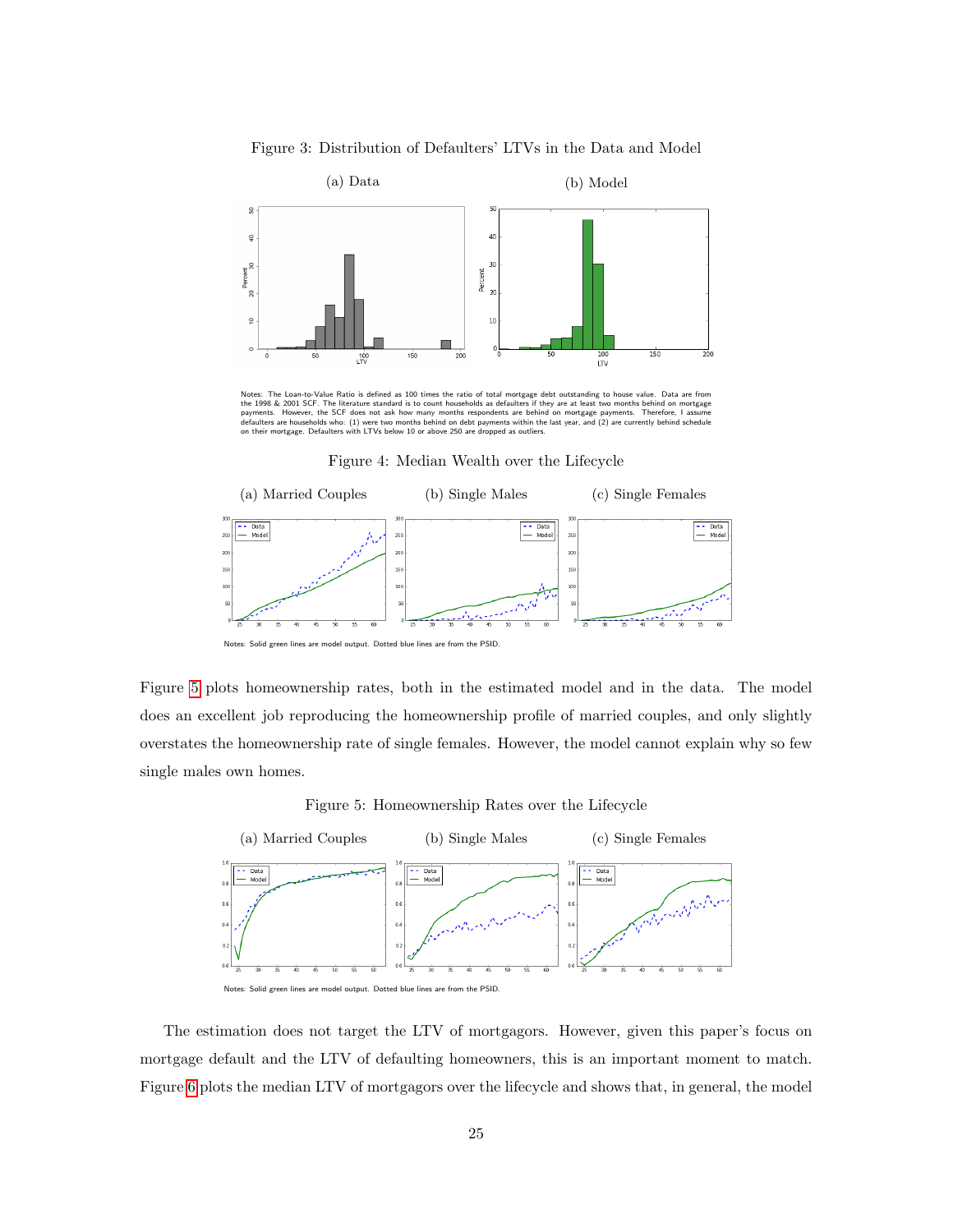Figure 3: Distribution of Defaulters' LTVs in the Data and Model

<span id="page-24-0"></span>

Notes: The Loan-to-Value Ratio is defined as 100 times the ratio of total mortgage debt outstanding to house value. Data are from<br>the 1998 & 2001 SCF. The literature standard is to count households as defaulters if they ar

Figure 4: Median Wealth over the Lifecycle

<span id="page-24-1"></span>

Notes: Solid green lines are model output. Dotted blue lines are from the PSID.

Figure [5](#page-24-2) plots homeownership rates, both in the estimated model and in the data. The model does an excellent job reproducing the homeownership profile of married couples, and only slightly overstates the homeownership rate of single females. However, the model cannot explain why so few single males own homes.

Figure 5: Homeownership Rates over the Lifecycle

<span id="page-24-2"></span>

The estimation does not target the LTV of mortgagors. However, given this paper's focus on mortgage default and the LTV of defaulting homeowners, this is an important moment to match. Figure [6](#page-25-0) plots the median LTV of mortgagors over the lifecycle and shows that, in general, the model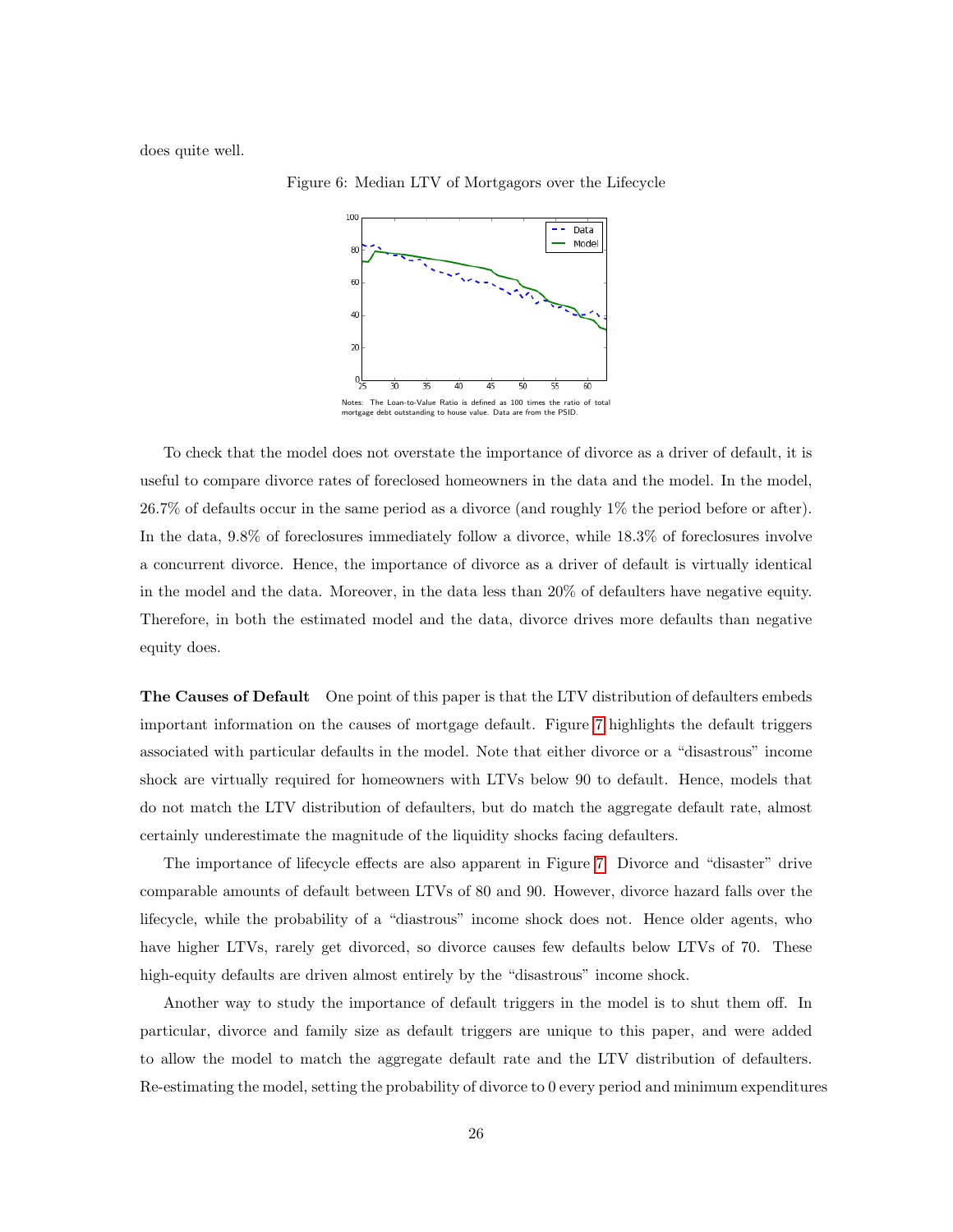<span id="page-25-0"></span>does quite well.



Figure 6: Median LTV of Mortgagors over the Lifecycle

To check that the model does not overstate the importance of divorce as a driver of default, it is useful to compare divorce rates of foreclosed homeowners in the data and the model. In the model, 26.7% of defaults occur in the same period as a divorce (and roughly 1% the period before or after). In the data, 9.8% of foreclosures immediately follow a divorce, while 18.3% of foreclosures involve a concurrent divorce. Hence, the importance of divorce as a driver of default is virtually identical in the model and the data. Moreover, in the data less than 20% of defaulters have negative equity. Therefore, in both the estimated model and the data, divorce drives more defaults than negative equity does.

The Causes of Default One point of this paper is that the LTV distribution of defaulters embeds important information on the causes of mortgage default. Figure [7](#page-26-0) highlights the default triggers associated with particular defaults in the model. Note that either divorce or a "disastrous" income shock are virtually required for homeowners with LTVs below 90 to default. Hence, models that do not match the LTV distribution of defaulters, but do match the aggregate default rate, almost certainly underestimate the magnitude of the liquidity shocks facing defaulters.

The importance of lifecycle effects are also apparent in Figure [7.](#page-26-0) Divorce and "disaster" drive comparable amounts of default between LTVs of 80 and 90. However, divorce hazard falls over the lifecycle, while the probability of a "diastrous" income shock does not. Hence older agents, who have higher LTVs, rarely get divorced, so divorce causes few defaults below LTVs of 70. These high-equity defaults are driven almost entirely by the "disastrous" income shock.

Another way to study the importance of default triggers in the model is to shut them off. In particular, divorce and family size as default triggers are unique to this paper, and were added to allow the model to match the aggregate default rate and the LTV distribution of defaulters. Re-estimating the model, setting the probability of divorce to 0 every period and minimum expenditures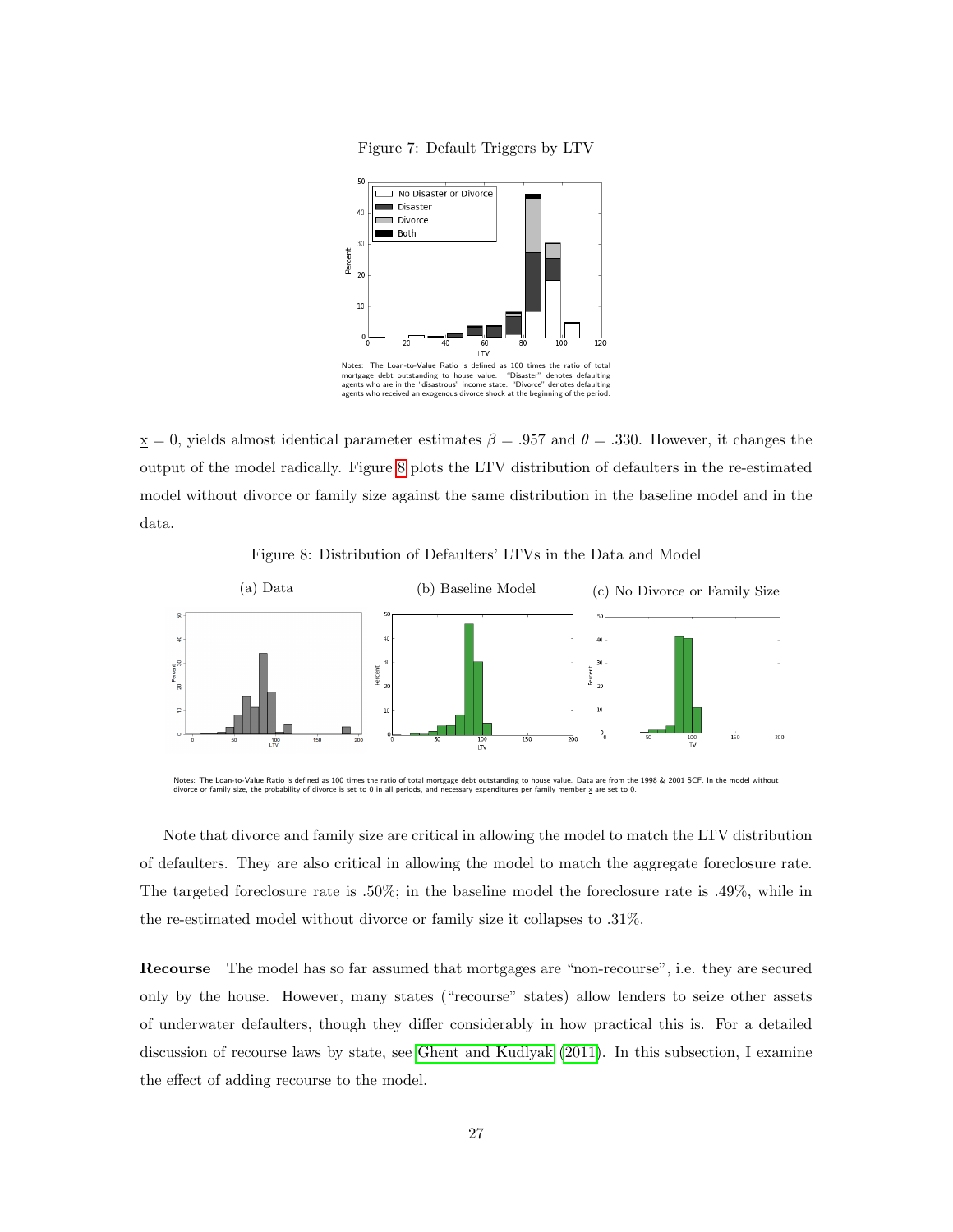

<span id="page-26-0"></span>

 $\underline{x} = 0$ , yields almost identical parameter estimates  $\beta = .957$  and  $\theta = .330$ . However, it changes the output of the model radically. Figure [8](#page-26-1) plots the LTV distribution of defaulters in the re-estimated model without divorce or family size against the same distribution in the baseline model and in the data.

<span id="page-26-1"></span>

Notes: The Loan-to-Value Ratio is defined as 100 times the ratio of total mortgage debt outstanding to house value. Data are from the 1998 & 2001 SCF. In the model without divorce or family size, the probability of divorce is set to 0 in all periods, and necessary expenditures per family member x are set to 0.

Note that divorce and family size are critical in allowing the model to match the LTV distribution of defaulters. They are also critical in allowing the model to match the aggregate foreclosure rate. The targeted foreclosure rate is .50%; in the baseline model the foreclosure rate is .49%, while in the re-estimated model without divorce or family size it collapses to .31%.

Recourse The model has so far assumed that mortgages are "non-recourse", i.e. they are secured only by the house. However, many states ("recourse" states) allow lenders to seize other assets of underwater defaulters, though they differ considerably in how practical this is. For a detailed discussion of recourse laws by state, see Ghent and [Kudlyak](#page-34-2) [\(2011\)](#page-34-2). In this subsection, I examine the effect of adding recourse to the model.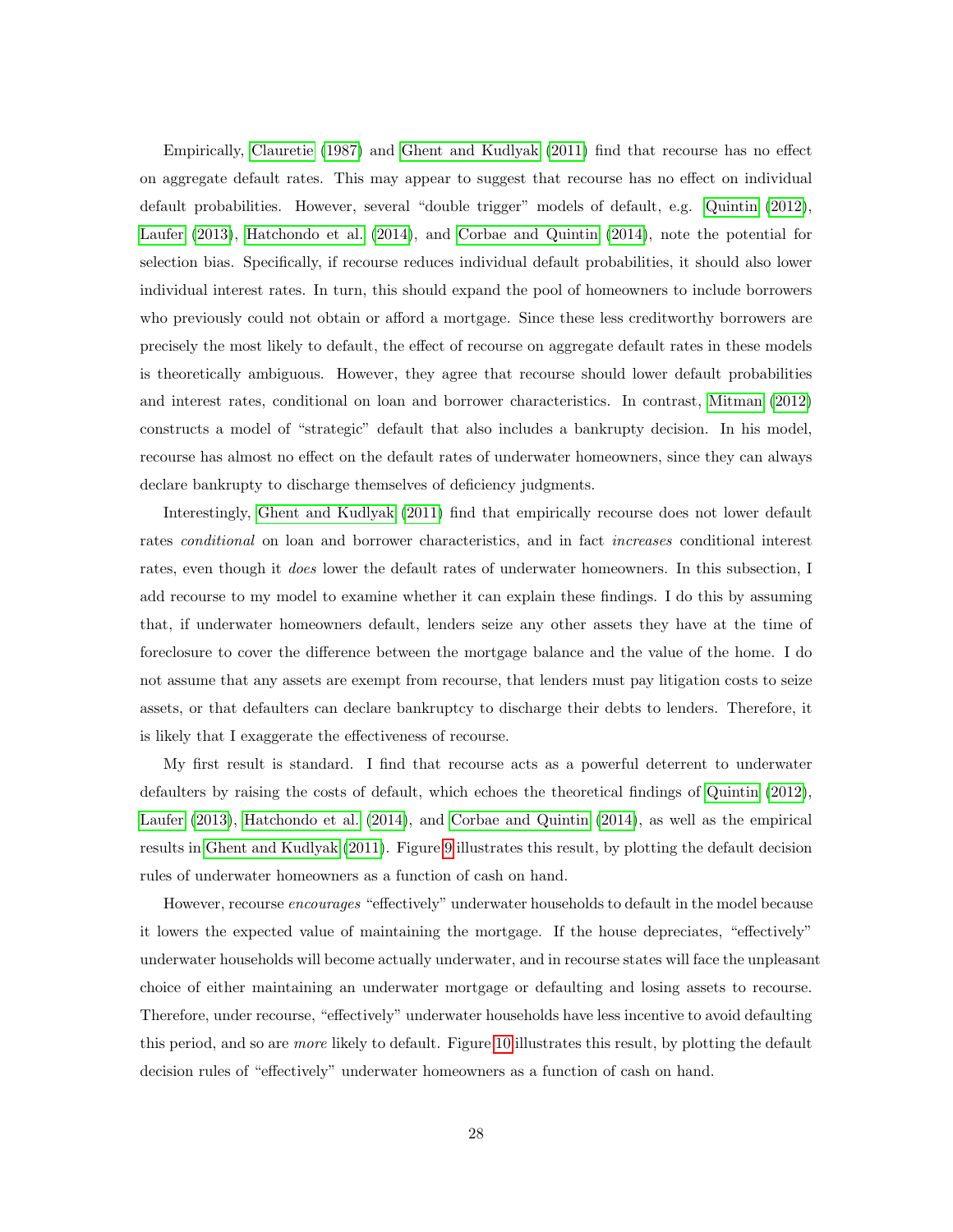Empirically, [Clauretie](#page-32-11) [\(1987\)](#page-32-11) and Ghent and [Kudlyak](#page-34-2) [\(2011\)](#page-34-2) find that recourse has no effect on aggregate default rates. This may appear to suggest that recourse has no effect on individual default probabilities. However, several "double trigger" models of default, e.g. [Quintin](#page-36-1) [\(2012\)](#page-36-1), [Laufer](#page-35-0) [\(2013\)](#page-35-0), [Hatchondo](#page-34-0) et al. [\(2014\)](#page-34-0), and Corbae and [Quintin](#page-32-1) [\(2014\)](#page-32-1), note the potential for selection bias. Specifically, if recourse reduces individual default probabilities, it should also lower individual interest rates. In turn, this should expand the pool of homeowners to include borrowers who previously could not obtain or afford a mortgage. Since these less creditworthy borrowers are precisely the most likely to default, the effect of recourse on aggregate default rates in these models is theoretically ambiguous. However, they agree that recourse should lower default probabilities and interest rates, conditional on loan and borrower characteristics. In contrast, [Mitman](#page-35-3) [\(2012\)](#page-35-3) constructs a model of "strategic" default that also includes a bankrupty decision. In his model, recourse has almost no effect on the default rates of underwater homeowners, since they can always declare bankrupty to discharge themselves of deficiency judgments.

Interestingly, Ghent and [Kudlyak](#page-34-2) [\(2011\)](#page-34-2) find that empirically recourse does not lower default rates *conditional* on loan and borrower characteristics, and in fact *increases* conditional interest rates, even though it *does* lower the default rates of underwater homeowners. In this subsection, I add recourse to my model to examine whether it can explain these findings. I do this by assuming that, if underwater homeowners default, lenders seize any other assets they have at the time of foreclosure to cover the difference between the mortgage balance and the value of the home. I do not assume that any assets are exempt from recourse, that lenders must pay litigation costs to seize assets, or that defaulters can declare bankruptcy to discharge their debts to lenders. Therefore, it is likely that I exaggerate the effectiveness of recourse.

My first result is standard. I find that recourse acts as a powerful deterrent to underwater defaulters by raising the costs of default, which echoes the theoretical findings of [Quintin](#page-36-1) [\(2012\)](#page-36-1), [Laufer](#page-35-0) [\(2013\)](#page-35-0), [Hatchondo](#page-34-0) et al. [\(2014\)](#page-34-0), and Corbae and [Quintin](#page-32-1) [\(2014\)](#page-32-1), as well as the empirical results in Ghent and [Kudlyak](#page-34-2) [\(2011\)](#page-34-2). Figure [9](#page-28-0) illustrates this result, by plotting the default decision rules of underwater homeowners as a function of cash on hand.

However, recourse encourages "effectively" underwater households to default in the model because it lowers the expected value of maintaining the mortgage. If the house depreciates, "effectively" underwater households will become actually underwater, and in recourse states will face the unpleasant choice of either maintaining an underwater mortgage or defaulting and losing assets to recourse. Therefore, under recourse, "effectively" underwater households have less incentive to avoid defaulting this period, and so are more likely to default. Figure [10](#page-28-1) illustrates this result, by plotting the default decision rules of "effectively" underwater homeowners as a function of cash on hand.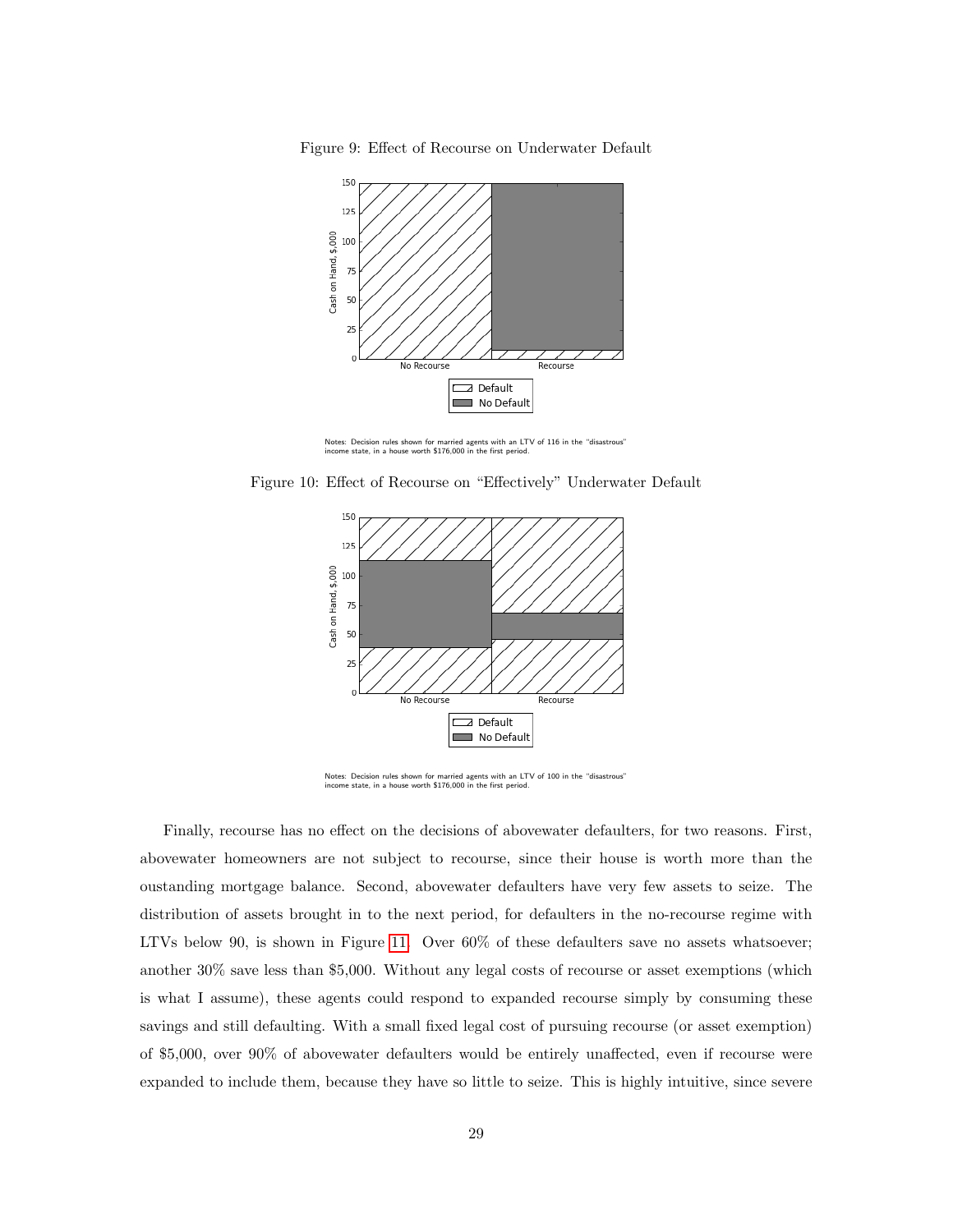<span id="page-28-0"></span>Figure 9: Effect of Recourse on Underwater Default



Notes: Decision rules shown for married agents with an LTV of 116 in the "disastrous" income state, in a house worth \$176,000 in the first period.

<span id="page-28-1"></span>Figure 10: Effect of Recourse on "Effectively" Underwater Default



Notes: Decision rules shown for married agents with an LTV of 100 in the "disastrous" income state, in a house worth \$176,000 in the first period.

Finally, recourse has no effect on the decisions of abovewater defaulters, for two reasons. First, abovewater homeowners are not subject to recourse, since their house is worth more than the oustanding mortgage balance. Second, abovewater defaulters have very few assets to seize. The distribution of assets brought in to the next period, for defaulters in the no-recourse regime with LTVs below 90, is shown in Figure [11.](#page-29-0) Over 60% of these defaulters save no assets whatsoever; another 30% save less than \$5,000. Without any legal costs of recourse or asset exemptions (which is what I assume), these agents could respond to expanded recourse simply by consuming these savings and still defaulting. With a small fixed legal cost of pursuing recourse (or asset exemption) of \$5,000, over 90% of abovewater defaulters would be entirely unaffected, even if recourse were expanded to include them, because they have so little to seize. This is highly intuitive, since severe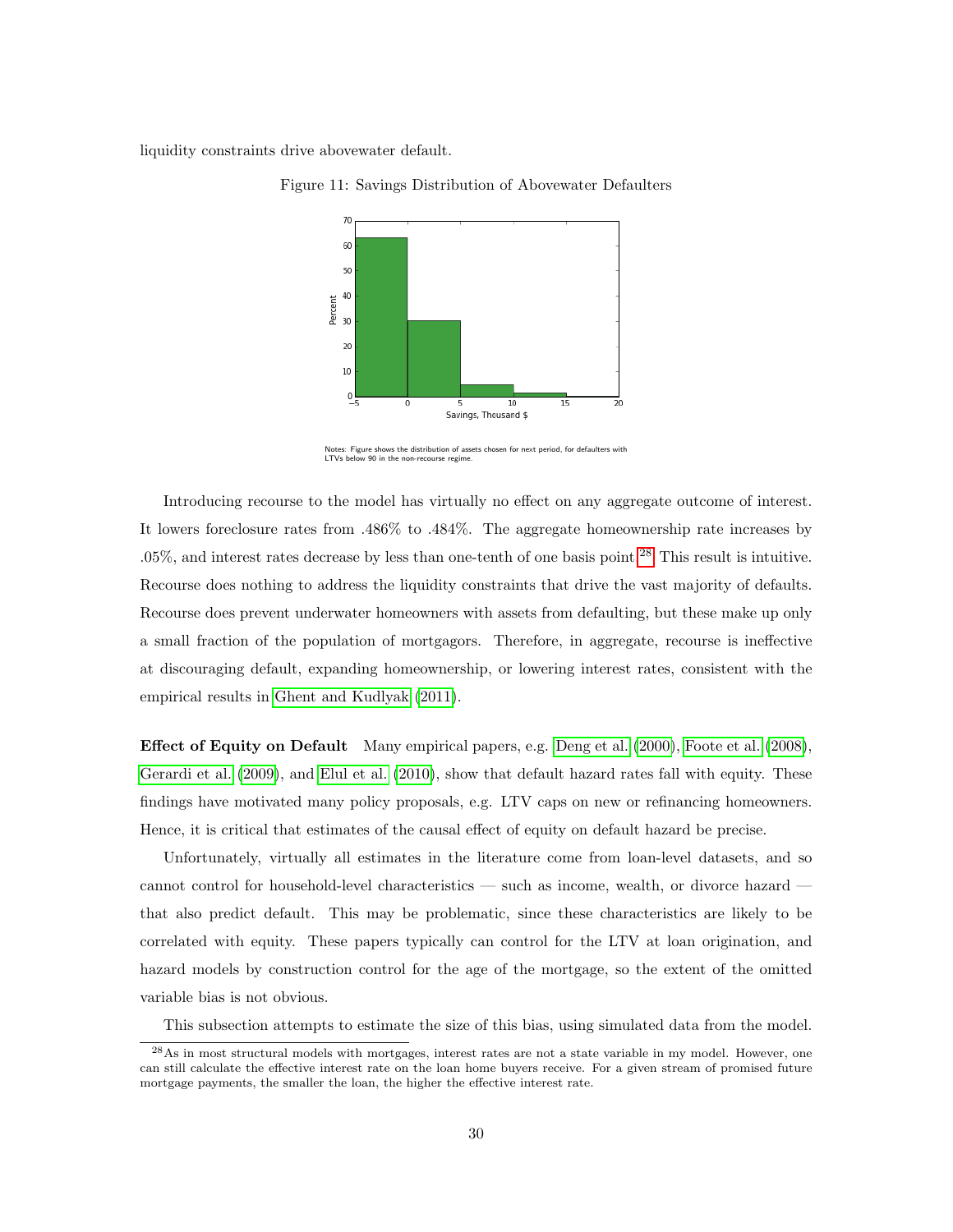<span id="page-29-0"></span>liquidity constraints drive abovewater default.



Figure 11: Savings Distribution of Abovewater Defaulters

Notes: Figure shows the distribution of assets chosen for next period, for defaulters with LTVs below 90 in the non-recourse regime.

Introducing recourse to the model has virtually no effect on any aggregate outcome of interest. It lowers foreclosure rates from .486% to .484%. The aggregate homeownership rate increases by .05%, and interest rates decrease by less than one-tenth of one basis point.[28](#page-0-0) This result is intuitive. Recourse does nothing to address the liquidity constraints that drive the vast majority of defaults. Recourse does prevent underwater homeowners with assets from defaulting, but these make up only a small fraction of the population of mortgagors. Therefore, in aggregate, recourse is ineffective at discouraging default, expanding homeownership, or lowering interest rates, consistent with the empirical results in Ghent and [Kudlyak](#page-34-2) [\(2011\)](#page-34-2).

Effect of Equity on Default Many empirical papers, e.g. [Deng](#page-33-1) et al. [\(2000\)](#page-33-1), [Foote](#page-33-2) et al. [\(2008\)](#page-33-2), [Gerardi](#page-34-4) et al. [\(2009\)](#page-34-4), and [Elul](#page-33-3) et al. [\(2010\)](#page-33-3), show that default hazard rates fall with equity. These findings have motivated many policy proposals, e.g. LTV caps on new or refinancing homeowners. Hence, it is critical that estimates of the causal effect of equity on default hazard be precise.

Unfortunately, virtually all estimates in the literature come from loan-level datasets, and so cannot control for household-level characteristics — such as income, wealth, or divorce hazard that also predict default. This may be problematic, since these characteristics are likely to be correlated with equity. These papers typically can control for the LTV at loan origination, and hazard models by construction control for the age of the mortgage, so the extent of the omitted variable bias is not obvious.

This subsection attempts to estimate the size of this bias, using simulated data from the model.

<sup>28</sup>As in most structural models with mortgages, interest rates are not a state variable in my model. However, one can still calculate the effective interest rate on the loan home buyers receive. For a given stream of promised future mortgage payments, the smaller the loan, the higher the effective interest rate.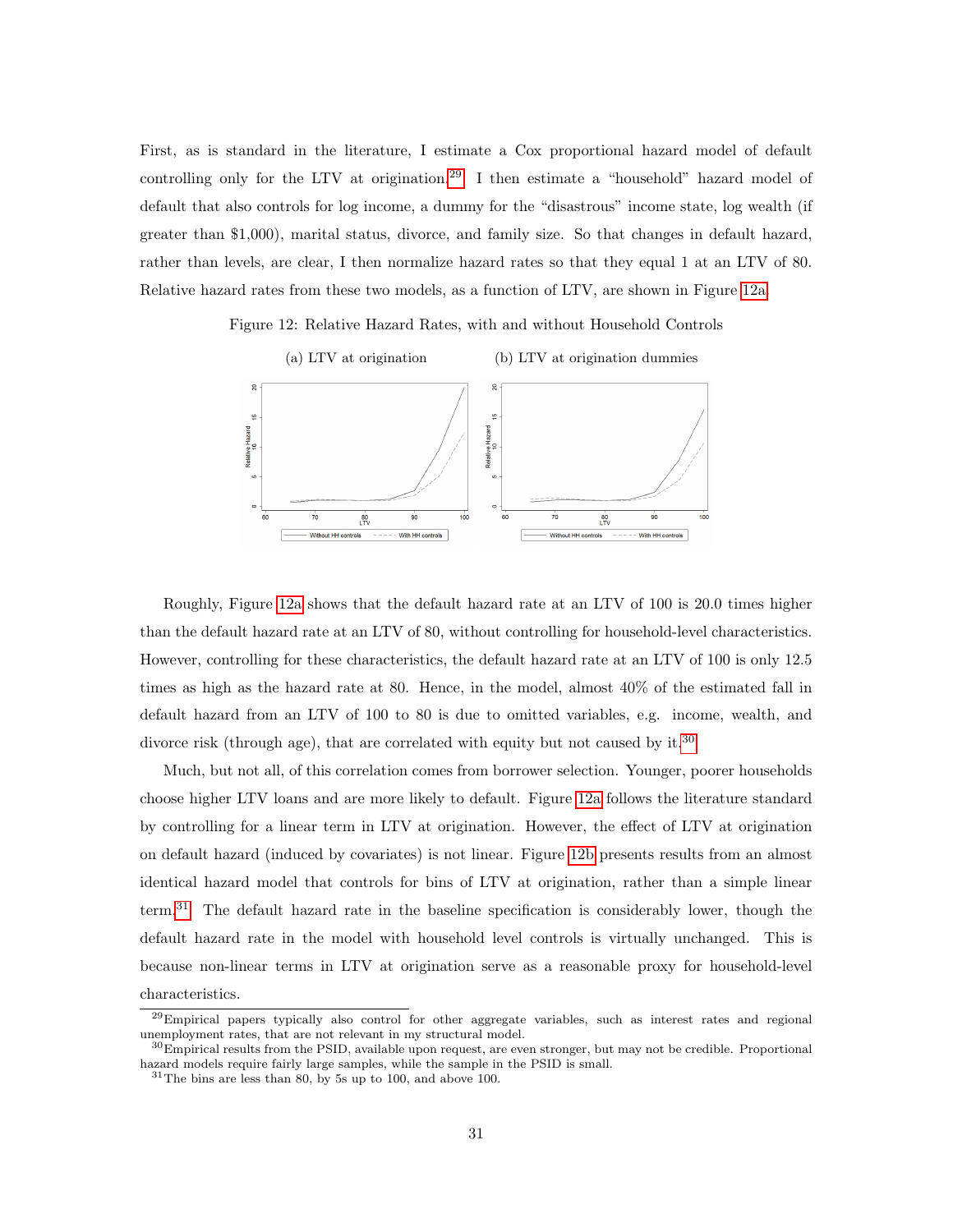First, as is standard in the literature, I estimate a Cox proportional hazard model of default controlling only for the LTV at origination.<sup>[29](#page-0-0)</sup> I then estimate a "household" hazard model of default that also controls for log income, a dummy for the "disastrous" income state, log wealth (if greater than \$1,000), marital status, divorce, and family size. So that changes in default hazard, rather than levels, are clear, I then normalize hazard rates so that they equal 1 at an LTV of 80. Relative hazard rates from these two models, as a function of LTV, are shown in Figure [12a.](#page-30-0)

Figure 12: Relative Hazard Rates, with and without Household Controls

<span id="page-30-0"></span>

Roughly, Figure [12a](#page-30-0) shows that the default hazard rate at an LTV of 100 is 20.0 times higher than the default hazard rate at an LTV of 80, without controlling for household-level characteristics. However, controlling for these characteristics, the default hazard rate at an LTV of 100 is only 12.5 times as high as the hazard rate at 80. Hence, in the model, almost 40% of the estimated fall in default hazard from an LTV of 100 to 80 is due to omitted variables, e.g. income, wealth, and divorce risk (through age), that are correlated with equity but not caused by it.<sup>[30](#page-0-0)</sup>

Much, but not all, of this correlation comes from borrower selection. Younger, poorer households choose higher LTV loans and are more likely to default. Figure [12a](#page-30-0) follows the literature standard by controlling for a linear term in LTV at origination. However, the effect of LTV at origination on default hazard (induced by covariates) is not linear. Figure [12b](#page-30-0) presents results from an almost identical hazard model that controls for bins of LTV at origination, rather than a simple linear term.[31](#page-0-0) The default hazard rate in the baseline specification is considerably lower, though the default hazard rate in the model with household level controls is virtually unchanged. This is because non-linear terms in LTV at origination serve as a reasonable proxy for household-level characteristics.

<sup>29</sup>Empirical papers typically also control for other aggregate variables, such as interest rates and regional unemployment rates, that are not relevant in my structural model.

 $30$ Empirical results from the PSID, available upon request, are even stronger, but may not be credible. Proportional hazard models require fairly large samples, while the sample in the PSID is small.

 $31$ The bins are less than 80, by 5s up to 100, and above 100.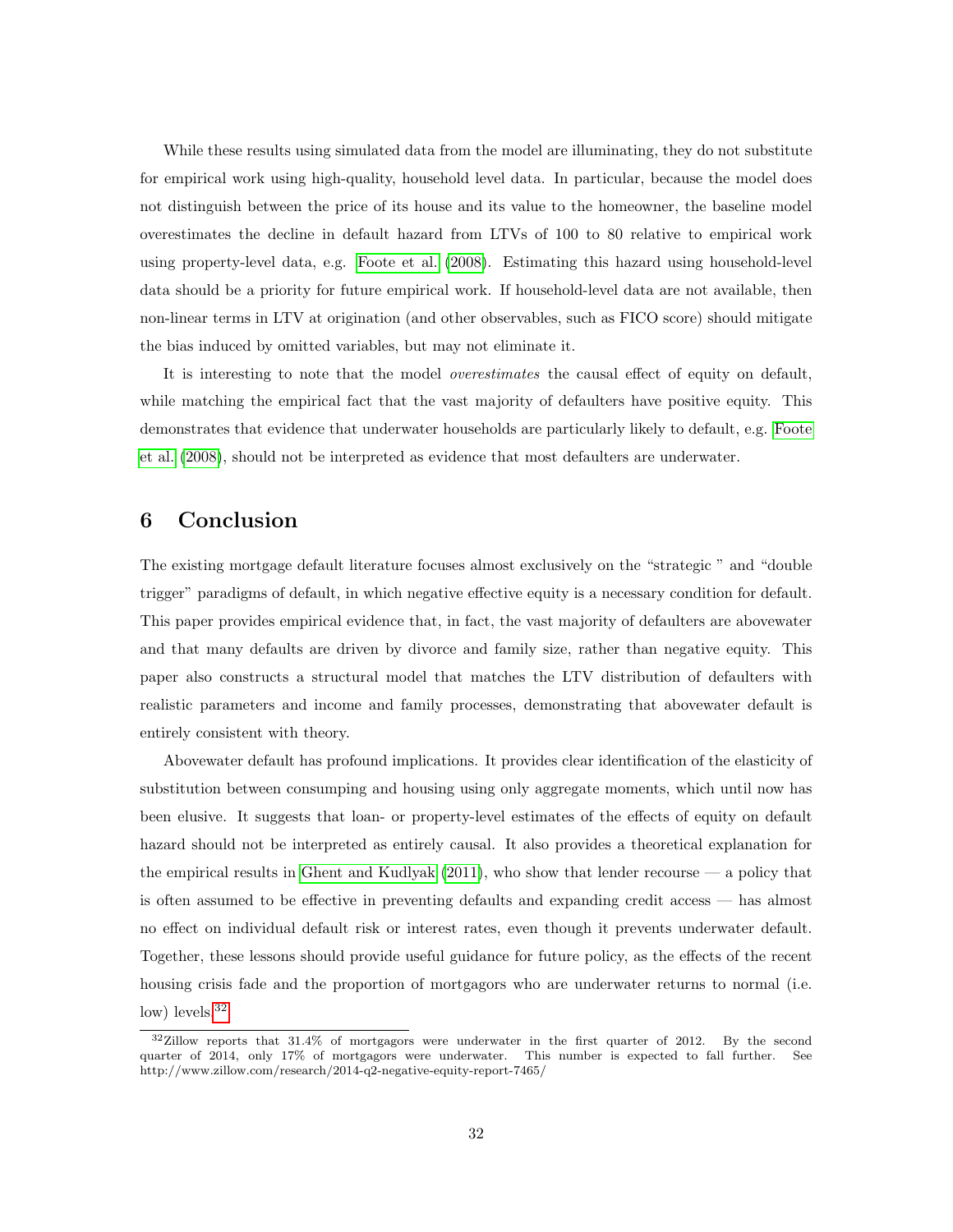While these results using simulated data from the model are illuminating, they do not substitute for empirical work using high-quality, household level data. In particular, because the model does not distinguish between the price of its house and its value to the homeowner, the baseline model overestimates the decline in default hazard from LTVs of 100 to 80 relative to empirical work using property-level data, e.g. [Foote](#page-33-2) et al. [\(2008\)](#page-33-2). Estimating this hazard using household-level data should be a priority for future empirical work. If household-level data are not available, then non-linear terms in LTV at origination (and other observables, such as FICO score) should mitigate the bias induced by omitted variables, but may not eliminate it.

It is interesting to note that the model *overestimates* the causal effect of equity on default, while matching the empirical fact that the vast majority of defaulters have positive equity. This demonstrates that evidence that underwater households are particularly likely to default, e.g. [Foote](#page-33-2) et [al.](#page-33-2) [\(2008\)](#page-33-2), should not be interpreted as evidence that most defaulters are underwater.

#### <span id="page-31-0"></span>6 Conclusion

The existing mortgage default literature focuses almost exclusively on the "strategic " and "double trigger" paradigms of default, in which negative effective equity is a necessary condition for default. This paper provides empirical evidence that, in fact, the vast majority of defaulters are abovewater and that many defaults are driven by divorce and family size, rather than negative equity. This paper also constructs a structural model that matches the LTV distribution of defaulters with realistic parameters and income and family processes, demonstrating that abovewater default is entirely consistent with theory.

Abovewater default has profound implications. It provides clear identification of the elasticity of substitution between consumping and housing using only aggregate moments, which until now has been elusive. It suggests that loan- or property-level estimates of the effects of equity on default hazard should not be interpreted as entirely causal. It also provides a theoretical explanation for the empirical results in Ghent and [Kudlyak](#page-34-2)  $(2011)$ , who show that lender recourse  $-$  a policy that is often assumed to be effective in preventing defaults and expanding credit access — has almost no effect on individual default risk or interest rates, even though it prevents underwater default. Together, these lessons should provide useful guidance for future policy, as the effects of the recent housing crisis fade and the proportion of mortgagors who are underwater returns to normal (i.e. low) levels.<sup>[32](#page-0-0)</sup>

<sup>32</sup>Zillow reports that 31.4% of mortgagors were underwater in the first quarter of 2012. By the second quarter of 2014, only 17% of mortgagors were underwater. This number is expected to fall further. See http://www.zillow.com/research/2014-q2-negative-equity-report-7465/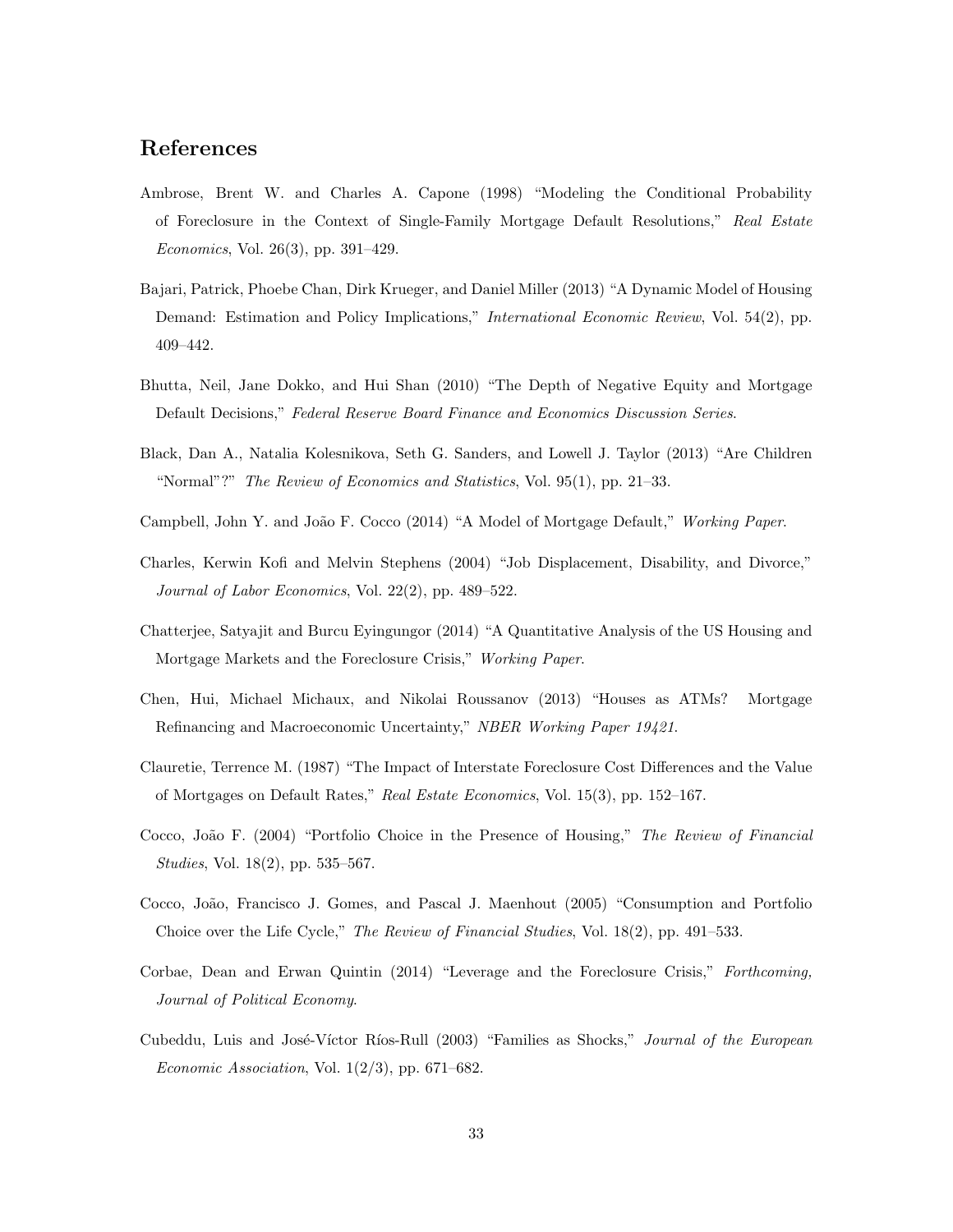## References

- <span id="page-32-12"></span>Ambrose, Brent W. and Charles A. Capone (1998) "Modeling the Conditional Probability of Foreclosure in the Context of Single-Family Mortgage Default Resolutions," Real Estate Economics, Vol. 26(3), pp. 391–429.
- <span id="page-32-0"></span>Bajari, Patrick, Phoebe Chan, Dirk Krueger, and Daniel Miller (2013) "A Dynamic Model of Housing Demand: Estimation and Policy Implications," *International Economic Review*, Vol. 54(2), pp. 409–442.
- <span id="page-32-2"></span>Bhutta, Neil, Jane Dokko, and Hui Shan (2010) "The Depth of Negative Equity and Mortgage Default Decisions," Federal Reserve Board Finance and Economics Discussion Series.
- <span id="page-32-6"></span>Black, Dan A., Natalia Kolesnikova, Seth G. Sanders, and Lowell J. Taylor (2013) "Are Children "Normal"?" The Review of Economics and Statistics, Vol. 95(1), pp. 21–33.
- <span id="page-32-4"></span>Campbell, John Y. and João F. Cocco (2014) "A Model of Mortgage Default," Working Paper.
- <span id="page-32-7"></span>Charles, Kerwin Kofi and Melvin Stephens (2004) "Job Displacement, Disability, and Divorce," Journal of Labor Economics, Vol. 22(2), pp. 489–522.
- <span id="page-32-5"></span>Chatterjee, Satyajit and Burcu Eyingungor (2014) "A Quantitative Analysis of the US Housing and Mortgage Markets and the Foreclosure Crisis," Working Paper.
- <span id="page-32-3"></span>Chen, Hui, Michael Michaux, and Nikolai Roussanov (2013) "Houses as ATMs? Mortgage Refinancing and Macroeconomic Uncertainty," NBER Working Paper 19421.
- <span id="page-32-11"></span>Clauretie, Terrence M. (1987) "The Impact of Interstate Foreclosure Cost Differences and the Value of Mortgages on Default Rates," Real Estate Economics, Vol. 15(3), pp. 152–167.
- <span id="page-32-9"></span>Cocco, João F. (2004) "Portfolio Choice in the Presence of Housing," The Review of Financial Studies, Vol. 18(2), pp. 535–567.
- <span id="page-32-10"></span>Cocco, Jo˜ao, Francisco J. Gomes, and Pascal J. Maenhout (2005) "Consumption and Portfolio Choice over the Life Cycle," The Review of Financial Studies, Vol. 18(2), pp. 491–533.
- <span id="page-32-1"></span>Corbae, Dean and Erwan Quintin (2014) "Leverage and the Foreclosure Crisis," Forthcoming, Journal of Political Economy.
- <span id="page-32-8"></span>Cubeddu, Luis and José-Víctor Ríos-Rull (2003) "Families as Shocks," Journal of the European Economic Association, Vol.  $1(2/3)$ , pp. 671–682.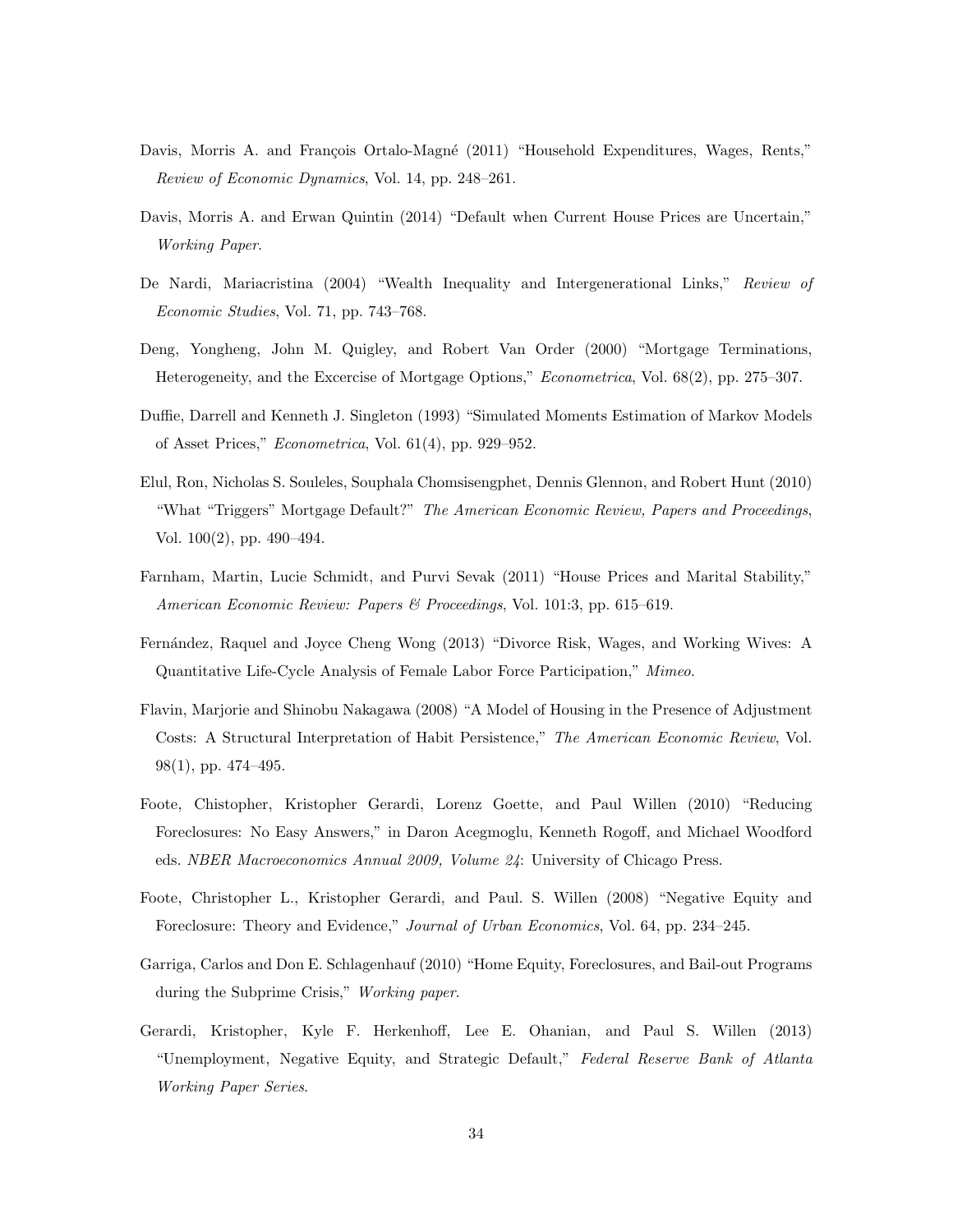- <span id="page-33-7"></span>Davis, Morris A. and François Ortalo-Magné (2011) "Household Expenditures, Wages, Rents," Review of Economic Dynamics, Vol. 14, pp. 248–261.
- <span id="page-33-0"></span>Davis, Morris A. and Erwan Quintin (2014) "Default when Current House Prices are Uncertain," Working Paper.
- <span id="page-33-12"></span>De Nardi, Mariacristina (2004) "Wealth Inequality and Intergenerational Links," Review of Economic Studies, Vol. 71, pp. 743–768.
- <span id="page-33-1"></span>Deng, Yongheng, John M. Quigley, and Robert Van Order (2000) "Mortgage Terminations, Heterogeneity, and the Excercise of Mortgage Options," Econometrica, Vol. 68(2), pp. 275–307.
- <span id="page-33-11"></span>Duffie, Darrell and Kenneth J. Singleton (1993) "Simulated Moments Estimation of Markov Models of Asset Prices," Econometrica, Vol. 61(4), pp. 929–952.
- <span id="page-33-3"></span>Elul, Ron, Nicholas S. Souleles, Souphala Chomsisengphet, Dennis Glennon, and Robert Hunt (2010) "What "Triggers" Mortgage Default?" The American Economic Review, Papers and Proceedings, Vol. 100(2), pp. 490–494.
- <span id="page-33-9"></span>Farnham, Martin, Lucie Schmidt, and Purvi Sevak (2011) "House Prices and Marital Stability," American Economic Review: Papers & Proceedings, Vol. 101:3, pp. 615–619.
- <span id="page-33-10"></span>Fern´andez, Raquel and Joyce Cheng Wong (2013) "Divorce Risk, Wages, and Working Wives: A Quantitative Life-Cycle Analysis of Female Labor Force Participation," Mimeo.
- <span id="page-33-8"></span>Flavin, Marjorie and Shinobu Nakagawa (2008) "A Model of Housing in the Presence of Adjustment Costs: A Structural Interpretation of Habit Persistence," The American Economic Review, Vol. 98(1), pp. 474–495.
- <span id="page-33-5"></span>Foote, Chistopher, Kristopher Gerardi, Lorenz Goette, and Paul Willen (2010) "Reducing Foreclosures: No Easy Answers," in Daron Acegmoglu, Kenneth Rogoff, and Michael Woodford eds. NBER Macroeconomics Annual 2009, Volume 24: University of Chicago Press.
- <span id="page-33-2"></span>Foote, Christopher L., Kristopher Gerardi, and Paul. S. Willen (2008) "Negative Equity and Foreclosure: Theory and Evidence," Journal of Urban Economics, Vol. 64, pp. 234–245.
- <span id="page-33-4"></span>Garriga, Carlos and Don E. Schlagenhauf (2010) "Home Equity, Foreclosures, and Bail-out Programs during the Subprime Crisis," Working paper.
- <span id="page-33-6"></span>Gerardi, Kristopher, Kyle F. Herkenhoff, Lee E. Ohanian, and Paul S. Willen (2013) "Unemployment, Negative Equity, and Strategic Default," Federal Reserve Bank of Atlanta Working Paper Series.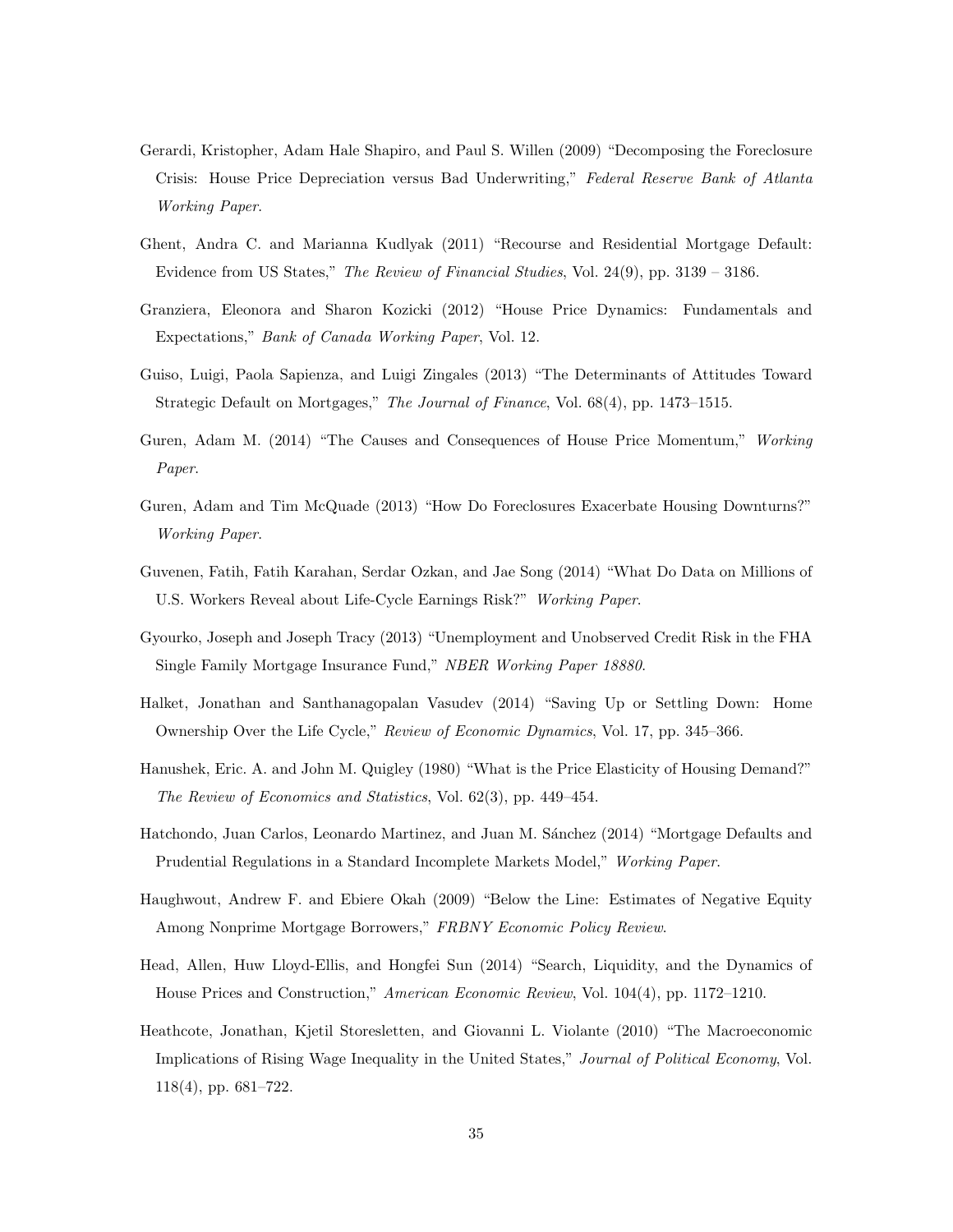- <span id="page-34-4"></span>Gerardi, Kristopher, Adam Hale Shapiro, and Paul S. Willen (2009) "Decomposing the Foreclosure Crisis: House Price Depreciation versus Bad Underwriting," Federal Reserve Bank of Atlanta Working Paper.
- <span id="page-34-2"></span>Ghent, Andra C. and Marianna Kudlyak (2011) "Recourse and Residential Mortgage Default: Evidence from US States," The Review of Financial Studies, Vol. 24(9), pp. 3139 – 3186.
- <span id="page-34-11"></span>Granziera, Eleonora and Sharon Kozicki (2012) "House Price Dynamics: Fundamentals and Expectations," Bank of Canada Working Paper, Vol. 12.
- <span id="page-34-13"></span>Guiso, Luigi, Paola Sapienza, and Luigi Zingales (2013) "The Determinants of Attitudes Toward Strategic Default on Mortgages," The Journal of Finance, Vol. 68(4), pp. 1473–1515.
- <span id="page-34-1"></span>Guren, Adam M. (2014) "The Causes and Consequences of House Price Momentum," Working Paper.
- <span id="page-34-5"></span>Guren, Adam and Tim McQuade (2013) "How Do Foreclosures Exacerbate Housing Downturns?" Working Paper.
- <span id="page-34-12"></span>Guvenen, Fatih, Fatih Karahan, Serdar Ozkan, and Jae Song (2014) "What Do Data on Millions of U.S. Workers Reveal about Life-Cycle Earnings Risk?" Working Paper.
- <span id="page-34-8"></span>Gyourko, Joseph and Joseph Tracy (2013) "Unemployment and Unobserved Credit Risk in the FHA Single Family Mortgage Insurance Fund," NBER Working Paper 18880.
- <span id="page-34-6"></span>Halket, Jonathan and Santhanagopalan Vasudev (2014) "Saving Up or Settling Down: Home Ownership Over the Life Cycle," Review of Economic Dynamics, Vol. 17, pp. 345–366.
- <span id="page-34-7"></span>Hanushek, Eric. A. and John M. Quigley (1980) "What is the Price Elasticity of Housing Demand?" The Review of Economics and Statistics, Vol. 62(3), pp. 449–454.
- <span id="page-34-0"></span>Hatchondo, Juan Carlos, Leonardo Martinez, and Juan M. Sánchez (2014) "Mortgage Defaults and Prudential Regulations in a Standard Incomplete Markets Model," Working Paper.
- <span id="page-34-3"></span>Haughwout, Andrew F. and Ebiere Okah (2009) "Below the Line: Estimates of Negative Equity Among Nonprime Mortgage Borrowers," FRBNY Economic Policy Review.
- <span id="page-34-9"></span>Head, Allen, Huw Lloyd-Ellis, and Hongfei Sun (2014) "Search, Liquidity, and the Dynamics of House Prices and Construction," American Economic Review, Vol. 104(4), pp. 1172–1210.
- <span id="page-34-10"></span>Heathcote, Jonathan, Kjetil Storesletten, and Giovanni L. Violante (2010) "The Macroeconomic Implications of Rising Wage Inequality in the United States," Journal of Political Economy, Vol. 118(4), pp. 681–722.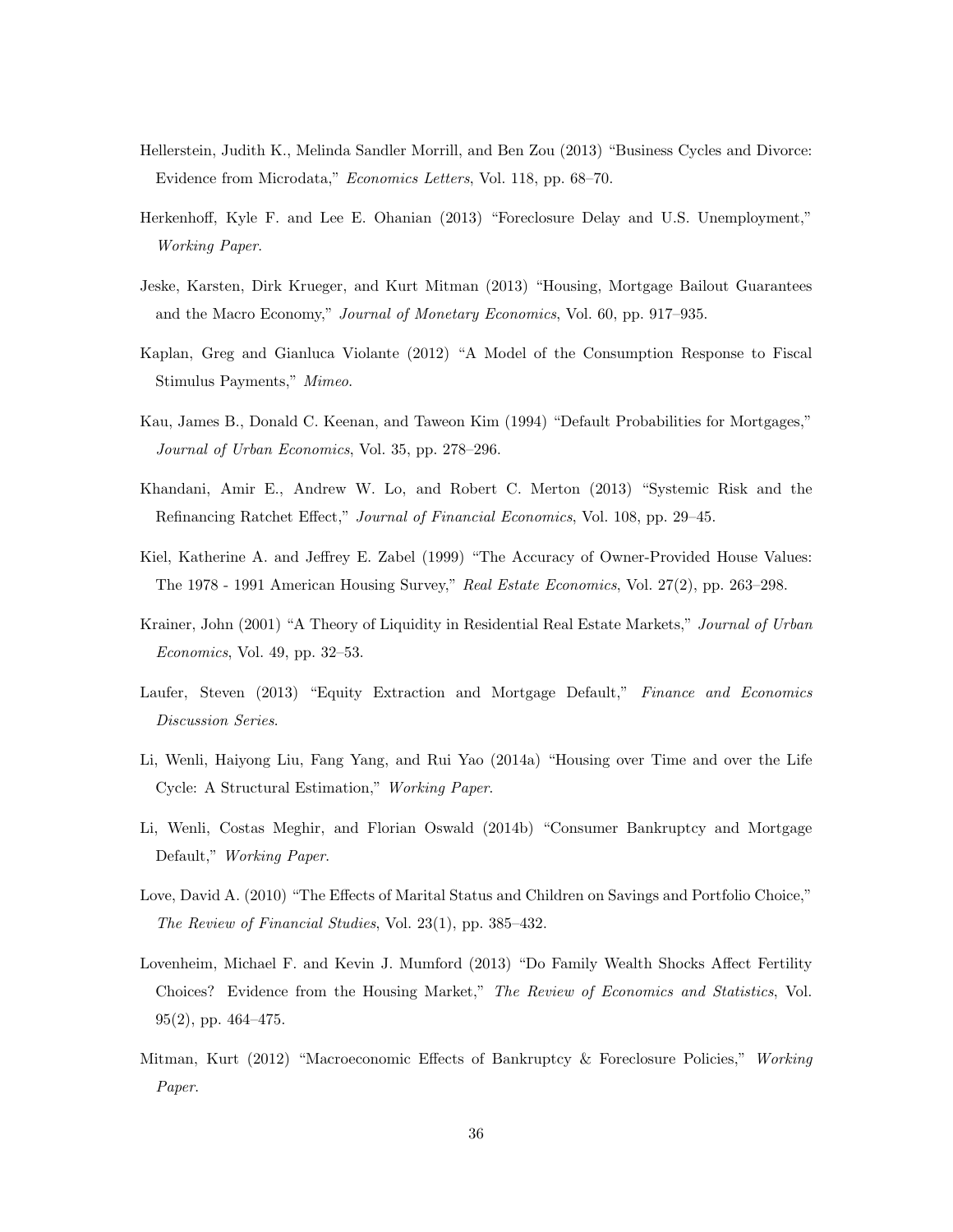- <span id="page-35-9"></span>Hellerstein, Judith K., Melinda Sandler Morrill, and Ben Zou (2013) "Business Cycles and Divorce: Evidence from Microdata," Economics Letters, Vol. 118, pp. 68–70.
- <span id="page-35-5"></span>Herkenhoff, Kyle F. and Lee E. Ohanian (2013) "Foreclosure Delay and U.S. Unemployment," Working Paper.
- <span id="page-35-4"></span>Jeske, Karsten, Dirk Krueger, and Kurt Mitman (2013) "Housing, Mortgage Bailout Guarantees and the Macro Economy," Journal of Monetary Economics, Vol. 60, pp. 917–935.
- <span id="page-35-12"></span>Kaplan, Greg and Gianluca Violante (2012) "A Model of the Consumption Response to Fiscal Stimulus Payments," Mimeo.
- <span id="page-35-2"></span>Kau, James B., Donald C. Keenan, and Taweon Kim (1994) "Default Probabilities for Mortgages," Journal of Urban Economics, Vol. 35, pp. 278–296.
- <span id="page-35-6"></span>Khandani, Amir E., Andrew W. Lo, and Robert C. Merton (2013) "Systemic Risk and the Refinancing Ratchet Effect," Journal of Financial Economics, Vol. 108, pp. 29–45.
- <span id="page-35-13"></span>Kiel, Katherine A. and Jeffrey E. Zabel (1999) "The Accuracy of Owner-Provided House Values: The 1978 - 1991 American Housing Survey," Real Estate Economics, Vol. 27(2), pp. 263–298.
- <span id="page-35-10"></span>Krainer, John (2001) "A Theory of Liquidity in Residential Real Estate Markets," Journal of Urban Economics, Vol. 49, pp. 32–53.
- <span id="page-35-0"></span>Laufer, Steven (2013) "Equity Extraction and Mortgage Default," Finance and Economics Discussion Series.
- <span id="page-35-7"></span>Li, Wenli, Haiyong Liu, Fang Yang, and Rui Yao (2014a) "Housing over Time and over the Life Cycle: A Structural Estimation," Working Paper.
- <span id="page-35-1"></span>Li, Wenli, Costas Meghir, and Florian Oswald (2014b) "Consumer Bankruptcy and Mortgage Default," Working Paper.
- <span id="page-35-11"></span>Love, David A. (2010) "The Effects of Marital Status and Children on Savings and Portfolio Choice," The Review of Financial Studies, Vol. 23(1), pp. 385–432.
- <span id="page-35-8"></span>Lovenheim, Michael F. and Kevin J. Mumford (2013) "Do Family Wealth Shocks Affect Fertility Choices? Evidence from the Housing Market," The Review of Economics and Statistics, Vol. 95(2), pp. 464–475.
- <span id="page-35-3"></span>Mitman, Kurt (2012) "Macroeconomic Effects of Bankruptcy & Foreclosure Policies," Working Paper.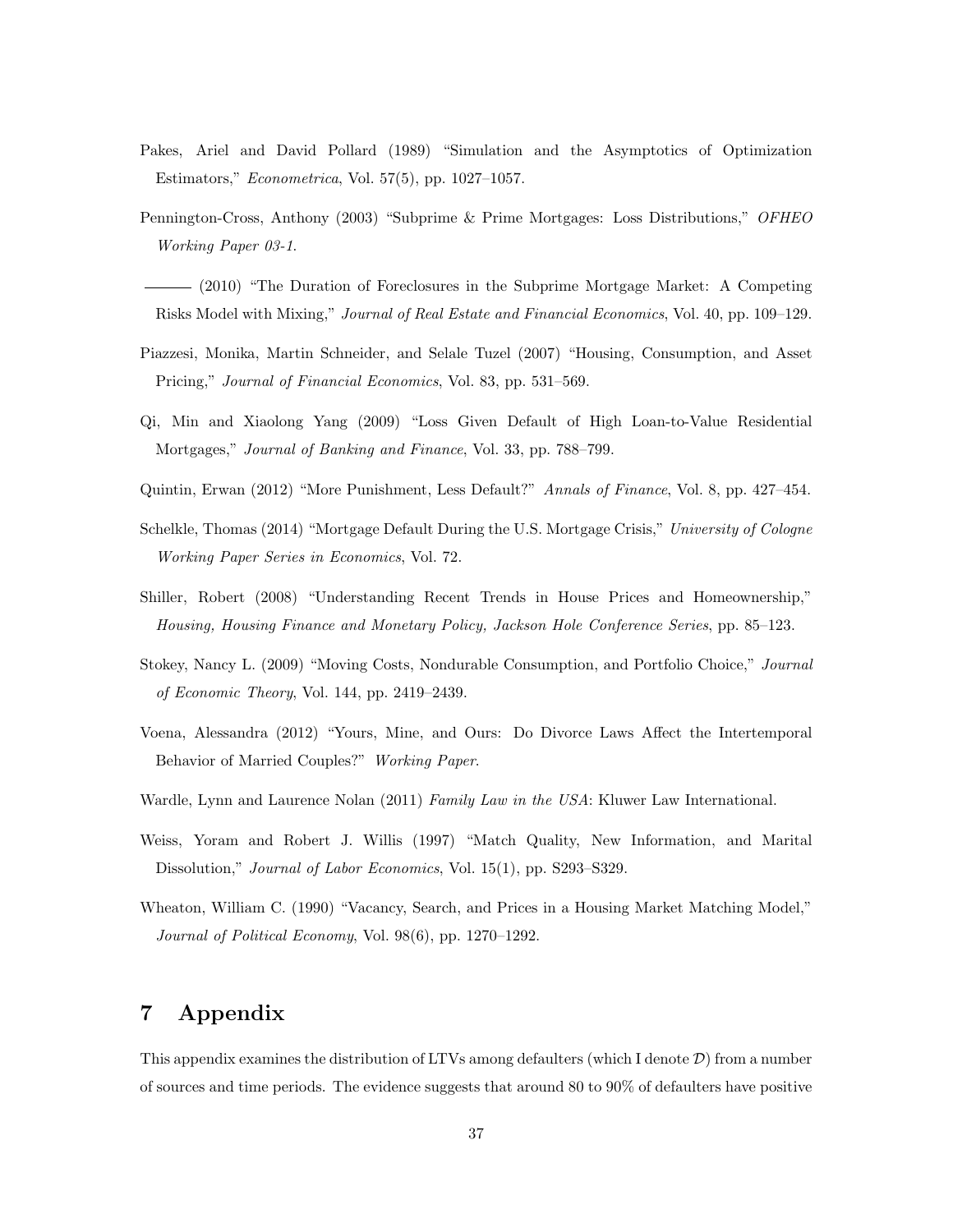- <span id="page-36-9"></span>Pakes, Ariel and David Pollard (1989) "Simulation and the Asymptotics of Optimization Estimators," Econometrica, Vol. 57(5), pp. 1027–1057.
- <span id="page-36-11"></span>Pennington-Cross, Anthony (2003) "Subprime & Prime Mortgages: Loss Distributions," OFHEO Working Paper 03-1.
- <span id="page-36-12"></span>(2010) "The Duration of Foreclosures in the Subprime Mortgage Market: A Competing Risks Model with Mixing," Journal of Real Estate and Financial Economics, Vol. 40, pp. 109–129.
- <span id="page-36-3"></span>Piazzesi, Monika, Martin Schneider, and Selale Tuzel (2007) "Housing, Consumption, and Asset Pricing," Journal of Financial Economics, Vol. 83, pp. 531–569.
- <span id="page-36-0"></span>Qi, Min and Xiaolong Yang (2009) "Loss Given Default of High Loan-to-Value Residential Mortgages," Journal of Banking and Finance, Vol. 33, pp. 788–799.
- <span id="page-36-1"></span>Quintin, Erwan (2012) "More Punishment, Less Default?" Annals of Finance, Vol. 8, pp. 427–454.
- <span id="page-36-2"></span>Schelkle, Thomas (2014) "Mortgage Default During the U.S. Mortgage Crisis," University of Cologne Working Paper Series in Economics, Vol. 72.
- <span id="page-36-10"></span>Shiller, Robert (2008) "Understanding Recent Trends in House Prices and Homeownership," Housing, Housing Finance and Monetary Policy, Jackson Hole Conference Series, pp. 85–123.
- <span id="page-36-4"></span>Stokey, Nancy L. (2009) "Moving Costs, Nondurable Consumption, and Portfolio Choice," Journal of Economic Theory, Vol. 144, pp. 2419–2439.
- <span id="page-36-6"></span>Voena, Alessandra (2012) "Yours, Mine, and Ours: Do Divorce Laws Affect the Intertemporal Behavior of Married Couples?" Working Paper.
- <span id="page-36-8"></span>Wardle, Lynn and Laurence Nolan (2011) Family Law in the USA: Kluwer Law International.
- <span id="page-36-5"></span>Weiss, Yoram and Robert J. Willis (1997) "Match Quality, New Information, and Marital Dissolution," *Journal of Labor Economics*, Vol. 15(1), pp. S293–S329.
- <span id="page-36-7"></span>Wheaton, William C. (1990) "Vacancy, Search, and Prices in a Housing Market Matching Model," Journal of Political Economy, Vol. 98(6), pp. 1270–1292.

#### Appendix 7

This appendix examines the distribution of LTVs among defaulters (which I denote  $\mathcal{D}$ ) from a number of sources and time periods. The evidence suggests that around 80 to 90% of defaulters have positive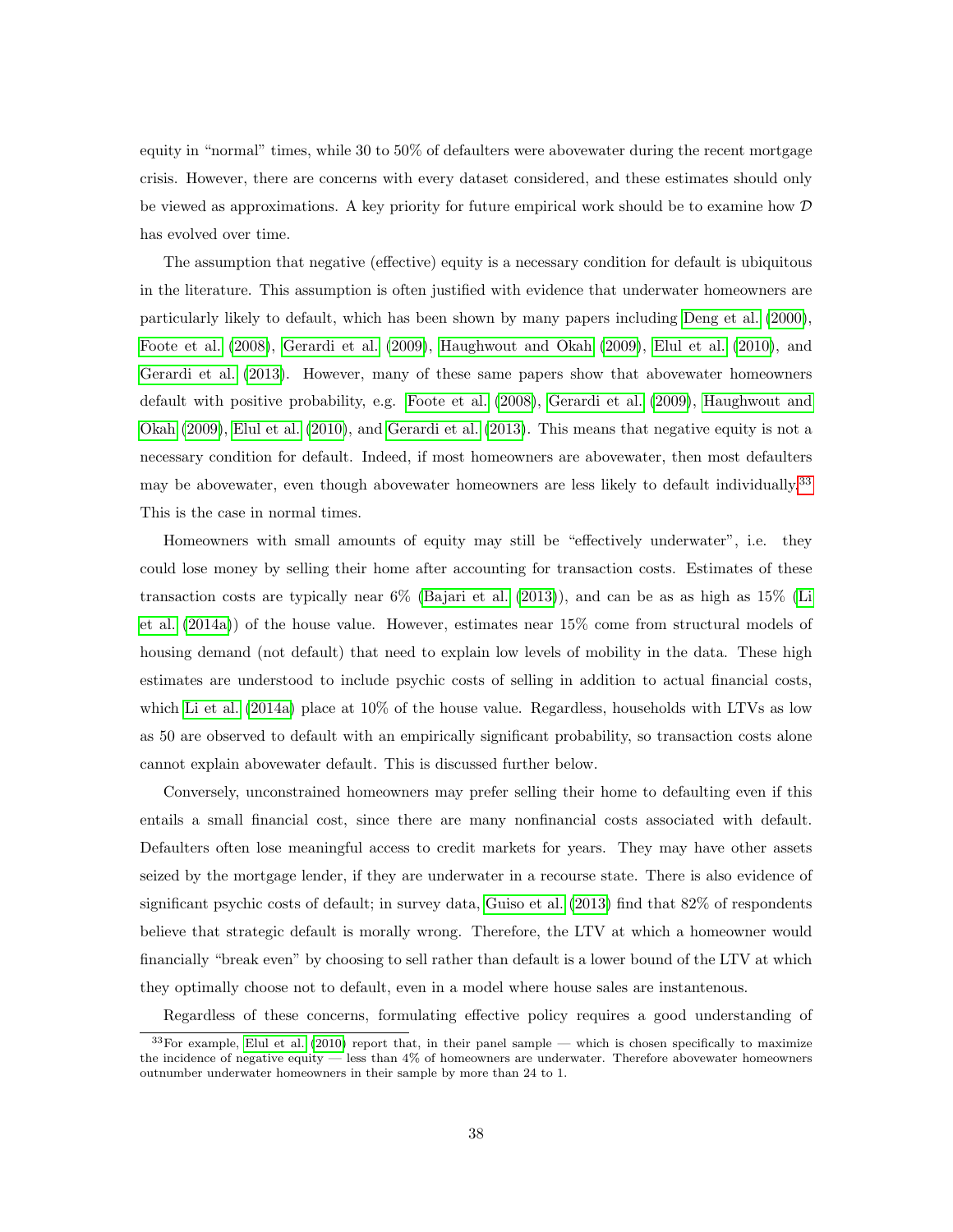equity in "normal" times, while 30 to 50% of defaulters were abovewater during the recent mortgage crisis. However, there are concerns with every dataset considered, and these estimates should only be viewed as approximations. A key priority for future empirical work should be to examine how  $D$ has evolved over time.

The assumption that negative (effective) equity is a necessary condition for default is ubiquitous in the literature. This assumption is often justified with evidence that underwater homeowners are particularly likely to default, which has been shown by many papers including [Deng](#page-33-1) et al. [\(2000\)](#page-33-1), [Foote](#page-33-2) et al. [\(2008\)](#page-33-2), [Gerardi](#page-34-4) et al. [\(2009\)](#page-34-4), [Haughwout](#page-34-3) and Okah [\(2009\)](#page-34-3), [Elul](#page-33-3) et al. [\(2010\)](#page-33-3), and [Gerardi](#page-33-6) et al. [\(2013\)](#page-33-6). However, many of these same papers show that abovewater homeowners default with positive probability, e.g. [Foote](#page-33-2) et al. [\(2008\)](#page-33-2), [Gerardi](#page-34-4) et al. [\(2009\)](#page-34-4), [Haughwout](#page-34-3) and [Okah](#page-34-3) [\(2009\)](#page-34-3), [Elul](#page-33-3) et al. [\(2010\)](#page-33-3), and [Gerardi](#page-33-6) et al. [\(2013\)](#page-33-6). This means that negative equity is not a necessary condition for default. Indeed, if most homeowners are abovewater, then most defaulters may be abovewater, even though abovewater homeowners are less likely to default individually.<sup>[33](#page-0-0)</sup> This is the case in normal times.

Homeowners with small amounts of equity may still be "effectively underwater", i.e. they could lose money by selling their home after accounting for transaction costs. Estimates of these transaction costs are typically near 6% [\(Bajari](#page-32-0) et al. [\(2013\)](#page-32-0)), and can be as as high as 15% [\(Li](#page-35-7) et [al.](#page-35-7) [\(2014a\)](#page-35-7)) of the house value. However, estimates near 15% come from structural models of housing demand (not default) that need to explain low levels of mobility in the data. These high estimates are understood to include psychic costs of selling in addition to actual financial costs, which Li et [al.](#page-35-7) [\(2014a\)](#page-35-7) place at 10% of the house value. Regardless, households with LTVs as low as 50 are observed to default with an empirically significant probability, so transaction costs alone cannot explain abovewater default. This is discussed further below.

Conversely, unconstrained homeowners may prefer selling their home to defaulting even if this entails a small financial cost, since there are many nonfinancial costs associated with default. Defaulters often lose meaningful access to credit markets for years. They may have other assets seized by the mortgage lender, if they are underwater in a recourse state. There is also evidence of significant psychic costs of default; in survey data, [Guiso](#page-34-13) et al. [\(2013\)](#page-34-13) find that 82% of respondents believe that strategic default is morally wrong. Therefore, the LTV at which a homeowner would financially "break even" by choosing to sell rather than default is a lower bound of the LTV at which they optimally choose not to default, even in a model where house sales are instantenous.

Regardless of these concerns, formulating effective policy requires a good understanding of

 $33$ For example, [Elul](#page-33-3) et al. [\(2010\)](#page-33-3) report that, in their panel sample — which is chosen specifically to maximize the incidence of negative equity — less than 4% of homeowners are underwater. Therefore abovewater homeowners outnumber underwater homeowners in their sample by more than 24 to 1.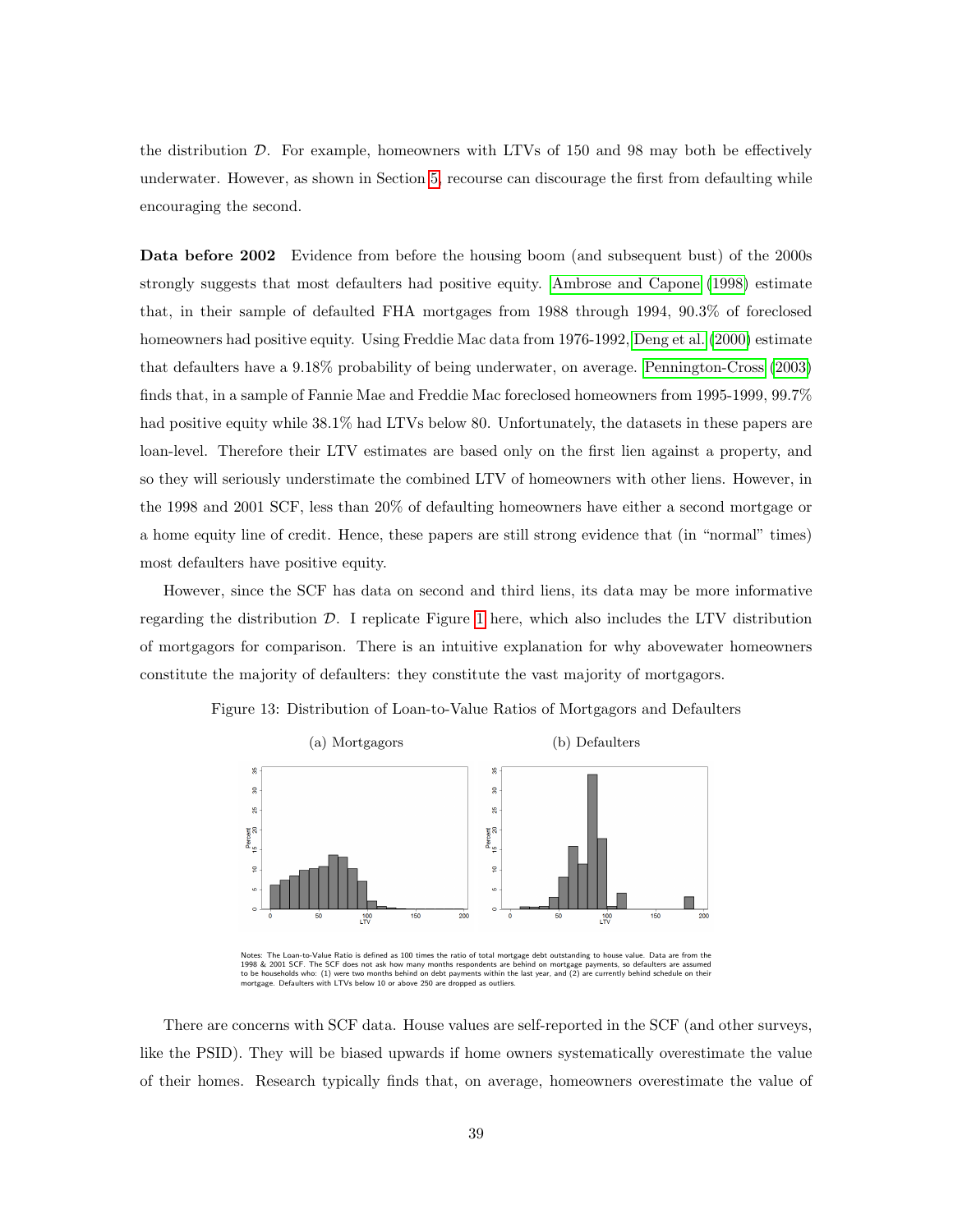the distribution D. For example, homeowners with LTVs of 150 and 98 may both be effectively underwater. However, as shown in Section [5,](#page-23-0) recourse can discourage the first from defaulting while encouraging the second.

Data before 2002 Evidence from before the housing boom (and subsequent bust) of the 2000s strongly suggests that most defaulters had positive equity. [Ambrose](#page-32-12) and Capone [\(1998\)](#page-32-12) estimate that, in their sample of defaulted FHA mortgages from 1988 through 1994, 90.3% of foreclosed homeowners had positive equity. Using Freddie Mac data from 1976-1992, [Deng](#page-33-1) et al. [\(2000\)](#page-33-1) estimate that defaulters have a 9.18% probability of being underwater, on average. [Pennington-Cross](#page-36-11) [\(2003\)](#page-36-11) finds that, in a sample of Fannie Mae and Freddie Mac foreclosed homeowners from 1995-1999, 99.7% had positive equity while  $38.1\%$  had LTVs below 80. Unfortunately, the datasets in these papers are loan-level. Therefore their LTV estimates are based only on the first lien against a property, and so they will seriously understimate the combined LTV of homeowners with other liens. However, in the 1998 and 2001 SCF, less than 20% of defaulting homeowners have either a second mortgage or a home equity line of credit. Hence, these papers are still strong evidence that (in "normal" times) most defaulters have positive equity.

However, since the SCF has data on second and third liens, its data may be more informative regarding the distribution  $\mathcal{D}$ . I replicate Figure [1](#page-1-0) here, which also includes the LTV distribution of mortgagors for comparison. There is an intuitive explanation for why abovewater homeowners constitute the majority of defaulters: they constitute the vast majority of mortgagors.



Figure 13: Distribution of Loan-to-Value Ratios of Mortgagors and Defaulters

There are concerns with SCF data. House values are self-reported in the SCF (and other surveys,

like the PSID). They will be biased upwards if home owners systematically overestimate the value of their homes. Research typically finds that, on average, homeowners overestimate the value of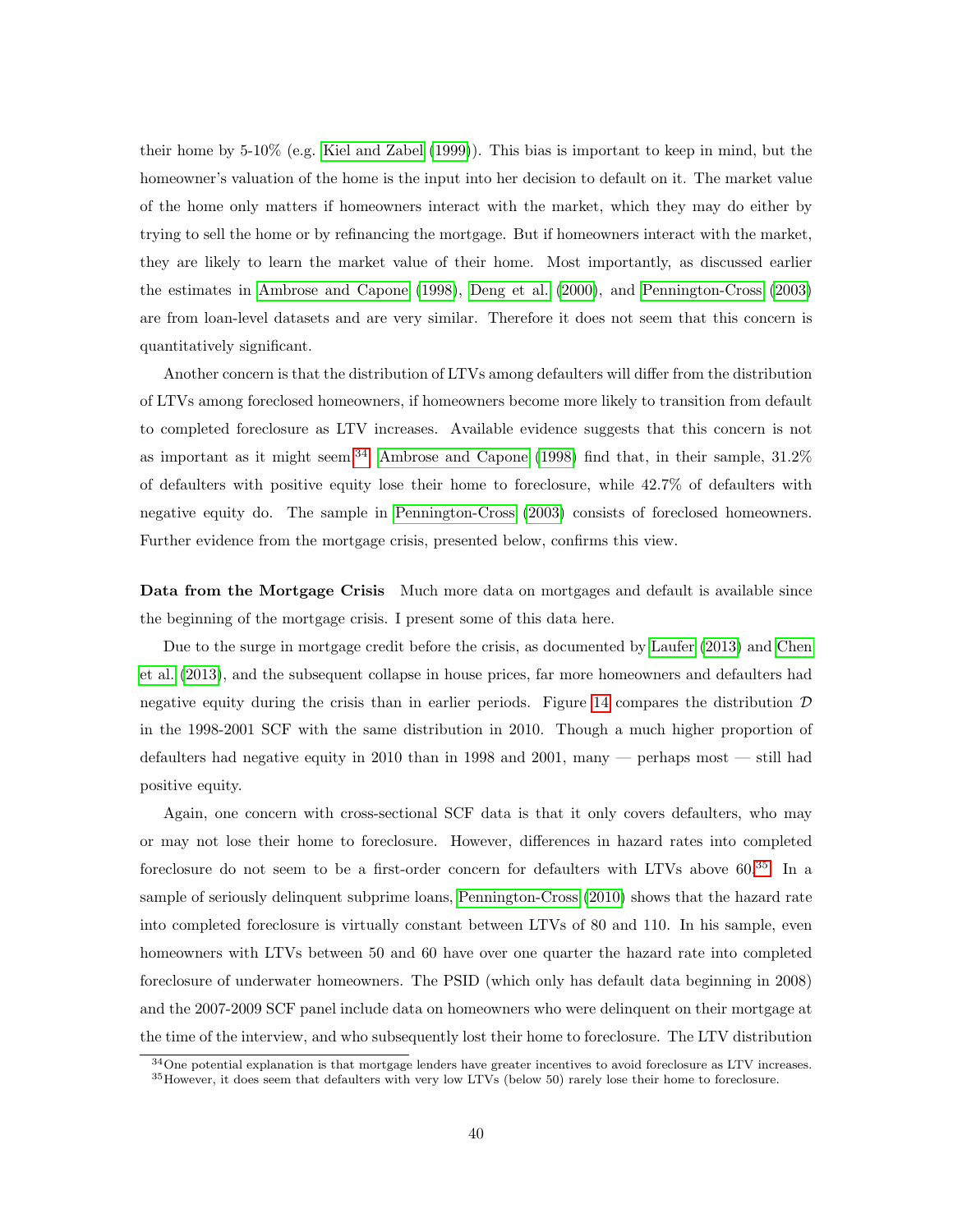their home by 5-10% (e.g. Kiel and [Zabel](#page-35-13) [\(1999\)](#page-35-13)). This bias is important to keep in mind, but the homeowner's valuation of the home is the input into her decision to default on it. The market value of the home only matters if homeowners interact with the market, which they may do either by trying to sell the home or by refinancing the mortgage. But if homeowners interact with the market, they are likely to learn the market value of their home. Most importantly, as discussed earlier the estimates in [Ambrose](#page-32-12) and Capone [\(1998\)](#page-32-12), [Deng](#page-33-1) et al. [\(2000\)](#page-33-1), and [Pennington-Cross](#page-36-11) [\(2003\)](#page-36-11) are from loan-level datasets and are very similar. Therefore it does not seem that this concern is quantitatively significant.

Another concern is that the distribution of LTVs among defaulters will differ from the distribution of LTVs among foreclosed homeowners, if homeowners become more likely to transition from default to completed foreclosure as LTV increases. Available evidence suggests that this concern is not as important as it might seem.<sup>[34](#page-0-0)</sup> [Ambrose](#page-32-12) and Capone [\(1998\)](#page-32-12) find that, in their sample,  $31.2\%$ of defaulters with positive equity lose their home to foreclosure, while 42.7% of defaulters with negative equity do. The sample in [Pennington-Cross](#page-36-11) [\(2003\)](#page-36-11) consists of foreclosed homeowners. Further evidence from the mortgage crisis, presented below, confirms this view.

Data from the Mortgage Crisis Much more data on mortgages and default is available since the beginning of the mortgage crisis. I present some of this data here.

Due to the surge in mortgage credit before the crisis, as documented by [Laufer](#page-35-0) [\(2013\)](#page-35-0) and [Chen](#page-32-3) et [al.](#page-32-3) [\(2013\)](#page-32-3), and the subsequent collapse in house prices, far more homeowners and defaulters had negative equity during the crisis than in earlier periods. Figure [14](#page-40-0) compares the distribution  $\mathcal D$ in the 1998-2001 SCF with the same distribution in 2010. Though a much higher proportion of defaulters had negative equity in 2010 than in 1998 and 2001, many — perhaps most — still had positive equity.

Again, one concern with cross-sectional SCF data is that it only covers defaulters, who may or may not lose their home to foreclosure. However, differences in hazard rates into completed foreclosure do not seem to be a first-order concern for defaulters with LTVs above 60.<sup>[35](#page-0-0)</sup> In a sample of seriously delinquent subprime loans, [Pennington-Cross](#page-36-12) [\(2010\)](#page-36-12) shows that the hazard rate into completed foreclosure is virtually constant between LTVs of 80 and 110. In his sample, even homeowners with LTVs between 50 and 60 have over one quarter the hazard rate into completed foreclosure of underwater homeowners. The PSID (which only has default data beginning in 2008) and the 2007-2009 SCF panel include data on homeowners who were delinquent on their mortgage at the time of the interview, and who subsequently lost their home to foreclosure. The LTV distribution

<sup>&</sup>lt;sup>34</sup>One potential explanation is that mortgage lenders have greater incentives to avoid foreclosure as LTV increases. <sup>35</sup>However, it does seem that defaulters with very low LTVs (below 50) rarely lose their home to foreclosure.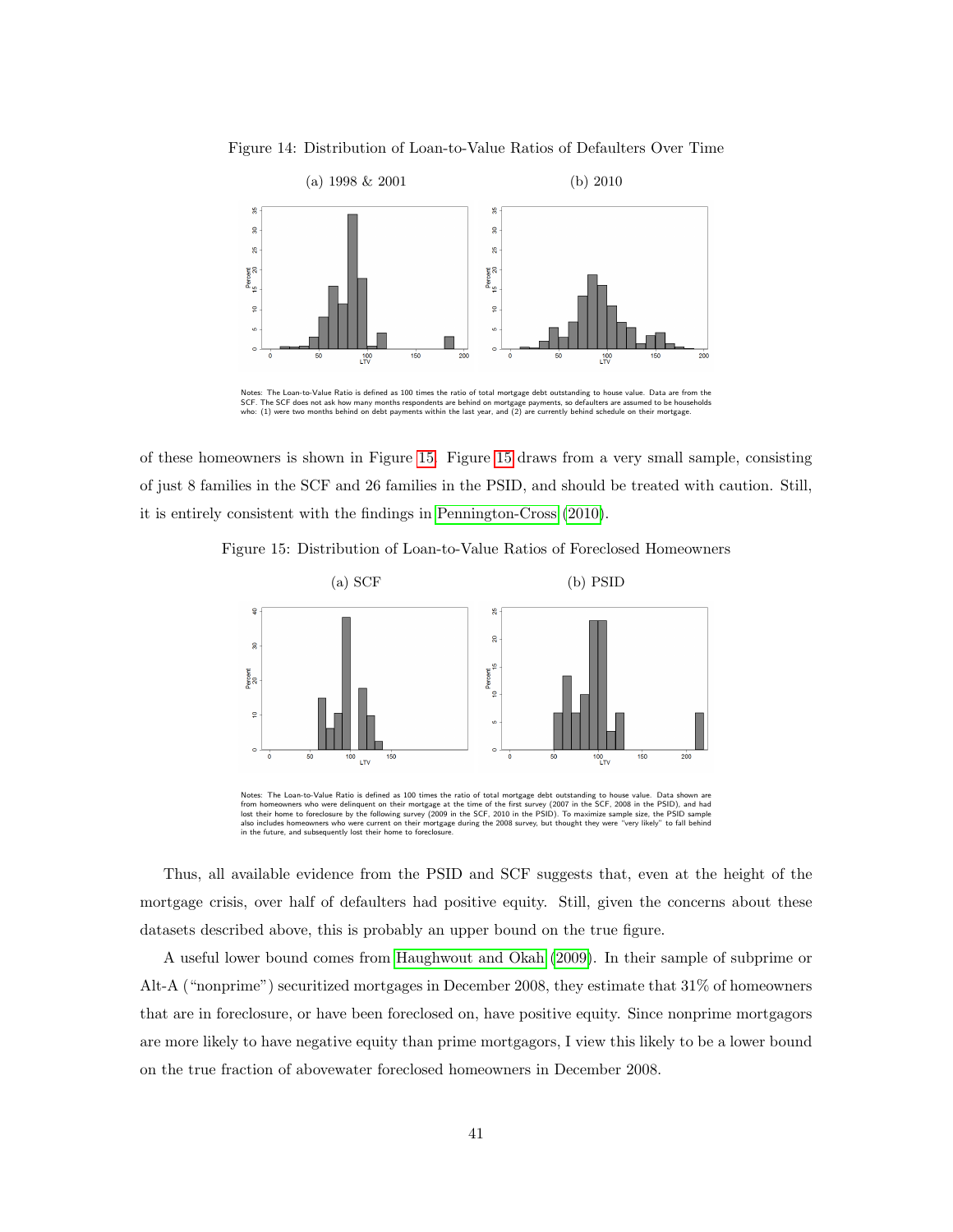<span id="page-40-0"></span>



of these homeowners is shown in Figure [15.](#page-40-1) Figure [15](#page-40-1) draws from a very small sample, consisting of just 8 families in the SCF and 26 families in the PSID, and should be treated with caution. Still, it is entirely consistent with the findings in [Pennington-Cross](#page-36-12) [\(2010\)](#page-36-12).

<span id="page-40-1"></span>



Notes: The Loan-to-Value Ratio is defined as 100 times the ratio of total mortgage debt outstanding to house value. Data shown are<br>from homeowners who were delinquent on their mortgage at the time of the first survey (2007 also includes homeowners who were current on their mortgage during the 2008 survey, but thought they were "very likely" to fall behind<br>in the future, and subsequently lost their home to foreclosure. in the future, and subsequently lost their home to foreclos

Thus, all available evidence from the PSID and SCF suggests that, even at the height of the mortgage crisis, over half of defaulters had positive equity. Still, given the concerns about these datasets described above, this is probably an upper bound on the true figure.

A useful lower bound comes from [Haughwout](#page-34-3) and Okah [\(2009\)](#page-34-3). In their sample of subprime or Alt-A ("nonprime") securitized mortgages in December 2008, they estimate that 31% of homeowners that are in foreclosure, or have been foreclosed on, have positive equity. Since nonprime mortgagors are more likely to have negative equity than prime mortgagors, I view this likely to be a lower bound on the true fraction of abovewater foreclosed homeowners in December 2008.